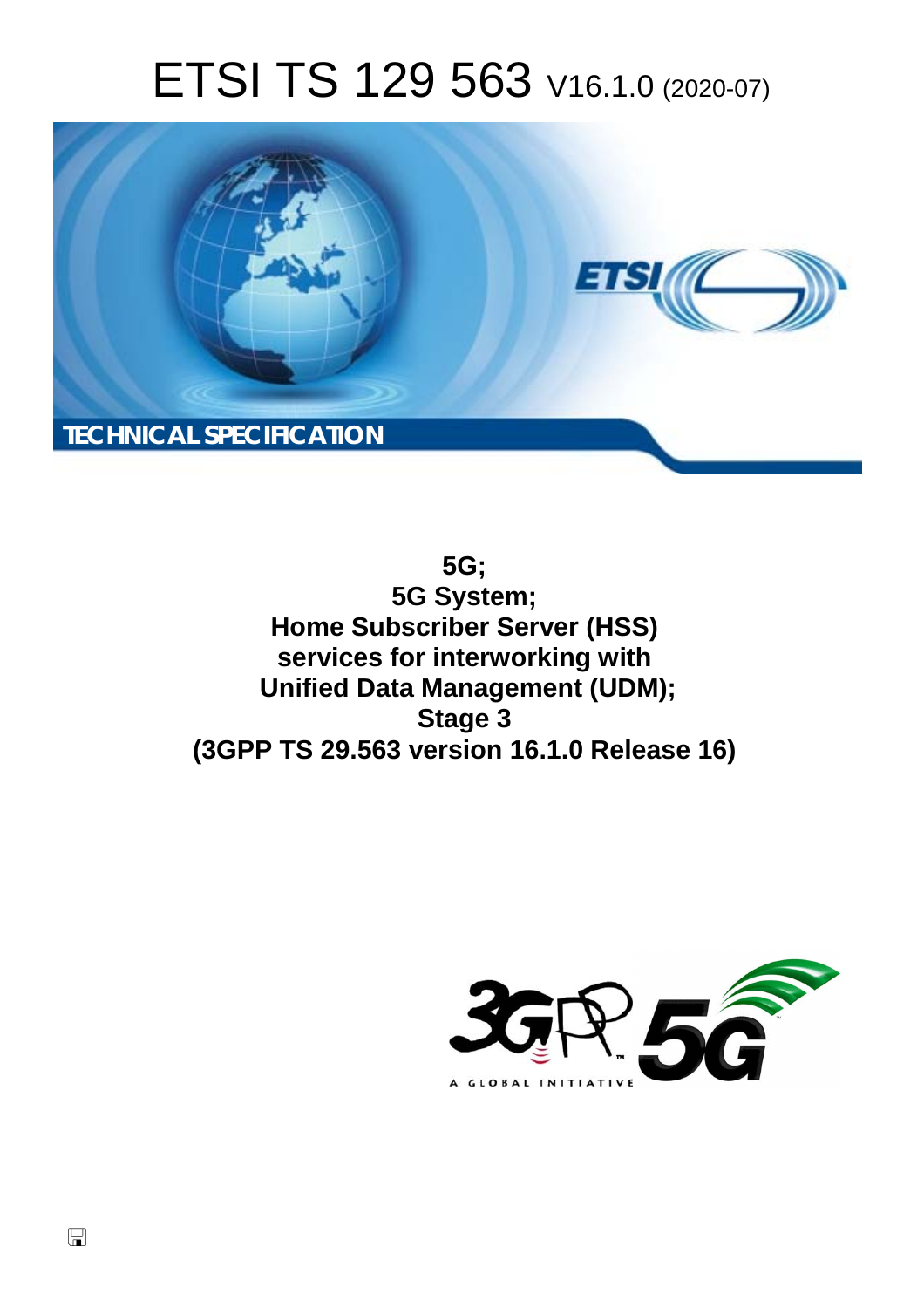# ETSI TS 129 563 V16.1.0 (2020-07)



**5G; 5G System; Home Subscriber Server (HSS) services for interworking with Unified Data Management (UDM); Stage 3 (3GPP TS 29.563 version 16.1.0 Release 16)** 

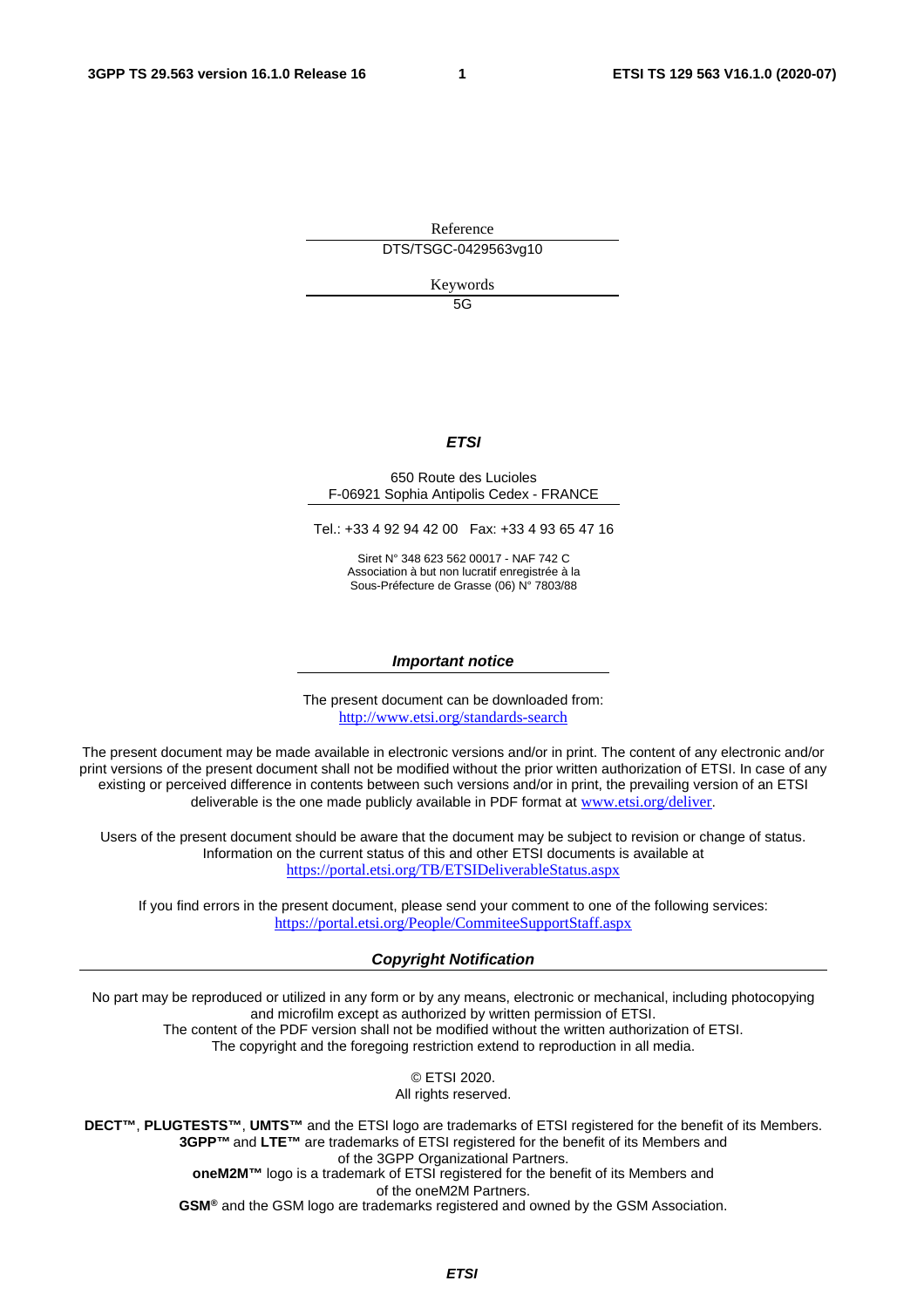Reference DTS/TSGC-0429563vg10

Keywords

 $5G$ 

#### *ETSI*

#### 650 Route des Lucioles F-06921 Sophia Antipolis Cedex - FRANCE

Tel.: +33 4 92 94 42 00 Fax: +33 4 93 65 47 16

Siret N° 348 623 562 00017 - NAF 742 C Association à but non lucratif enregistrée à la Sous-Préfecture de Grasse (06) N° 7803/88

#### *Important notice*

The present document can be downloaded from: <http://www.etsi.org/standards-search>

The present document may be made available in electronic versions and/or in print. The content of any electronic and/or print versions of the present document shall not be modified without the prior written authorization of ETSI. In case of any existing or perceived difference in contents between such versions and/or in print, the prevailing version of an ETSI deliverable is the one made publicly available in PDF format at [www.etsi.org/deliver](http://www.etsi.org/deliver).

Users of the present document should be aware that the document may be subject to revision or change of status. Information on the current status of this and other ETSI documents is available at <https://portal.etsi.org/TB/ETSIDeliverableStatus.aspx>

If you find errors in the present document, please send your comment to one of the following services: <https://portal.etsi.org/People/CommiteeSupportStaff.aspx>

#### *Copyright Notification*

No part may be reproduced or utilized in any form or by any means, electronic or mechanical, including photocopying and microfilm except as authorized by written permission of ETSI. The content of the PDF version shall not be modified without the written authorization of ETSI.

The copyright and the foregoing restriction extend to reproduction in all media.

© ETSI 2020. All rights reserved.

**DECT™**, **PLUGTESTS™**, **UMTS™** and the ETSI logo are trademarks of ETSI registered for the benefit of its Members. **3GPP™** and **LTE™** are trademarks of ETSI registered for the benefit of its Members and of the 3GPP Organizational Partners. **oneM2M™** logo is a trademark of ETSI registered for the benefit of its Members and of the oneM2M Partners.

**GSM®** and the GSM logo are trademarks registered and owned by the GSM Association.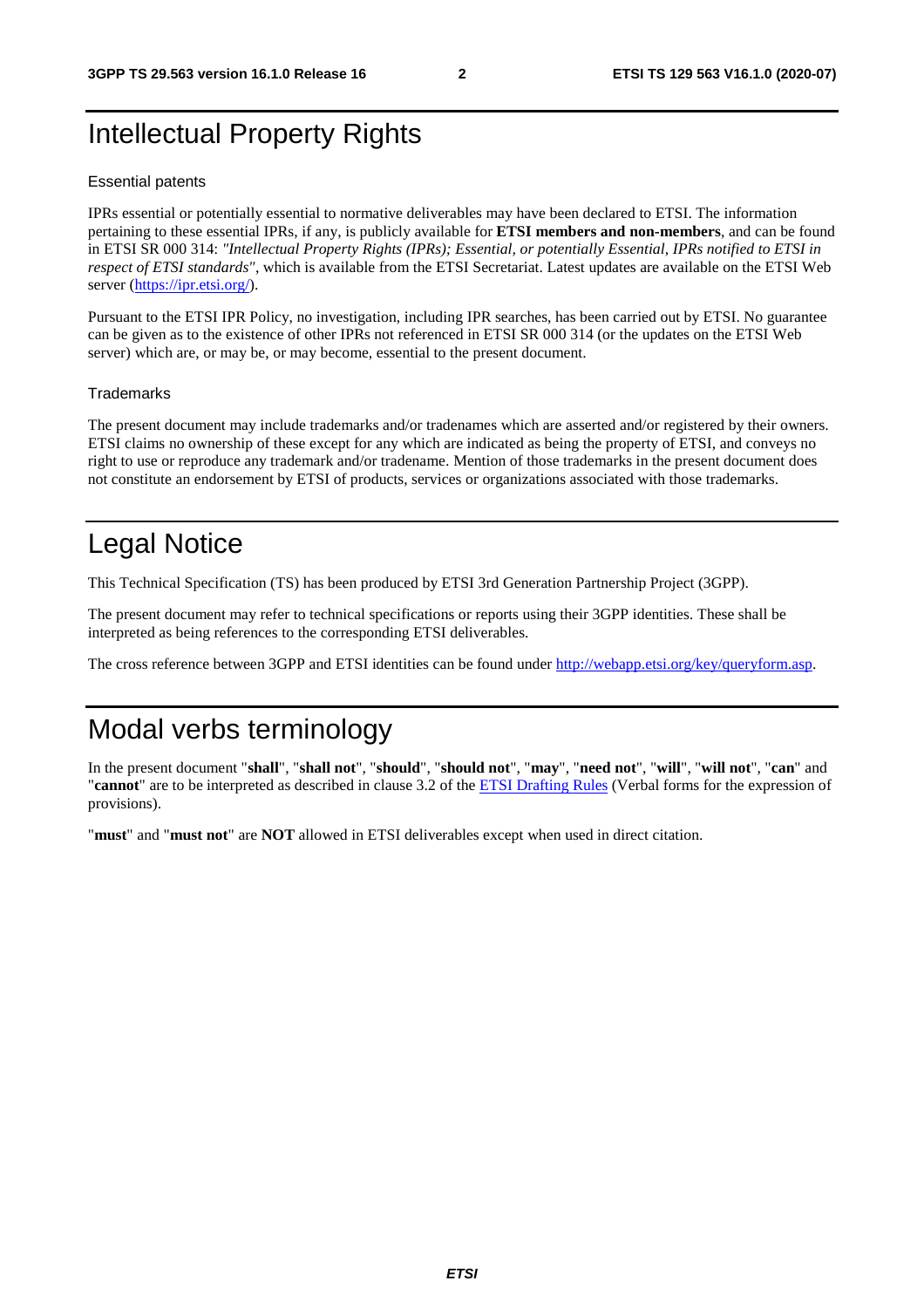## Intellectual Property Rights

#### Essential patents

IPRs essential or potentially essential to normative deliverables may have been declared to ETSI. The information pertaining to these essential IPRs, if any, is publicly available for **ETSI members and non-members**, and can be found in ETSI SR 000 314: *"Intellectual Property Rights (IPRs); Essential, or potentially Essential, IPRs notified to ETSI in respect of ETSI standards"*, which is available from the ETSI Secretariat. Latest updates are available on the ETSI Web server [\(https://ipr.etsi.org/](https://ipr.etsi.org/)).

Pursuant to the ETSI IPR Policy, no investigation, including IPR searches, has been carried out by ETSI. No guarantee can be given as to the existence of other IPRs not referenced in ETSI SR 000 314 (or the updates on the ETSI Web server) which are, or may be, or may become, essential to the present document.

#### **Trademarks**

The present document may include trademarks and/or tradenames which are asserted and/or registered by their owners. ETSI claims no ownership of these except for any which are indicated as being the property of ETSI, and conveys no right to use or reproduce any trademark and/or tradename. Mention of those trademarks in the present document does not constitute an endorsement by ETSI of products, services or organizations associated with those trademarks.

## Legal Notice

This Technical Specification (TS) has been produced by ETSI 3rd Generation Partnership Project (3GPP).

The present document may refer to technical specifications or reports using their 3GPP identities. These shall be interpreted as being references to the corresponding ETSI deliverables.

The cross reference between 3GPP and ETSI identities can be found under<http://webapp.etsi.org/key/queryform.asp>.

## Modal verbs terminology

In the present document "**shall**", "**shall not**", "**should**", "**should not**", "**may**", "**need not**", "**will**", "**will not**", "**can**" and "**cannot**" are to be interpreted as described in clause 3.2 of the [ETSI Drafting Rules](https://portal.etsi.org/Services/editHelp!/Howtostart/ETSIDraftingRules.aspx) (Verbal forms for the expression of provisions).

"**must**" and "**must not**" are **NOT** allowed in ETSI deliverables except when used in direct citation.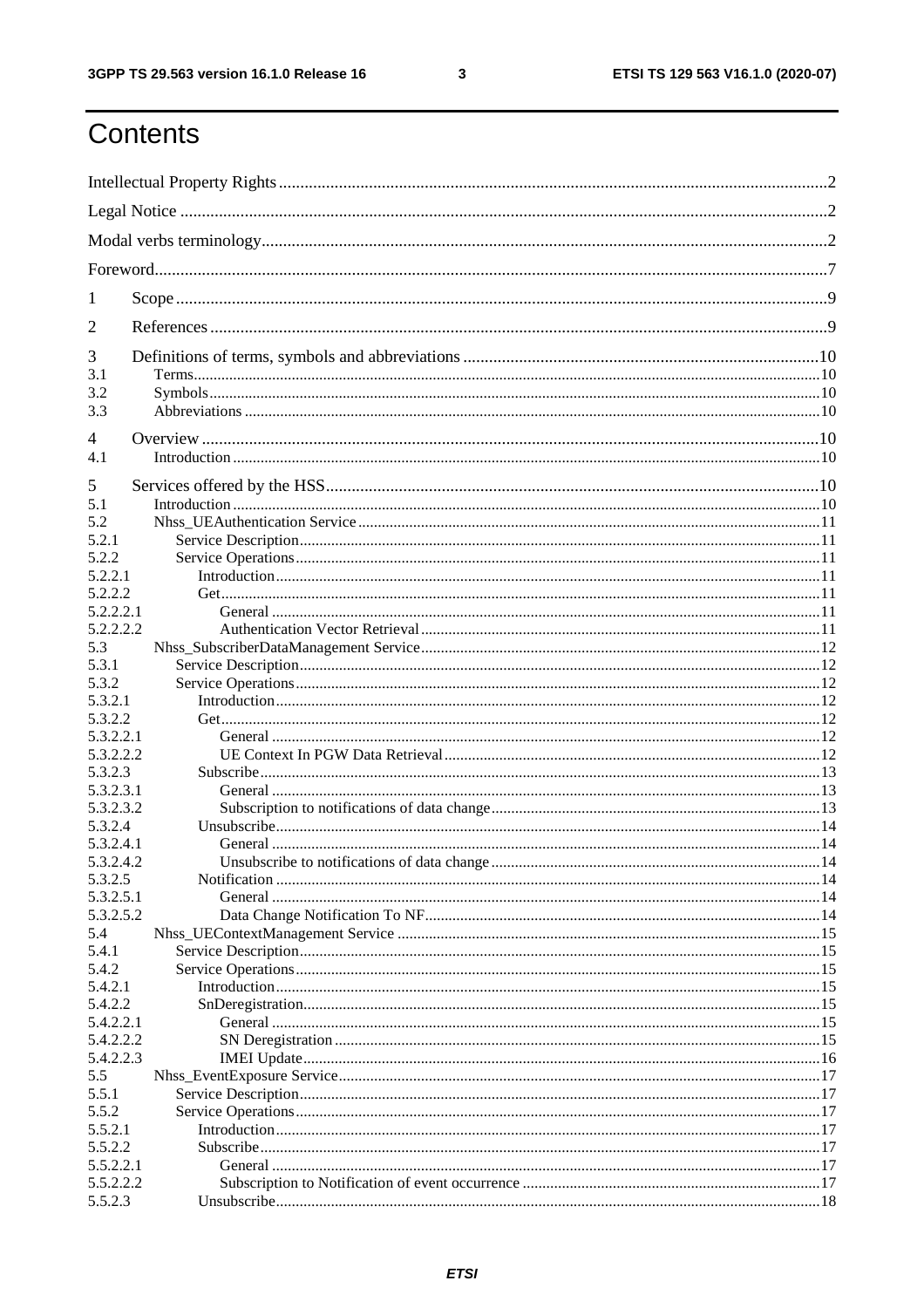$\mathbf{3}$ 

## Contents

| 1                    |  |
|----------------------|--|
| 2                    |  |
| 3                    |  |
| 3.1                  |  |
| 3.2                  |  |
| 3.3                  |  |
| 4                    |  |
| 4.1                  |  |
| 5                    |  |
| 5.1                  |  |
| 5.2                  |  |
| 5.2.1                |  |
| 5.2.2                |  |
| 5.2.2.1              |  |
| 5.2.2.2              |  |
| 5.2.2.2.1            |  |
| 5.2.2.2.2            |  |
| 5.3                  |  |
| 5.3.1<br>5.3.2       |  |
| 5.3.2.1              |  |
| 5.3.2.2              |  |
| 5.3.2.2.1            |  |
| 5.3.2.2.2            |  |
| 5.3.2.3              |  |
| 5.3.2.3.1            |  |
| 5.3.2.3.2            |  |
| 5.3.2.4              |  |
| 5.3.2.4.1            |  |
| 5.3.2.4.2            |  |
| 5.3.2.5              |  |
| 5.3.2.5.1            |  |
| 5.3.2.5.2<br>5.4     |  |
| 5.4.1                |  |
| 5.4.2                |  |
| 5.4.2.1              |  |
| 5.4.2.2              |  |
| 5.4.2.2.1            |  |
| 5.4.2.2.2            |  |
| 5.4.2.2.3            |  |
| 5.5                  |  |
| 5.5.1                |  |
| 5.5.2                |  |
| 5.5.2.1              |  |
| 5.5.2.2<br>5.5.2.2.1 |  |
| 5.5.2.2.2            |  |
| 5.5.2.3              |  |
|                      |  |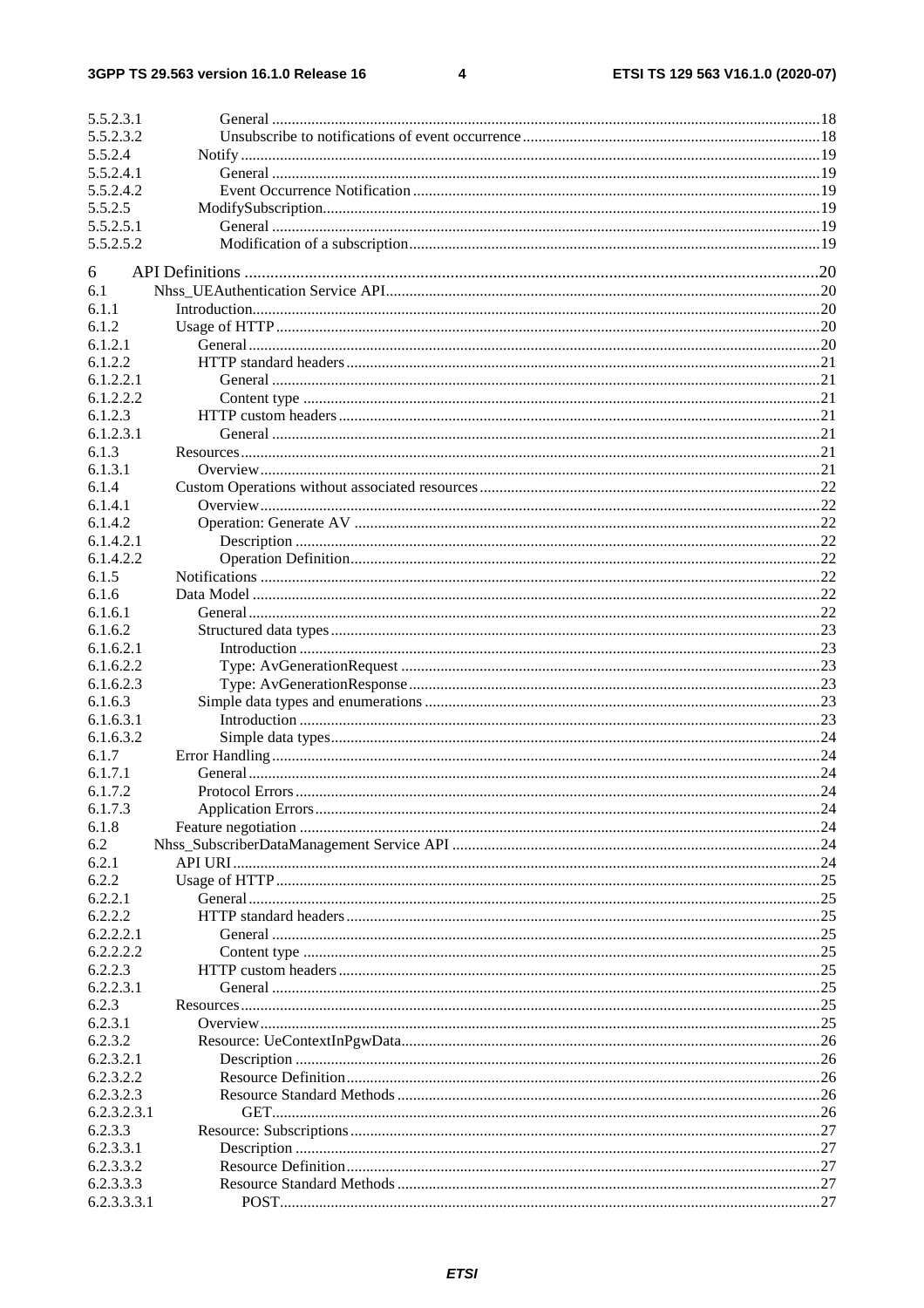$\overline{\mathbf{4}}$ 

| 5.5.2.3.1   |    |
|-------------|----|
| 5.5.2.3.2   |    |
| 5.5.2.4     |    |
| 5.5.2.4.1   |    |
| 5.5.2.4.2   |    |
| 5.5.2.5     |    |
| 5.5.2.5.1   |    |
| 5.5.2.5.2   |    |
|             |    |
| 6           |    |
| 6.1         |    |
| 6.1.1       |    |
| 6.1.2       |    |
| 6.1.2.1     |    |
| 6.1.2.2     |    |
| 6.1.2.2.1   |    |
| 6.1.2.2.2   |    |
| 6.1.2.3     |    |
| 6.1.2.3.1   |    |
| 6.1.3       |    |
| 6.1.3.1     |    |
| 6.1.4       |    |
| 6.1.4.1     |    |
| 6.1.4.2     |    |
| 6.1.4.2.1   |    |
| 6.1.4.2.2   |    |
| 6.1.5       |    |
| 6.1.6       |    |
| 6.1.6.1     |    |
| 6.1.6.2     |    |
| 6.1.6.2.1   |    |
| 6.1.6.2.2   |    |
| 6.1.6.2.3   |    |
| 6.1.6.3     |    |
| 6.1.6.3.1   |    |
| 6.1.6.3.2   |    |
| 6.1.7       |    |
| 6.1.7.1     |    |
| 6.1.7.2     |    |
| 6.1.7.3     |    |
| 6.1.8       |    |
| 6.2         |    |
| 6.2.1       |    |
| 6.2.2       |    |
| 6.2.2.1     |    |
| 6.2.2.2     |    |
| 6.2.2.2.1   |    |
| 6.2.2.2.2   |    |
| 6.2.2.3     |    |
| 6.2.2.3.1   |    |
| 6.2.3       |    |
| 6.2.3.1     | 25 |
| 6.2.3.2     |    |
| 6.2.3.2.1   |    |
| 6.2.3.2.2   |    |
| 6.2.3.2.3   |    |
| 6.2.3.2.3.1 |    |
| 6.2.3.3     |    |
| 6.2.3.3.1   |    |
| 6.2.3.3.2   |    |
| 6.2.3.3.3   |    |
| 6.2.3.3.3.1 |    |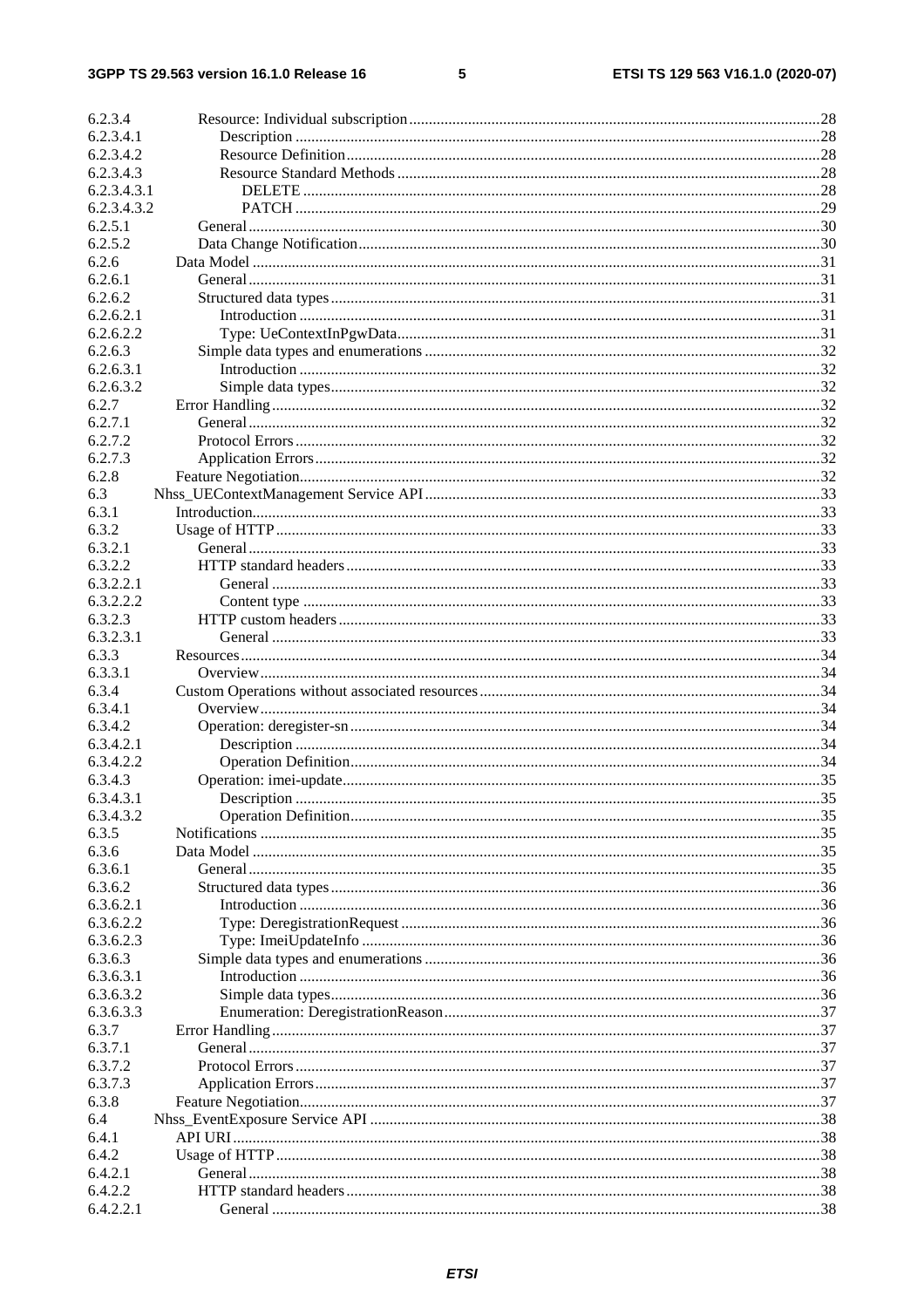#### $5\phantom{a}$

| 6.2.3.4     |  |
|-------------|--|
| 6.2.3.4.1   |  |
| 6.2.3.4.2   |  |
| 6.2.3.4.3   |  |
| 6.2.3.4.3.1 |  |
| 6.2.3.4.3.2 |  |
| 6.2.5.1     |  |
| 6.2.5.2     |  |
| 6.2.6       |  |
| 6.2.6.1     |  |
| 6.2.6.2     |  |
| 6.2.6.2.1   |  |
| 6.2.6.2.2   |  |
| 6.2.6.3     |  |
| 6.2.6.3.1   |  |
| 6.2.6.3.2   |  |
| 6.2.7       |  |
| 6.2.7.1     |  |
| 6.2.7.2     |  |
| 6.2.7.3     |  |
| 6.2.8       |  |
| 6.3         |  |
| 6.3.1       |  |
|             |  |
| 6.3.2       |  |
| 6.3.2.1     |  |
| 6.3.2.2     |  |
| 6.3.2.2.1   |  |
| 6.3.2.2.2   |  |
| 6.3.2.3     |  |
| 6.3.2.3.1   |  |
| 6.3.3       |  |
| 6.3.3.1     |  |
| 6.3.4       |  |
| 6.3.4.1     |  |
| 6.3.4.2     |  |
| 6.3.4.2.1   |  |
| 6.3.4.2.2   |  |
| 6.3.4.3     |  |
| 6.3.4.3.1   |  |
| 6.3.4.3.2   |  |
| 6.3.5       |  |
| 6.3.6       |  |
| 6.3.6.1     |  |
| 6.3.6.2     |  |
| 6.3.6.2.1   |  |
| 6.3.6.2.2   |  |
| 6.3.6.2.3   |  |
| 6.3.6.3     |  |
| 6.3.6.3.1   |  |
| 6.3.6.3.2   |  |
| 6.3.6.3.3   |  |
| 6.3.7       |  |
| 6.3.7.1     |  |
| 6.3.7.2     |  |
| 6.3.7.3     |  |
| 6.3.8       |  |
| 6.4         |  |
|             |  |
| 6.4.1       |  |
| 6.4.2       |  |
| 6.4.2.1     |  |
| 6.4.2.2     |  |
| 6.4.2.2.1   |  |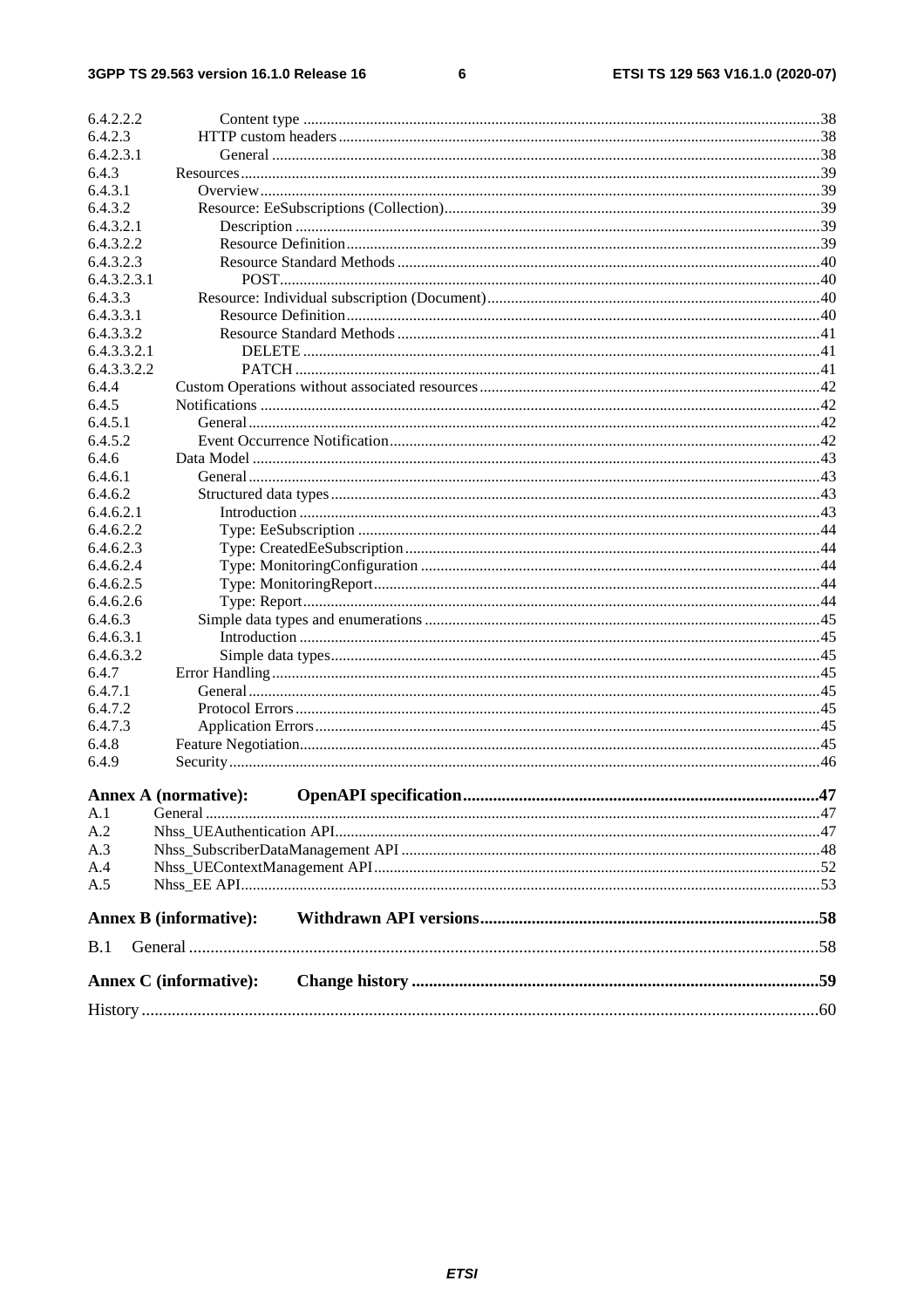#### $\bf 6$

| 6.4.2.2.2   |                               |  |  |
|-------------|-------------------------------|--|--|
| 6.4.2.3     |                               |  |  |
| 6.4.2.3.1   |                               |  |  |
| 6.4.3       |                               |  |  |
| 6.4.3.1     |                               |  |  |
| 6.4.3.2     |                               |  |  |
| 6.4.3.2.1   |                               |  |  |
| 6.4.3.2.2   |                               |  |  |
| 6.4.3.2.3   |                               |  |  |
| 6.4.3.2.3.1 |                               |  |  |
| 6.4.3.3     |                               |  |  |
| 6.4.3.3.1   |                               |  |  |
| 6.4.3.3.2   |                               |  |  |
| 6.4.3.3.2.1 |                               |  |  |
| 6.4.3.3.2.2 |                               |  |  |
| 6.4.4       |                               |  |  |
| 6.4.5       |                               |  |  |
| 6.4.5.1     |                               |  |  |
| 6.4.5.2     |                               |  |  |
| 6.4.6       |                               |  |  |
| 6.4.6.1     |                               |  |  |
| 6.4.6.2     |                               |  |  |
| 6.4.6.2.1   |                               |  |  |
| 6.4.6.2.2   |                               |  |  |
| 6.4.6.2.3   |                               |  |  |
| 6.4.6.2.4   |                               |  |  |
| 6.4.6.2.5   |                               |  |  |
| 6.4.6.2.6   |                               |  |  |
| 6.4.6.3     |                               |  |  |
| 6.4.6.3.1   |                               |  |  |
| 6.4.6.3.2   |                               |  |  |
| 6.4.7       |                               |  |  |
| 6.4.7.1     |                               |  |  |
| 6.4.7.2     |                               |  |  |
| 6.4.7.3     |                               |  |  |
| 6.4.8       |                               |  |  |
| 6.4.9       |                               |  |  |
|             | <b>Annex A (normative):</b>   |  |  |
| A.1         |                               |  |  |
| A.2         |                               |  |  |
| A.3         |                               |  |  |
| A.4         |                               |  |  |
| A.5         |                               |  |  |
|             | <b>Annex B</b> (informative): |  |  |
| B.1         |                               |  |  |
|             | <b>Annex C</b> (informative): |  |  |
|             |                               |  |  |
|             |                               |  |  |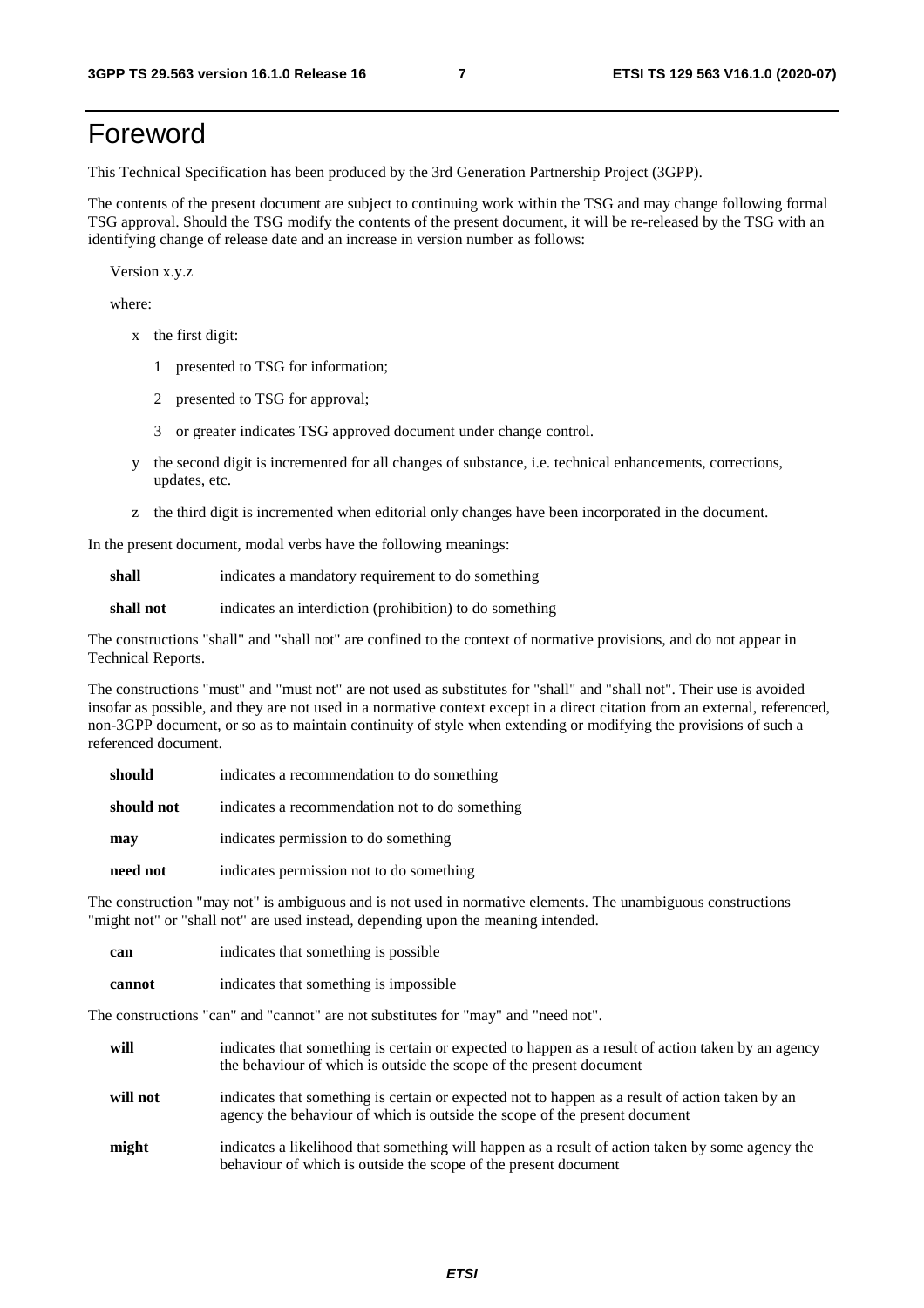## Foreword

This Technical Specification has been produced by the 3rd Generation Partnership Project (3GPP).

The contents of the present document are subject to continuing work within the TSG and may change following formal TSG approval. Should the TSG modify the contents of the present document, it will be re-released by the TSG with an identifying change of release date and an increase in version number as follows:

Version x.y.z

where:

- x the first digit:
	- 1 presented to TSG for information;
	- 2 presented to TSG for approval;
	- 3 or greater indicates TSG approved document under change control.
- y the second digit is incremented for all changes of substance, i.e. technical enhancements, corrections, updates, etc.
- z the third digit is incremented when editorial only changes have been incorporated in the document.

In the present document, modal verbs have the following meanings:

**shall** indicates a mandatory requirement to do something

**shall not** indicates an interdiction (prohibition) to do something

The constructions "shall" and "shall not" are confined to the context of normative provisions, and do not appear in Technical Reports.

The constructions "must" and "must not" are not used as substitutes for "shall" and "shall not". Their use is avoided insofar as possible, and they are not used in a normative context except in a direct citation from an external, referenced, non-3GPP document, or so as to maintain continuity of style when extending or modifying the provisions of such a referenced document.

| should     | indicates a recommendation to do something     |
|------------|------------------------------------------------|
| should not | indicates a recommendation not to do something |
| may        | indicates permission to do something           |
| need not   | indicates permission not to do something       |

The construction "may not" is ambiguous and is not used in normative elements. The unambiguous constructions "might not" or "shall not" are used instead, depending upon the meaning intended.

| can    | indicates that something is possible   |
|--------|----------------------------------------|
| cannot | indicates that something is impossible |

The constructions "can" and "cannot" are not substitutes for "may" and "need not".

| will     | indicates that something is certain or expected to happen as a result of action taken by an agency<br>the behaviour of which is outside the scope of the present document     |
|----------|-------------------------------------------------------------------------------------------------------------------------------------------------------------------------------|
| will not | indicates that something is certain or expected not to happen as a result of action taken by an<br>agency the behaviour of which is outside the scope of the present document |
| might    | indicates a likelihood that something will happen as a result of action taken by some agency the<br>behaviour of which is outside the scope of the present document           |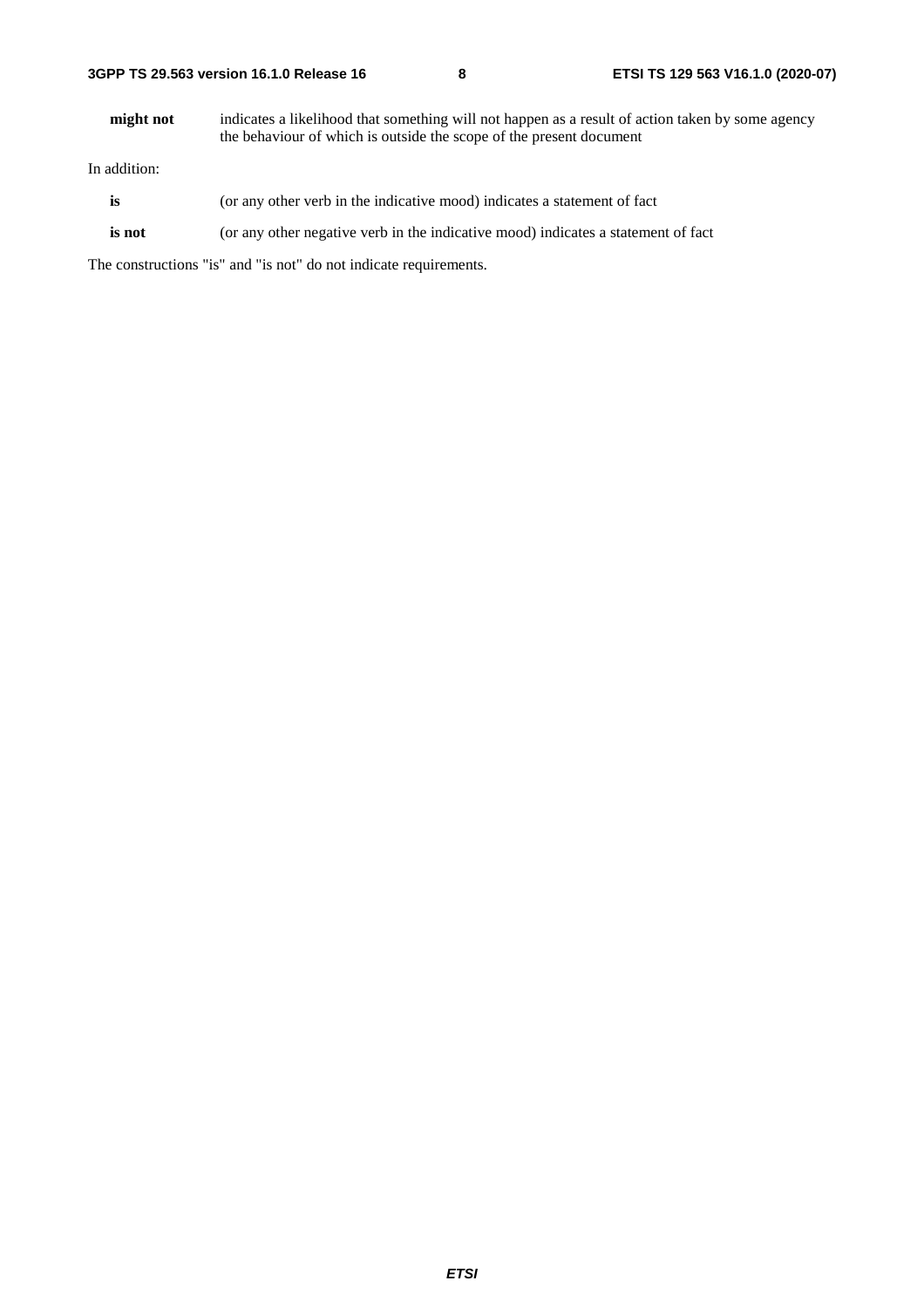| 3GPP TS 29.563 version 16.1.0 Release 16 |  |  |  |  |  |  |
|------------------------------------------|--|--|--|--|--|--|
|------------------------------------------|--|--|--|--|--|--|

**might not** indicates a likelihood that something will not happen as a result of action taken by some agency the behaviour of which is outside the scope of the present document

In addition:

- is (or any other verb in the indicative mood) indicates a statement of fact
- **is not** (or any other negative verb in the indicative mood) indicates a statement of fact

The constructions "is" and "is not" do not indicate requirements.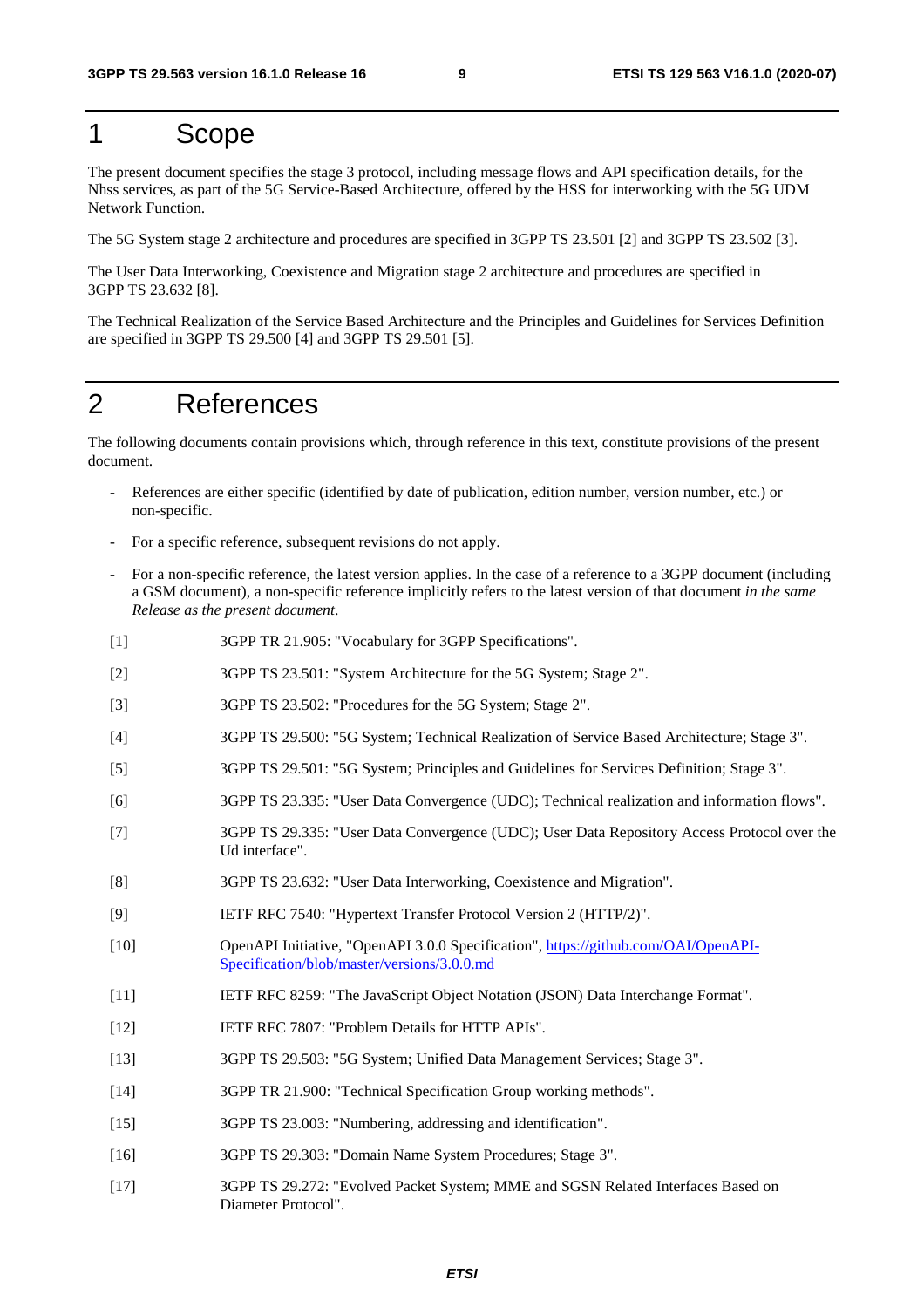## 1 Scope

The present document specifies the stage 3 protocol, including message flows and API specification details, for the Nhss services, as part of the 5G Service-Based Architecture, offered by the HSS for interworking with the 5G UDM Network Function.

The 5G System stage 2 architecture and procedures are specified in 3GPP TS 23.501 [2] and 3GPP TS 23.502 [3].

The User Data Interworking, Coexistence and Migration stage 2 architecture and procedures are specified in 3GPP TS 23.632 [8].

The Technical Realization of the Service Based Architecture and the Principles and Guidelines for Services Definition are specified in 3GPP TS 29.500 [4] and 3GPP TS 29.501 [5].

## 2 References

The following documents contain provisions which, through reference in this text, constitute provisions of the present document.

- References are either specific (identified by date of publication, edition number, version number, etc.) or non-specific.
- For a specific reference, subsequent revisions do not apply.
- For a non-specific reference, the latest version applies. In the case of a reference to a 3GPP document (including a GSM document), a non-specific reference implicitly refers to the latest version of that document *in the same Release as the present document*.
- [1] 3GPP TR 21.905: "Vocabulary for 3GPP Specifications".
- [2] 3GPP TS 23.501: "System Architecture for the 5G System; Stage 2".
- [3] 3GPP TS 23.502: "Procedures for the 5G System; Stage 2".
- [4] 3GPP TS 29.500: "5G System; Technical Realization of Service Based Architecture; Stage 3".
- [5] 3GPP TS 29.501: "5G System; Principles and Guidelines for Services Definition; Stage 3".
- [6] 3GPP TS 23.335: "User Data Convergence (UDC); Technical realization and information flows".
- [7] 3GPP TS 29.335: "User Data Convergence (UDC); User Data Repository Access Protocol over the Ud interface".
- [8] 3GPP TS 23.632: "User Data Interworking, Coexistence and Migration".
- [9] IETF RFC 7540: "Hypertext Transfer Protocol Version 2 (HTTP/2)".
- [10] OpenAPI Initiative, "OpenAPI 3.0.0 Specification", [https://github.com/OAI/OpenAPI](https://github.com/OAI/OpenAPI-Specification/blob/master/versions/3.0.0.md)-[Specification/blob/master/versions/3.0.0.md](https://github.com/OAI/OpenAPI-Specification/blob/master/versions/3.0.0.md)
- [11] IETF RFC 8259: "The JavaScript Object Notation (JSON) Data Interchange Format".
- [12] IETF RFC 7807: "Problem Details for HTTP APIs".
- [13] 3GPP TS 29.503: "5G System; Unified Data Management Services; Stage 3".
- [14] 3GPP TR 21.900: "Technical Specification Group working methods".
- [15] 3GPP TS 23.003: "Numbering, addressing and identification".
- [16] 3GPP TS 29.303: "Domain Name System Procedures; Stage 3".
- [17] 3GPP TS 29.272: "Evolved Packet System; MME and SGSN Related Interfaces Based on Diameter Protocol".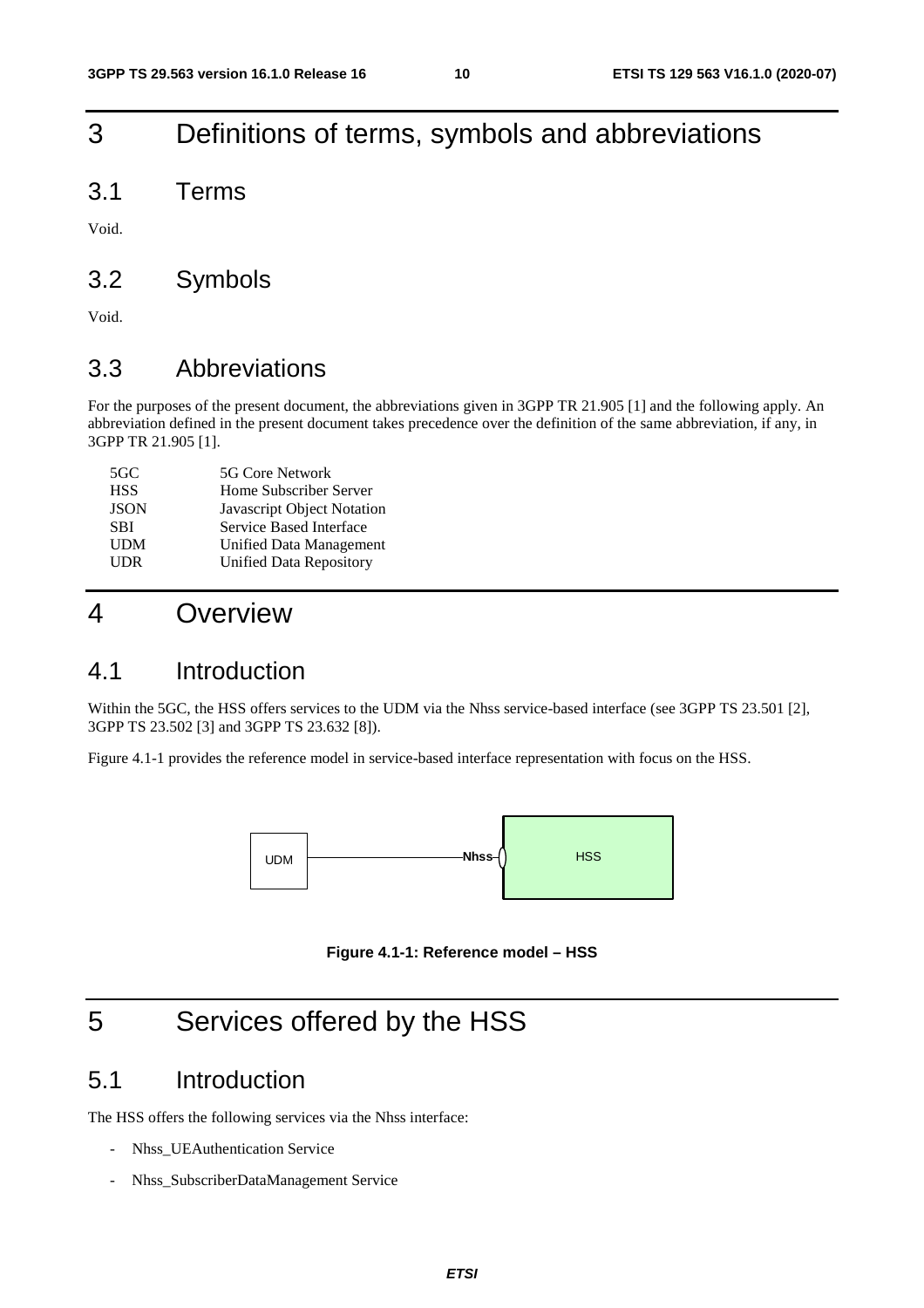## 3 Definitions of terms, symbols and abbreviations

3.1 Terms

Void.

### 3.2 Symbols

Void.

### 3.3 Abbreviations

For the purposes of the present document, the abbreviations given in 3GPP TR 21.905 [1] and the following apply. An abbreviation defined in the present document takes precedence over the definition of the same abbreviation, if any, in 3GPP TR 21.905 [1].

| 5GC         | 5G Core Network                |
|-------------|--------------------------------|
| <b>HSS</b>  | Home Subscriber Server         |
| <b>JSON</b> | Javascript Object Notation     |
| <b>SBI</b>  | Service Based Interface        |
| <b>UDM</b>  | Unified Data Management        |
| <b>UDR</b>  | <b>Unified Data Repository</b> |

## 4 Overview

### 4.1 Introduction

Within the 5GC, the HSS offers services to the UDM via the Nhss service-based interface (see 3GPP TS 23.501 [2], 3GPP TS 23.502 [3] and 3GPP TS 23.632 [8]).

Figure 4.1-1 provides the reference model in service-based interface representation with focus on the HSS.



**Figure 4.1-1: Reference model – HSS** 

## 5 Services offered by the HSS

### 5.1 Introduction

The HSS offers the following services via the Nhss interface:

- Nhss UEAuthentication Service
- Nhss\_SubscriberDataManagement Service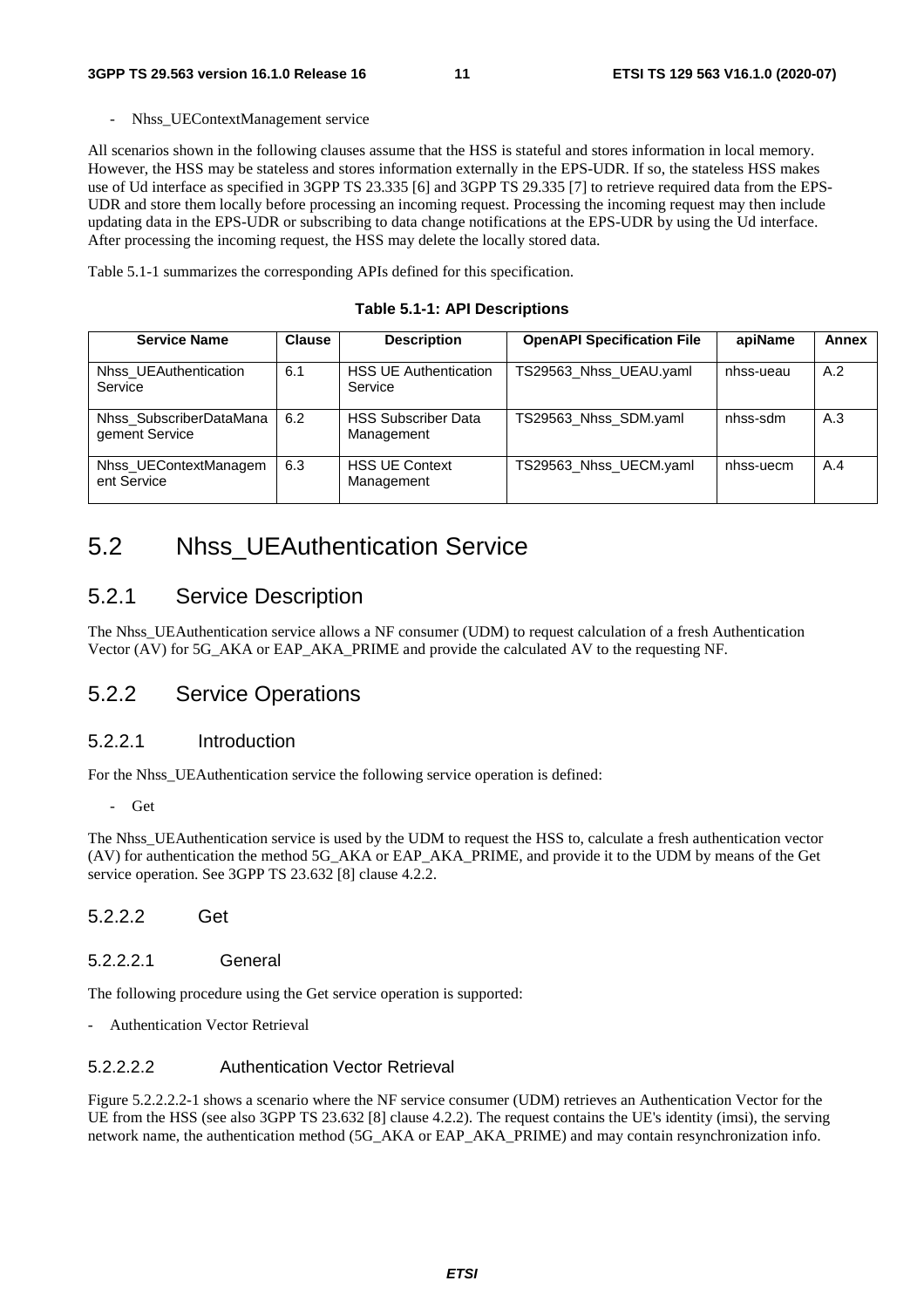- Nhss\_UEContextManagement service

All scenarios shown in the following clauses assume that the HSS is stateful and stores information in local memory. However, the HSS may be stateless and stores information externally in the EPS-UDR. If so, the stateless HSS makes use of Ud interface as specified in 3GPP TS 23.335 [6] and 3GPP TS 29.335 [7] to retrieve required data from the EPS-UDR and store them locally before processing an incoming request. Processing the incoming request may then include updating data in the EPS-UDR or subscribing to data change notifications at the EPS-UDR by using the Ud interface. After processing the incoming request, the HSS may delete the locally stored data.

Table 5.1-1 summarizes the corresponding APIs defined for this specification.

#### **Table 5.1-1: API Descriptions**

| <b>Service Name</b>                       | <b>Clause</b> | <b>Description</b>                       | <b>OpenAPI Specification File</b> | apiName   | Annex |
|-------------------------------------------|---------------|------------------------------------------|-----------------------------------|-----------|-------|
| Nhss UEAuthentication<br>Service          | 6.1           | <b>HSS UE Authentication</b><br>Service  | TS29563 Nhss UEAU.yaml            | nhss-ueau | A.2   |
| Nhss SubscriberDataMana<br>gement Service | 6.2           | <b>HSS Subscriber Data</b><br>Management | TS29563_Nhss_SDM.yaml             | nhss-sdm  | A.3   |
| Nhss UEContextManagem<br>ent Service      | 6.3           | <b>HSS UE Context</b><br>Management      | TS29563 Nhss UECM.yaml            | nhss-uecm | A.4   |

## 5.2 Nhss\_UEAuthentication Service

### 5.2.1 Service Description

The Nhss\_UEAuthentication service allows a NF consumer (UDM) to request calculation of a fresh Authentication Vector (AV) for 5G\_AKA or EAP\_AKA\_PRIME and provide the calculated AV to the requesting NF.

### 5.2.2 Service Operations

#### 5.2.2.1 Introduction

For the Nhss\_UEAuthentication service the following service operation is defined:

- Get

The Nhss\_UEAuthentication service is used by the UDM to request the HSS to, calculate a fresh authentication vector (AV) for authentication the method 5G\_AKA or EAP\_AKA\_PRIME, and provide it to the UDM by means of the Get service operation. See 3GPP TS 23.632 [8] clause 4.2.2.

#### 5.2.2.2 Get

#### 5.2.2.2.1 General

The following procedure using the Get service operation is supported:

- Authentication Vector Retrieval

#### 5.2.2.2.2 Authentication Vector Retrieval

Figure 5.2.2.2.2-1 shows a scenario where the NF service consumer (UDM) retrieves an Authentication Vector for the UE from the HSS (see also 3GPP TS 23.632 [8] clause 4.2.2). The request contains the UE's identity (imsi), the serving network name, the authentication method (5G\_AKA or EAP\_AKA\_PRIME) and may contain resynchronization info.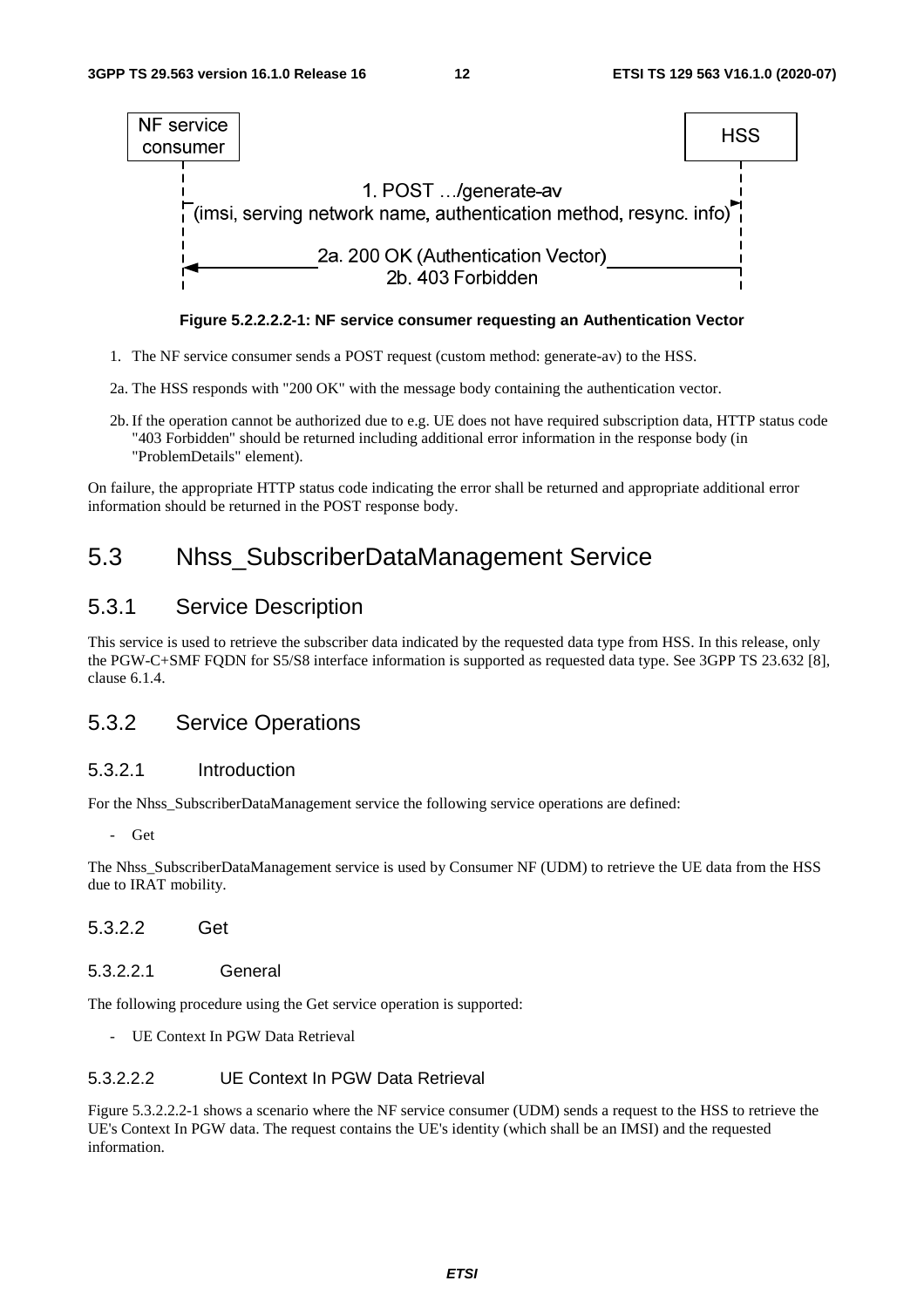

**Figure 5.2.2.2.2-1: NF service consumer requesting an Authentication Vector** 

- 1. The NF service consumer sends a POST request (custom method: generate-av) to the HSS.
- 2a. The HSS responds with "200 OK" with the message body containing the authentication vector.
- 2b. If the operation cannot be authorized due to e.g. UE does not have required subscription data, HTTP status code "403 Forbidden" should be returned including additional error information in the response body (in "ProblemDetails" element).

On failure, the appropriate HTTP status code indicating the error shall be returned and appropriate additional error information should be returned in the POST response body.

## 5.3 Nhss\_SubscriberDataManagement Service

### 5.3.1 Service Description

This service is used to retrieve the subscriber data indicated by the requested data type from HSS. In this release, only the PGW-C+SMF FQDN for S5/S8 interface information is supported as requested data type. See 3GPP TS 23.632 [8], clause 6.1.4.

### 5.3.2 Service Operations

#### 5.3.2.1 Introduction

For the Nhss\_SubscriberDataManagement service the following service operations are defined:

- Get

The Nhss SubscriberDataManagement service is used by Consumer NF (UDM) to retrieve the UE data from the HSS due to IRAT mobility.

- 5.3.2.2 Get
- 5.3.2.2.1 General

The following procedure using the Get service operation is supported:

- UE Context In PGW Data Retrieval

### 5.3.2.2.2 UE Context In PGW Data Retrieval

Figure 5.3.2.2.2-1 shows a scenario where the NF service consumer (UDM) sends a request to the HSS to retrieve the UE's Context In PGW data. The request contains the UE's identity (which shall be an IMSI) and the requested information.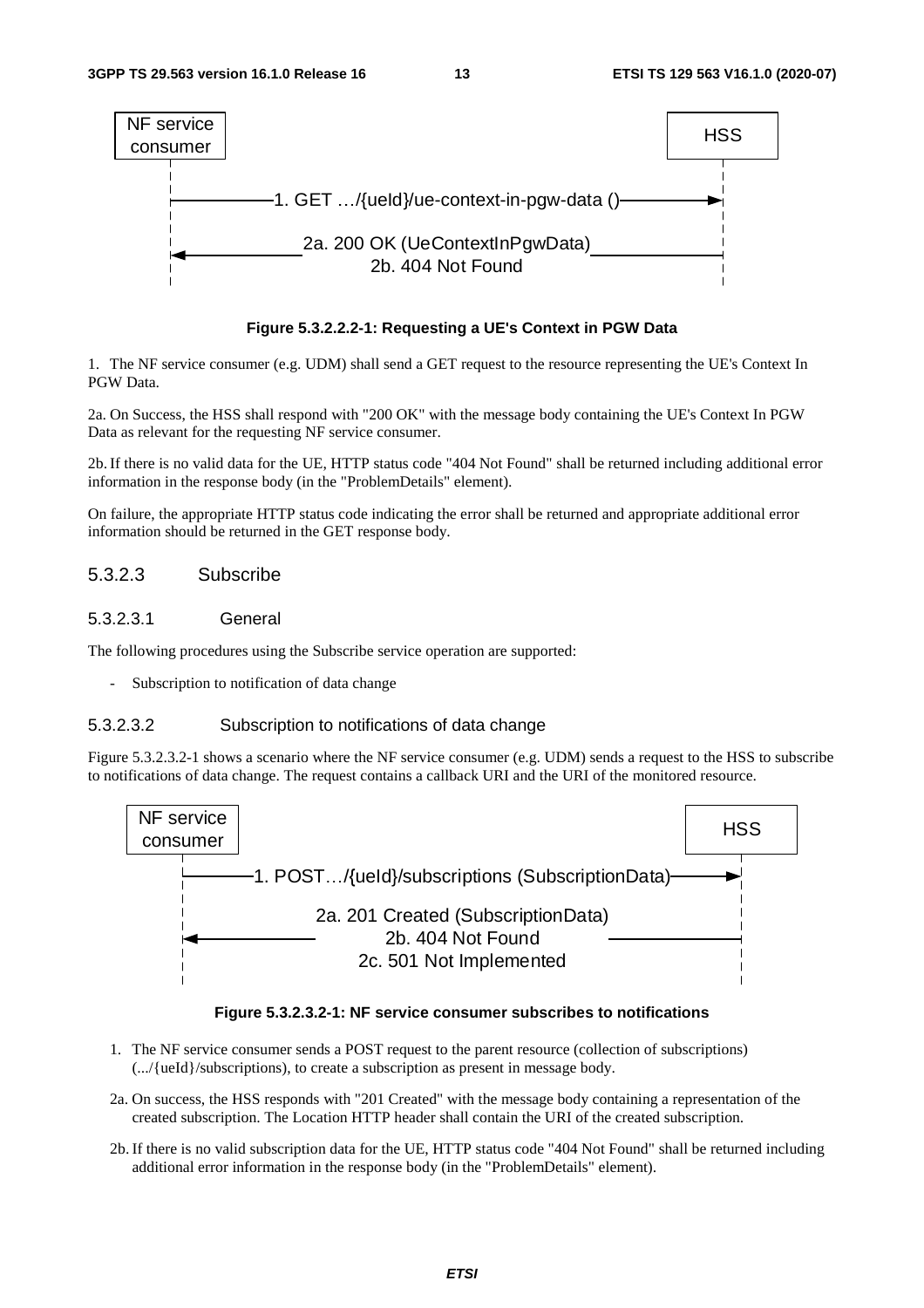

#### **Figure 5.3.2.2.2-1: Requesting a UE's Context in PGW Data**

1. The NF service consumer (e.g. UDM) shall send a GET request to the resource representing the UE's Context In PGW Data.

2a. On Success, the HSS shall respond with "200 OK" with the message body containing the UE's Context In PGW Data as relevant for the requesting NF service consumer.

2b. If there is no valid data for the UE, HTTP status code "404 Not Found" shall be returned including additional error information in the response body (in the "ProblemDetails" element).

On failure, the appropriate HTTP status code indicating the error shall be returned and appropriate additional error information should be returned in the GET response body.

#### 5.3.2.3 Subscribe

#### 5.3.2.3.1 General

The following procedures using the Subscribe service operation are supported:

Subscription to notification of data change

#### 5.3.2.3.2 Subscription to notifications of data change

Figure 5.3.2.3.2-1 shows a scenario where the NF service consumer (e.g. UDM) sends a request to the HSS to subscribe to notifications of data change. The request contains a callback URI and the URI of the monitored resource.



#### **Figure 5.3.2.3.2-1: NF service consumer subscribes to notifications**

- 1. The NF service consumer sends a POST request to the parent resource (collection of subscriptions) (.../{ueId}/subscriptions), to create a subscription as present in message body.
- 2a. On success, the HSS responds with "201 Created" with the message body containing a representation of the created subscription. The Location HTTP header shall contain the URI of the created subscription.
- 2b. If there is no valid subscription data for the UE, HTTP status code "404 Not Found" shall be returned including additional error information in the response body (in the "ProblemDetails" element).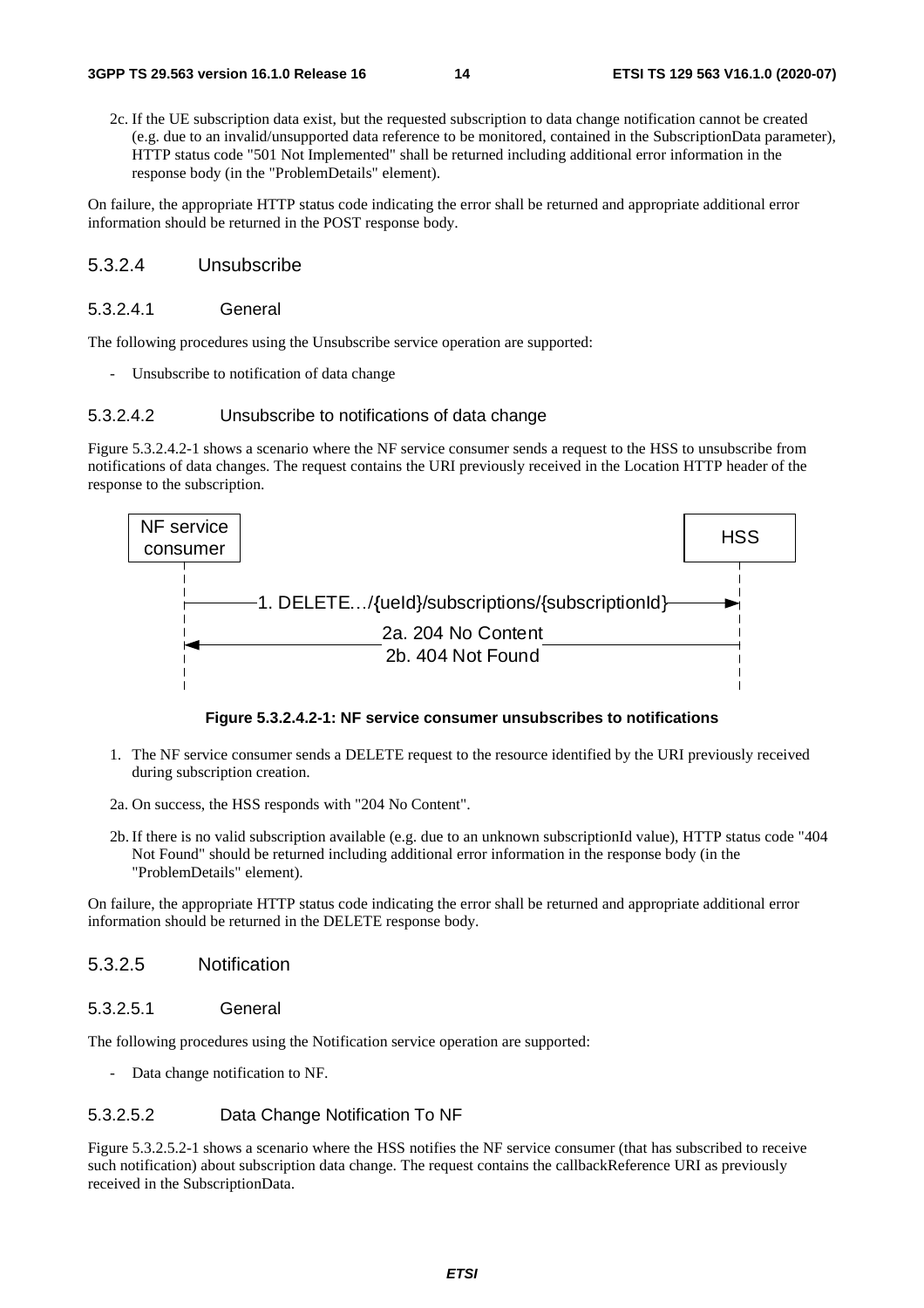2c. If the UE subscription data exist, but the requested subscription to data change notification cannot be created (e.g. due to an invalid/unsupported data reference to be monitored, contained in the SubscriptionData parameter), HTTP status code "501 Not Implemented" shall be returned including additional error information in the response body (in the "ProblemDetails" element).

On failure, the appropriate HTTP status code indicating the error shall be returned and appropriate additional error information should be returned in the POST response body.

#### 5.3.2.4 Unsubscribe

#### 5.3.2.4.1 General

The following procedures using the Unsubscribe service operation are supported:

Unsubscribe to notification of data change

#### 5.3.2.4.2 Unsubscribe to notifications of data change

Figure 5.3.2.4.2-1 shows a scenario where the NF service consumer sends a request to the HSS to unsubscribe from notifications of data changes. The request contains the URI previously received in the Location HTTP header of the response to the subscription.



**Figure 5.3.2.4.2-1: NF service consumer unsubscribes to notifications** 

- 1. The NF service consumer sends a DELETE request to the resource identified by the URI previously received during subscription creation.
- 2a. On success, the HSS responds with "204 No Content".
- 2b. If there is no valid subscription available (e.g. due to an unknown subscriptionId value), HTTP status code "404 Not Found" should be returned including additional error information in the response body (in the "ProblemDetails" element).

On failure, the appropriate HTTP status code indicating the error shall be returned and appropriate additional error information should be returned in the DELETE response body.

#### 5.3.2.5 Notification

#### 5.3.2.5.1 General

The following procedures using the Notification service operation are supported:

Data change notification to NF.

#### 5.3.2.5.2 Data Change Notification To NF

Figure 5.3.2.5.2-1 shows a scenario where the HSS notifies the NF service consumer (that has subscribed to receive such notification) about subscription data change. The request contains the callbackReference URI as previously received in the SubscriptionData.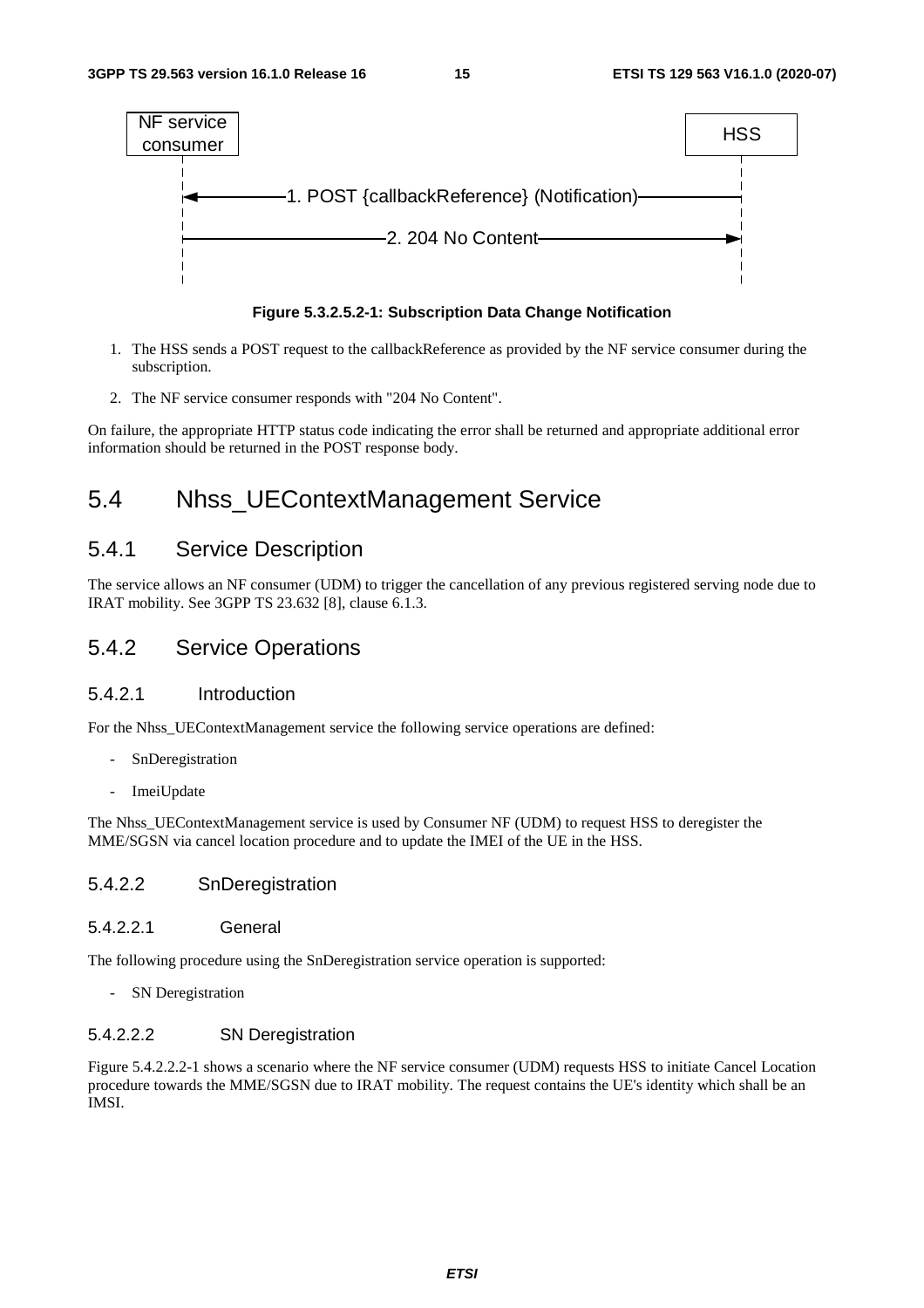



- 1. The HSS sends a POST request to the callbackReference as provided by the NF service consumer during the subscription.
- 2. The NF service consumer responds with "204 No Content".

On failure, the appropriate HTTP status code indicating the error shall be returned and appropriate additional error information should be returned in the POST response body.

## 5.4 Nhss\_UEContextManagement Service

### 5.4.1 Service Description

The service allows an NF consumer (UDM) to trigger the cancellation of any previous registered serving node due to IRAT mobility. See 3GPP TS 23.632 [8], clause 6.1.3.

### 5.4.2 Service Operations

#### 5.4.2.1 Introduction

For the Nhss UEContextManagement service the following service operations are defined:

- SnDeregistration
- ImeiUpdate

The Nhss\_UEContextManagement service is used by Consumer NF (UDM) to request HSS to deregister the MME/SGSN via cancel location procedure and to update the IMEI of the UE in the HSS.

#### 5.4.2.2 SnDeregistration

#### 5.4.2.2.1 General

The following procedure using the SnDeregistration service operation is supported:

- SN Deregistration

#### 5.4.2.2.2 SN Deregistration

Figure 5.4.2.2.2-1 shows a scenario where the NF service consumer (UDM) requests HSS to initiate Cancel Location procedure towards the MME/SGSN due to IRAT mobility. The request contains the UE's identity which shall be an IMSI.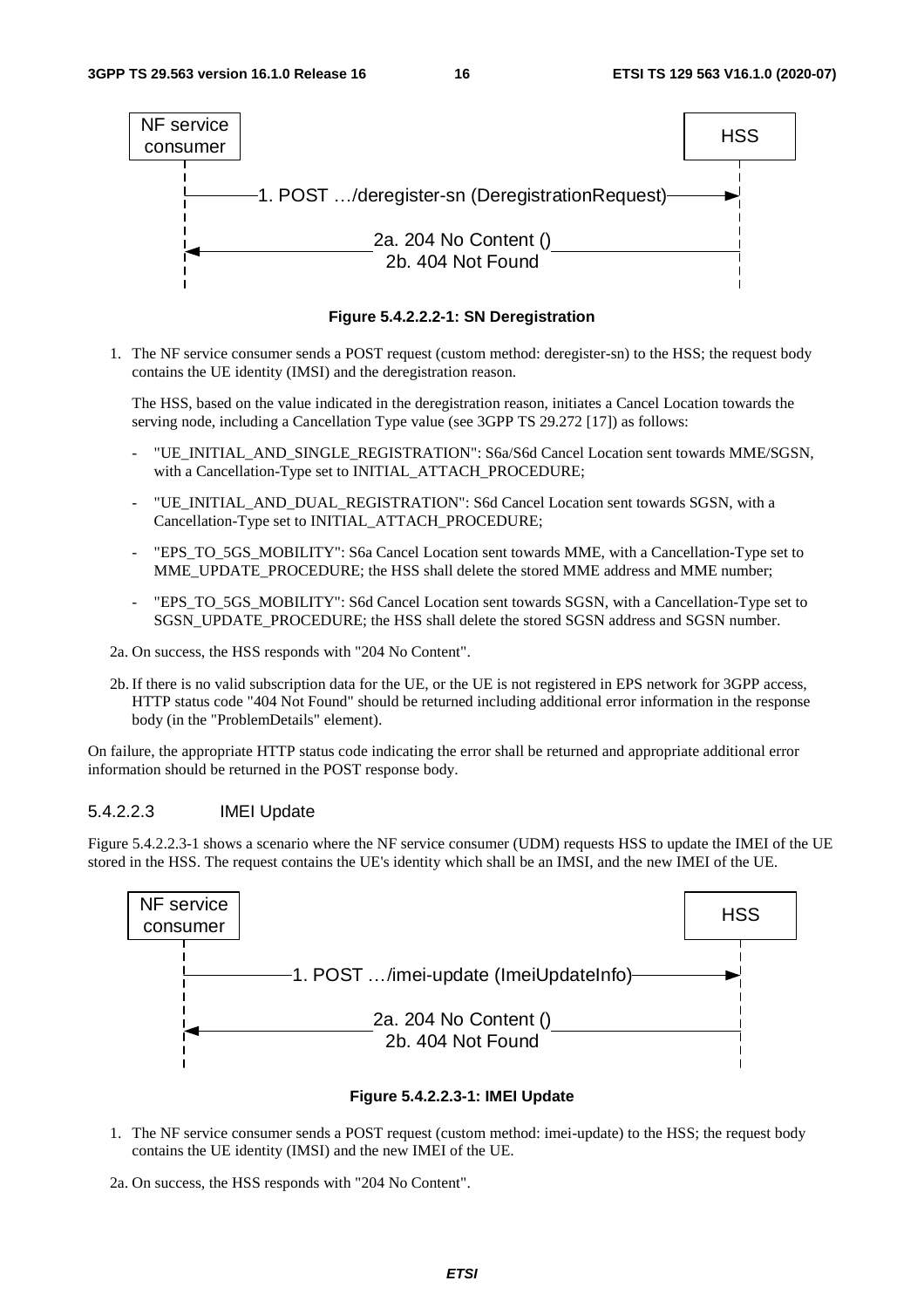

**Figure 5.4.2.2.2-1: SN Deregistration** 

1. The NF service consumer sends a POST request (custom method: deregister-sn) to the HSS; the request body contains the UE identity (IMSI) and the deregistration reason.

 The HSS, based on the value indicated in the deregistration reason, initiates a Cancel Location towards the serving node, including a Cancellation Type value (see 3GPP TS 29.272 [17]) as follows:

- "UE\_INITIAL\_AND\_SINGLE\_REGISTRATION": S6a/S6d Cancel Location sent towards MME/SGSN, with a Cancellation-Type set to INITIAL\_ATTACH\_PROCEDURE;
- "UE\_INITIAL\_AND\_DUAL\_REGISTRATION": S6d Cancel Location sent towards SGSN, with a Cancellation-Type set to INITIAL\_ATTACH\_PROCEDURE;
- "EPS\_TO\_5GS\_MOBILITY": S6a Cancel Location sent towards MME, with a Cancellation-Type set to MME\_UPDATE\_PROCEDURE; the HSS shall delete the stored MME address and MME number;
- "EPS\_TO\_5GS\_MOBILITY": S6d Cancel Location sent towards SGSN, with a Cancellation-Type set to SGSN\_UPDATE\_PROCEDURE; the HSS shall delete the stored SGSN address and SGSN number.
- 2a. On success, the HSS responds with "204 No Content".
- 2b. If there is no valid subscription data for the UE, or the UE is not registered in EPS network for 3GPP access, HTTP status code "404 Not Found" should be returned including additional error information in the response body (in the "ProblemDetails" element).

On failure, the appropriate HTTP status code indicating the error shall be returned and appropriate additional error information should be returned in the POST response body.

#### 5.4.2.2.3 IMEI Update

Figure 5.4.2.2.3-1 shows a scenario where the NF service consumer (UDM) requests HSS to update the IMEI of the UE stored in the HSS. The request contains the UE's identity which shall be an IMSI, and the new IMEI of the UE.



#### **Figure 5.4.2.2.3-1: IMEI Update**

- 1. The NF service consumer sends a POST request (custom method: imei-update) to the HSS; the request body contains the UE identity (IMSI) and the new IMEI of the UE.
- 2a. On success, the HSS responds with "204 No Content".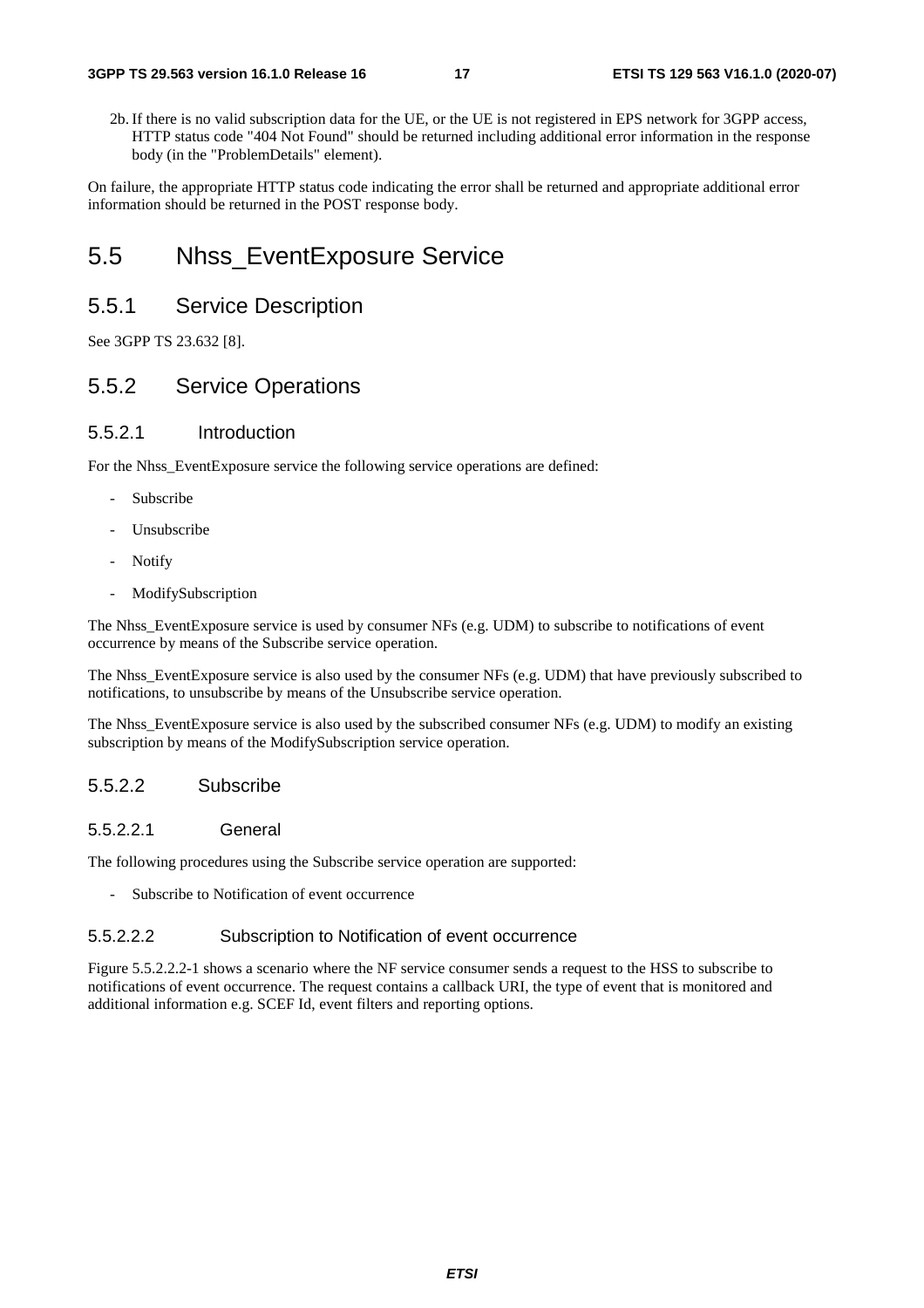2b. If there is no valid subscription data for the UE, or the UE is not registered in EPS network for 3GPP access, HTTP status code "404 Not Found" should be returned including additional error information in the response body (in the "ProblemDetails" element).

On failure, the appropriate HTTP status code indicating the error shall be returned and appropriate additional error information should be returned in the POST response body.

### 5.5 Nhss\_EventExposure Service

### 5.5.1 Service Description

See 3GPP TS 23.632 [8].

### 5.5.2 Service Operations

#### 5.5.2.1 Introduction

For the Nhss\_EventExposure service the following service operations are defined:

- **Subscribe**
- Unsubscribe
- Notify
- ModifySubscription

The Nhss\_EventExposure service is used by consumer NFs (e.g. UDM) to subscribe to notifications of event occurrence by means of the Subscribe service operation.

The Nhss\_EventExposure service is also used by the consumer NFs (e.g. UDM) that have previously subscribed to notifications, to unsubscribe by means of the Unsubscribe service operation.

The Nhss\_EventExposure service is also used by the subscribed consumer NFs (e.g. UDM) to modify an existing subscription by means of the ModifySubscription service operation.

#### 5.5.2.2 Subscribe

#### 5.5.2.2.1 General

The following procedures using the Subscribe service operation are supported:

Subscribe to Notification of event occurrence

#### 5.5.2.2.2 Subscription to Notification of event occurrence

Figure 5.5.2.2.2-1 shows a scenario where the NF service consumer sends a request to the HSS to subscribe to notifications of event occurrence. The request contains a callback URI, the type of event that is monitored and additional information e.g. SCEF Id, event filters and reporting options.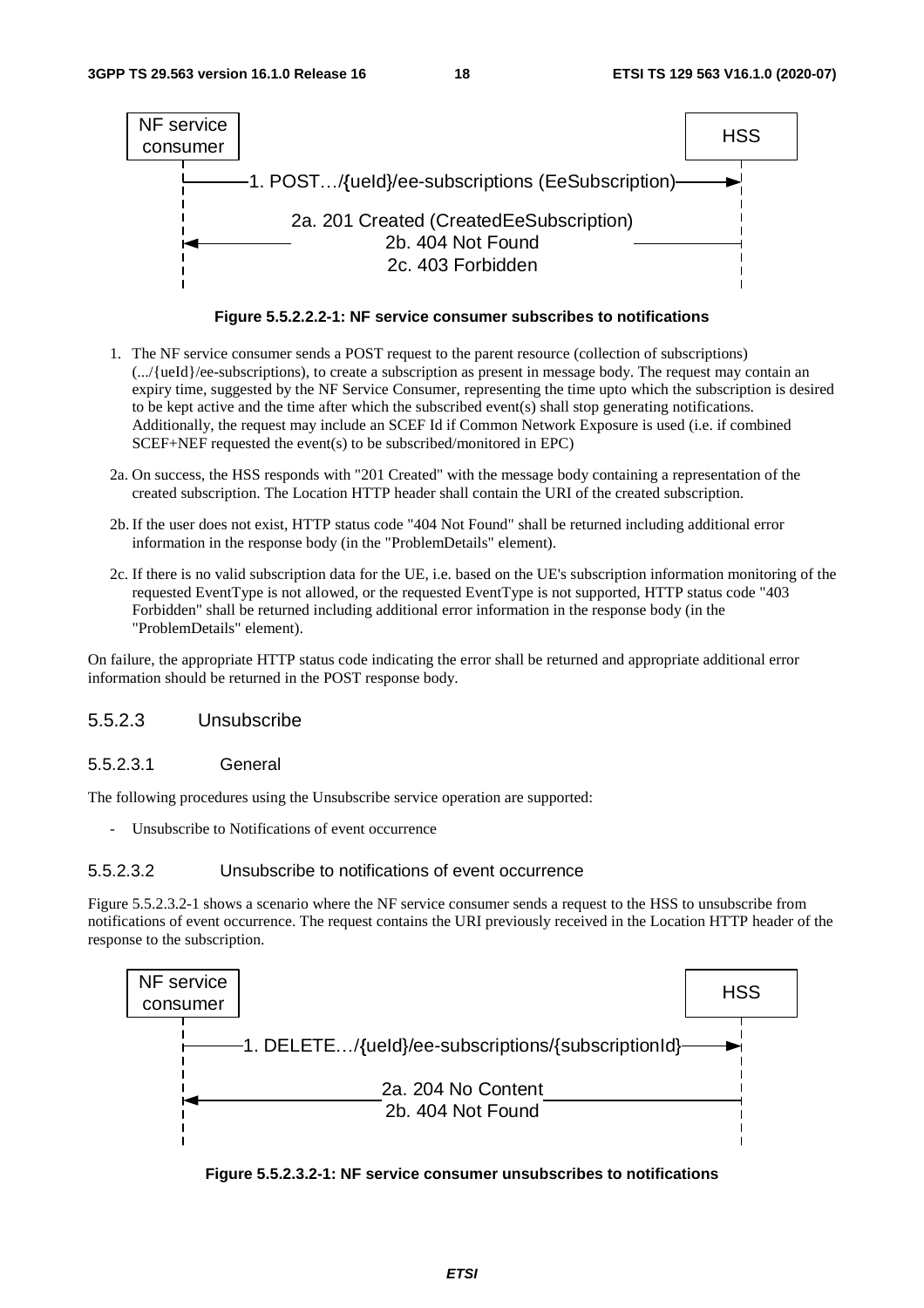

**Figure 5.5.2.2.2-1: NF service consumer subscribes to notifications** 

- 1. The NF service consumer sends a POST request to the parent resource (collection of subscriptions) (.../{ueId}/ee-subscriptions), to create a subscription as present in message body. The request may contain an expiry time, suggested by the NF Service Consumer, representing the time upto which the subscription is desired to be kept active and the time after which the subscribed event(s) shall stop generating notifications. Additionally, the request may include an SCEF Id if Common Network Exposure is used (i.e. if combined SCEF+NEF requested the event(s) to be subscribed/monitored in EPC)
- 2a. On success, the HSS responds with "201 Created" with the message body containing a representation of the created subscription. The Location HTTP header shall contain the URI of the created subscription.
- 2b. If the user does not exist, HTTP status code "404 Not Found" shall be returned including additional error information in the response body (in the "ProblemDetails" element).
- 2c. If there is no valid subscription data for the UE, i.e. based on the UE's subscription information monitoring of the requested EventType is not allowed, or the requested EventType is not supported, HTTP status code "403 Forbidden" shall be returned including additional error information in the response body (in the "ProblemDetails" element).

On failure, the appropriate HTTP status code indicating the error shall be returned and appropriate additional error information should be returned in the POST response body.

#### 5.5.2.3 Unsubscribe

#### 5.5.2.3.1 General

The following procedures using the Unsubscribe service operation are supported:

- Unsubscribe to Notifications of event occurrence

#### 5.5.2.3.2 Unsubscribe to notifications of event occurrence

Figure 5.5.2.3.2-1 shows a scenario where the NF service consumer sends a request to the HSS to unsubscribe from notifications of event occurrence. The request contains the URI previously received in the Location HTTP header of the response to the subscription.



**Figure 5.5.2.3.2-1: NF service consumer unsubscribes to notifications**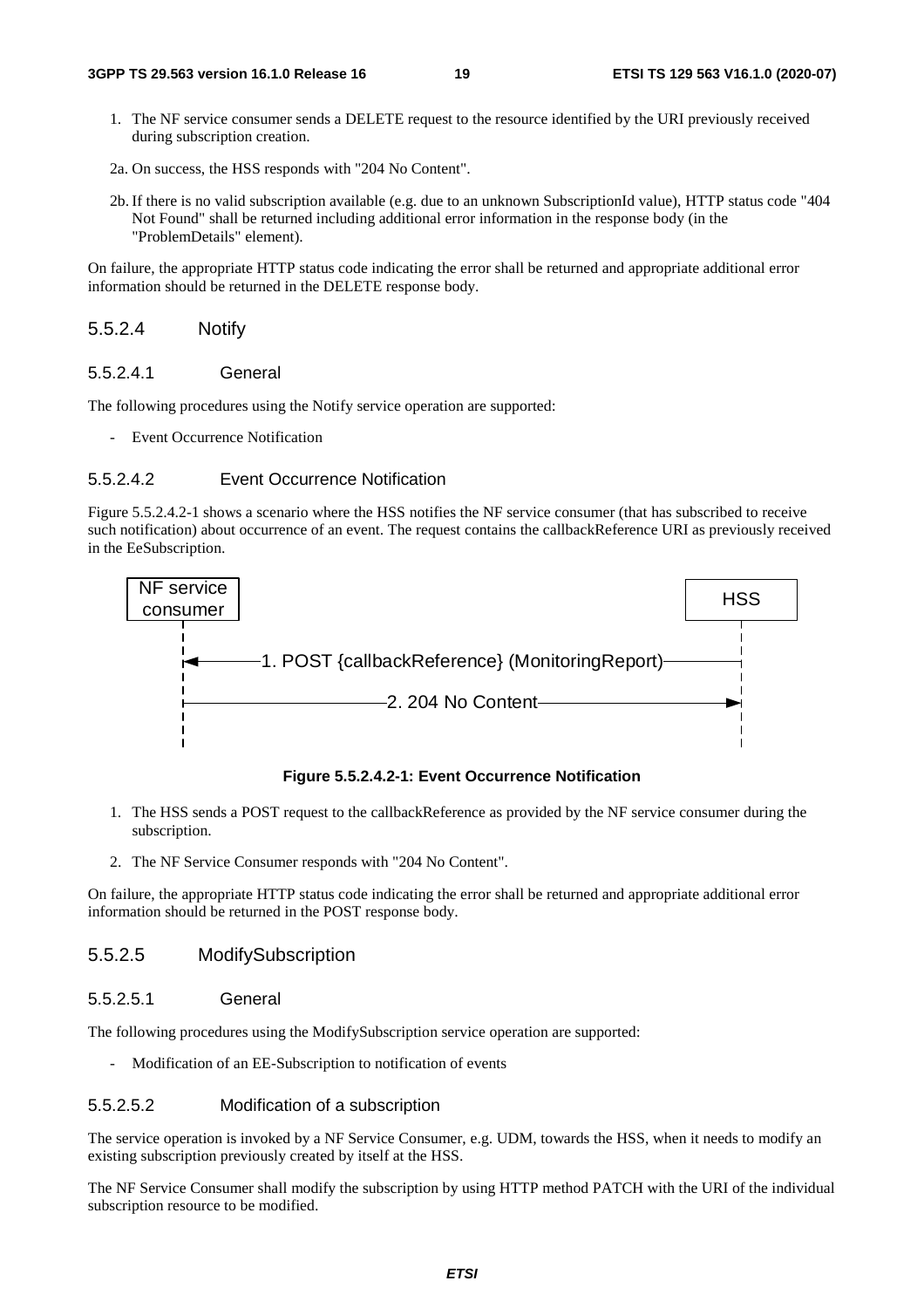- 1. The NF service consumer sends a DELETE request to the resource identified by the URI previously received during subscription creation.
- 2a. On success, the HSS responds with "204 No Content".
- 2b. If there is no valid subscription available (e.g. due to an unknown SubscriptionId value), HTTP status code "404 Not Found" shall be returned including additional error information in the response body (in the "ProblemDetails" element).

On failure, the appropriate HTTP status code indicating the error shall be returned and appropriate additional error information should be returned in the DELETE response body.

#### 5.5.2.4 Notify

#### 5.5.2.4.1 General

The following procedures using the Notify service operation are supported:

- Event Occurrence Notification

#### 5.5.2.4.2 Event Occurrence Notification

Figure 5.5.2.4.2-1 shows a scenario where the HSS notifies the NF service consumer (that has subscribed to receive such notification) about occurrence of an event. The request contains the callbackReference URI as previously received in the EeSubscription.



**Figure 5.5.2.4.2-1: Event Occurrence Notification** 

- 1. The HSS sends a POST request to the callbackReference as provided by the NF service consumer during the subscription.
- 2. The NF Service Consumer responds with "204 No Content".

On failure, the appropriate HTTP status code indicating the error shall be returned and appropriate additional error information should be returned in the POST response body.

#### 5.5.2.5 ModifySubscription

#### 5.5.2.5.1 General

The following procedures using the ModifySubscription service operation are supported:

- Modification of an EE-Subscription to notification of events

#### 5.5.2.5.2 Modification of a subscription

The service operation is invoked by a NF Service Consumer, e.g. UDM, towards the HSS, when it needs to modify an existing subscription previously created by itself at the HSS.

The NF Service Consumer shall modify the subscription by using HTTP method PATCH with the URI of the individual subscription resource to be modified.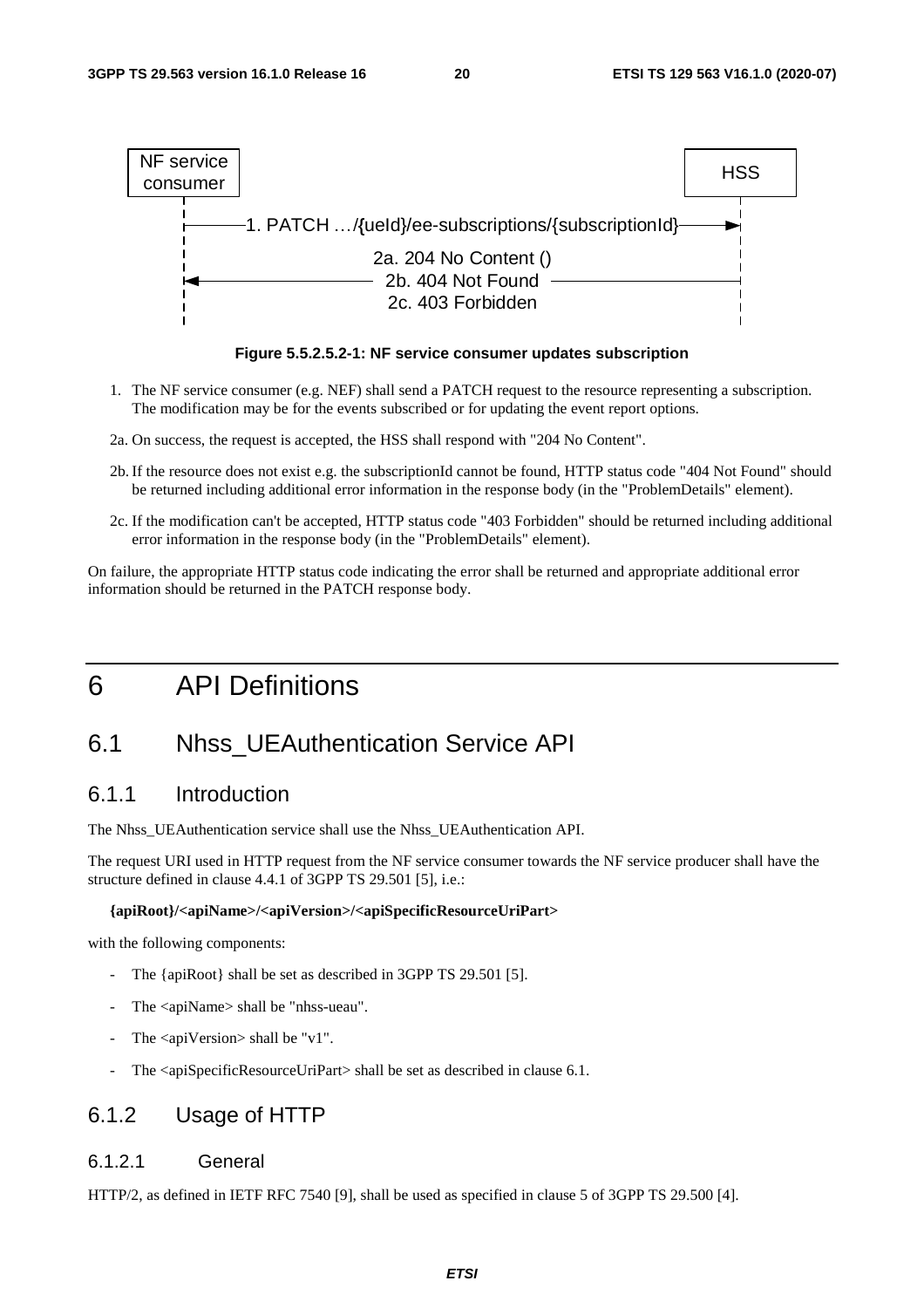



- 1. The NF service consumer (e.g. NEF) shall send a PATCH request to the resource representing a subscription. The modification may be for the events subscribed or for updating the event report options.
- 2a. On success, the request is accepted, the HSS shall respond with "204 No Content".
- 2b. If the resource does not exist e.g. the subscriptionId cannot be found, HTTP status code "404 Not Found" should be returned including additional error information in the response body (in the "ProblemDetails" element).
- 2c. If the modification can't be accepted, HTTP status code "403 Forbidden" should be returned including additional error information in the response body (in the "ProblemDetails" element).

On failure, the appropriate HTTP status code indicating the error shall be returned and appropriate additional error information should be returned in the PATCH response body.

## 6 API Definitions

## 6.1 Nhss\_UEAuthentication Service API

### 6.1.1 Introduction

The Nhss\_UEAuthentication service shall use the Nhss\_UEAuthentication API.

The request URI used in HTTP request from the NF service consumer towards the NF service producer shall have the structure defined in clause 4.4.1 of 3GPP TS 29.501 [5], i.e.:

#### **{apiRoot}/<apiName>/<apiVersion>/<apiSpecificResourceUriPart>**

with the following components:

- The {apiRoot} shall be set as described in 3GPP TS 29.501 [5].
- The <apiName> shall be "nhss-ueau".
- The  $\langle$ apiVersion $>$ shall be "v1".
- The <apiSpecificResourceUriPart> shall be set as described in clause 6.1.

### 6.1.2 Usage of HTTP

#### 6.1.2.1 General

HTTP/2, as defined in IETF RFC 7540 [9], shall be used as specified in clause 5 of 3GPP TS 29.500 [4].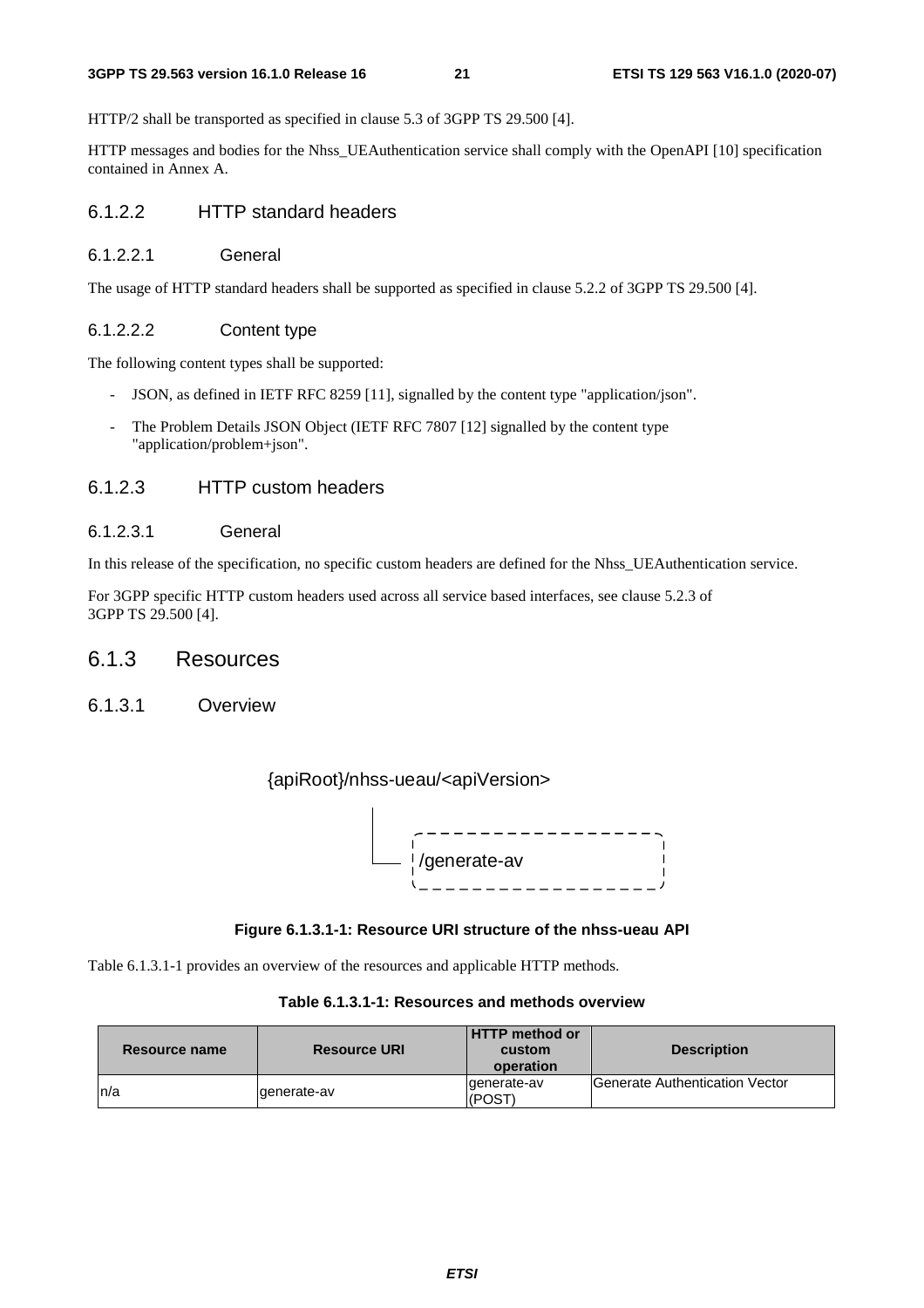#### **3GPP TS 29.563 version 16.1.0 Release 16 21 ETSI TS 129 563 V16.1.0 (2020-07)**

HTTP/2 shall be transported as specified in clause 5.3 of 3GPP TS 29.500 [4].

HTTP messages and bodies for the Nhss\_UEAuthentication service shall comply with the OpenAPI [10] specification contained in Annex A.

#### 6.1.2.2 HTTP standard headers

#### 6.1.2.2.1 General

The usage of HTTP standard headers shall be supported as specified in clause 5.2.2 of 3GPP TS 29.500 [4].

#### 6.1.2.2.2 Content type

The following content types shall be supported:

- JSON, as defined in IETF RFC 8259 [11], signalled by the content type "application/json".
- The Problem Details JSON Object (IETF RFC 7807 [12] signalled by the content type "application/problem+json".

#### 6.1.2.3 HTTP custom headers

#### 6.1.2.3.1 General

In this release of the specification, no specific custom headers are defined for the Nhss\_UEAuthentication service.

For 3GPP specific HTTP custom headers used across all service based interfaces, see clause 5.2.3 of 3GPP TS 29.500 [4].

#### 6.1.3 Resources

6.1.3.1 Overview

### {apiRoot}/nhss-ueau/<apiVersion>



#### **Figure 6.1.3.1-1: Resource URI structure of the nhss-ueau API**

Table 6.1.3.1-1 provides an overview of the resources and applicable HTTP methods.

#### **Table 6.1.3.1-1: Resources and methods overview**

| Resource name | <b>Resource URI</b> | <b>HTTP method or</b><br>custom<br>operation | <b>Description</b>              |
|---------------|---------------------|----------------------------------------------|---------------------------------|
| ln/a          | generate-av         | lgenerate-av<br>(POST                        | IGenerate Authentication Vector |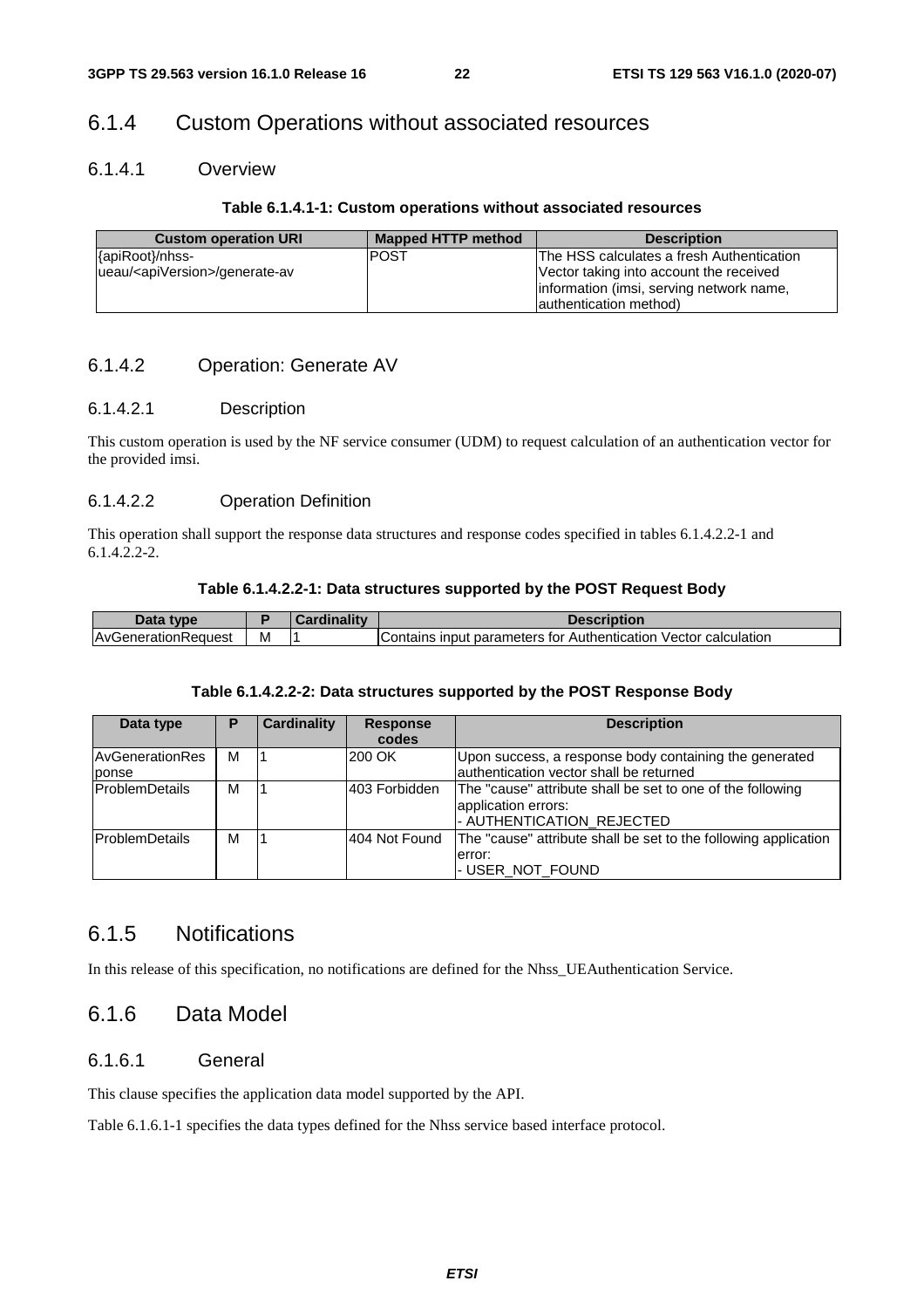### 6.1.4 Custom Operations without associated resources

#### 6.1.4.1 Overview

#### **Table 6.1.4.1-1: Custom operations without associated resources**

| <b>Custom operation URI</b>                  | Mapped HTTP method | <b>Description</b>                        |
|----------------------------------------------|--------------------|-------------------------------------------|
| {apiRoot}/nhss-                              | <b>POST</b>        | The HSS calculates a fresh Authentication |
| lueau/ <apiversion>/generate-av</apiversion> |                    | Vector taking into account the received   |
|                                              |                    | information (imsi, serving network name,  |
|                                              |                    | lauthentication method)                   |

#### 6.1.4.2 Operation: Generate AV

#### 6.1.4.2.1 Description

This custom operation is used by the NF service consumer (UDM) to request calculation of an authentication vector for the provided imsi.

#### 6.1.4.2.2 Operation Definition

This operation shall support the response data structures and response codes specified in tables 6.1.4.2.2-1 and  $6.1.4.\overline{2}.2-2.$ 

#### **Table 6.1.4.2.2-1: Data structures supported by the POST Request Body**

| tyne                        |   | <b>BR</b> | cription                                                                                   |
|-----------------------------|---|-----------|--------------------------------------------------------------------------------------------|
| IAvGeneration'<br>onReauest | M |           | Vector calculation<br>, input<br><b>parameters</b><br>. Authentication<br>Contains<br>tor. |

#### **Table 6.1.4.2.2-2: Data structures supported by the POST Response Body**

| Data type                | Р | <b>Cardinality</b> | <b>Response</b><br>codes | <b>Description</b>                                                                                             |
|--------------------------|---|--------------------|--------------------------|----------------------------------------------------------------------------------------------------------------|
| AvGenerationRes<br>ponse | M |                    | 200 OK                   | Upon success, a response body containing the generated<br>lauthentication vector shall be returned             |
| <b>ProblemDetails</b>    | м |                    | 403 Forbidden            | The "cause" attribute shall be set to one of the following<br>application errors:<br>- AUTHENTICATION_REJECTED |
| <b>ProblemDetails</b>    | М |                    | 404 Not Found            | The "cause" attribute shall be set to the following application<br>error:<br>- USER_NOT_FOUND                  |

### 6.1.5 Notifications

In this release of this specification, no notifications are defined for the Nhss\_UEAuthentication Service.

### 6.1.6 Data Model

#### 6.1.6.1 General

This clause specifies the application data model supported by the API.

Table 6.1.6.1-1 specifies the data types defined for the Nhss service based interface protocol.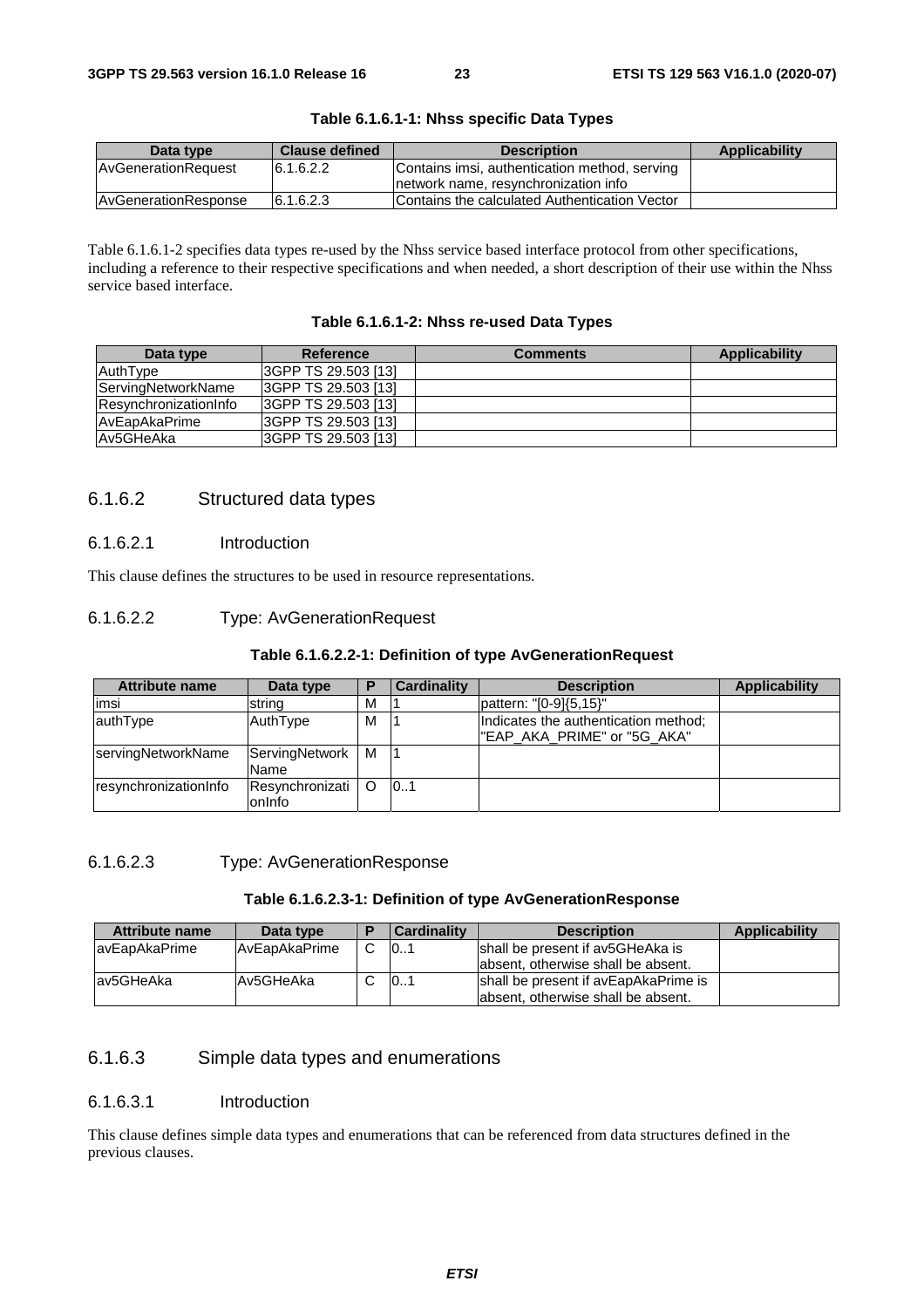| Data type                   | <b>Clause defined</b> | <b>Description</b>                            | <b>Applicability</b> |
|-----------------------------|-----------------------|-----------------------------------------------|----------------------|
| AvGenerationRequest         | 16.1.6.2.2            | Contains imsi, authentication method, serving |                      |
|                             |                       | Inetwork name, resynchronization info         |                      |
| <b>AvGenerationResponse</b> | 6.1.6.2.3             | Contains the calculated Authentication Vector |                      |

| Table 6.1.6.1-1: Nhss specific Data Types |  |  |  |  |  |
|-------------------------------------------|--|--|--|--|--|
|-------------------------------------------|--|--|--|--|--|

Table 6.1.6.1-2 specifies data types re-used by the Nhss service based interface protocol from other specifications, including a reference to their respective specifications and when needed, a short description of their use within the Nhss service based interface.

| Table 6.1.6.1-2: Nhss re-used Data Types |  |  |  |  |
|------------------------------------------|--|--|--|--|
|------------------------------------------|--|--|--|--|

| Data type                 | <b>Reference</b>     | <b>Comments</b> | Applicability |
|---------------------------|----------------------|-----------------|---------------|
| AuthType                  | I3GPP TS 29.503 [13] |                 |               |
| <b>ServingNetworkName</b> | 13GPP TS 29.503 [13] |                 |               |
| ResynchronizationInfo     | 13GPP TS 29.503 [13] |                 |               |
| <b>AvEapAkaPrime</b>      | I3GPP TS 29.503 [13] |                 |               |
| Av5GHeAka                 | I3GPP TS 29.503 [13] |                 |               |

#### 6.1.6.2 Structured data types

#### 6.1.6.2.1 Introduction

This clause defines the structures to be used in resource representations.

#### 6.1.6.2.2 Type: AvGenerationRequest

#### **Table 6.1.6.2.2-1: Definition of type AvGenerationRequest**

| <b>Attribute name</b> | Data type                 |   | <b>Cardinality</b> | <b>Description</b>                                                  | <b>Applicability</b> |
|-----------------------|---------------------------|---|--------------------|---------------------------------------------------------------------|----------------------|
| imsi                  | Istrina                   | М |                    | pattern: "[0-9]{5,15}"                                              |                      |
| authType              | AuthType                  | M |                    | Indicates the authentication method;<br>"EAP AKA PRIME" or "5G AKA" |                      |
| servingNetworkName    | ServingNetwork<br>Name    | м |                    |                                                                     |                      |
| resynchronizationInfo | Resynchronizati<br>onInfo |   | 101                |                                                                     |                      |

#### 6.1.6.2.3 Type: AvGenerationResponse

#### **Table 6.1.6.2.3-1: Definition of type AvGenerationResponse**

| <b>Attribute name</b> | Data type      | <b>Cardinality</b>                          | <b>Description</b>                 | Applicability |
|-----------------------|----------------|---------------------------------------------|------------------------------------|---------------|
| lavEapAkaPrime        | IAvEapAkaPrime | 10                                          | shall be present if av5GHeAka is   |               |
|                       |                |                                             | absent, otherwise shall be absent. |               |
| lav5GHeAka            | Av5GHeAka      | shall be present if avEapAkaPrime is<br>101 |                                    |               |
|                       |                |                                             | absent, otherwise shall be absent. |               |

#### 6.1.6.3 Simple data types and enumerations

#### 6.1.6.3.1 Introduction

This clause defines simple data types and enumerations that can be referenced from data structures defined in the previous clauses.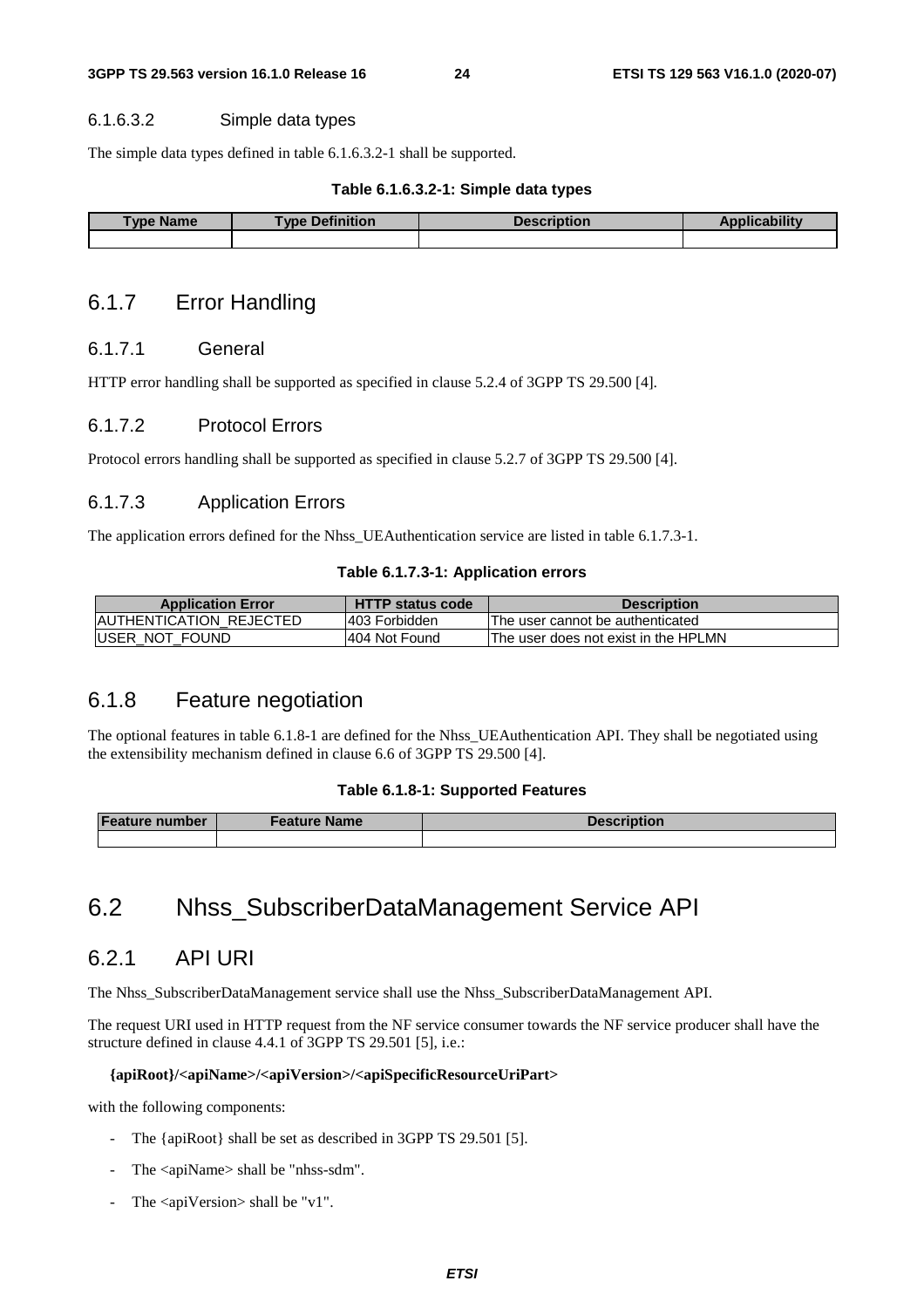#### 6.1.6.3.2 Simple data types

The simple data types defined in table 6.1.6.3.2-1 shall be supported.

#### **Table 6.1.6.3.2-1: Simple data types**

| <b>Name</b><br>Type | <b>Definition</b><br><b>VDA</b> | Description | <b>STEP</b> |
|---------------------|---------------------------------|-------------|-------------|
|                     |                                 |             |             |

### 6.1.7 Error Handling

#### 6.1.7.1 General

HTTP error handling shall be supported as specified in clause 5.2.4 of 3GPP TS 29.500 [4].

#### 6.1.7.2 Protocol Errors

Protocol errors handling shall be supported as specified in clause 5.2.7 of 3GPP TS 29.500 [4].

#### 6.1.7.3 Application Errors

The application errors defined for the Nhss UEAuthentication service are listed in table 6.1.7.3-1.

#### **Table 6.1.7.3-1: Application errors**

| <b>Application Error</b>        | <b>HTTP status code</b> | <b>Description</b>                   |
|---------------------------------|-------------------------|--------------------------------------|
| <b>IAUTHENTICATION REJECTED</b> | 1403 Forbidden          | The user cannot be authenticated     |
| <b>IUSER NOT FOUND</b>          | 1404 Not Found          | The user does not exist in the HPLMN |

### 6.1.8 Feature negotiation

The optional features in table 6.1.8-1 are defined for the Nhss\_UEAuthentication API. They shall be negotiated using the extensibility mechanism defined in clause 6.6 of 3GPP TS 29.500 [4].

#### **Table 6.1.8-1: Supported Features**

| <b>Feature number</b> | Feature Name l | <b>Description</b> |
|-----------------------|----------------|--------------------|
|                       |                |                    |

## 6.2 Nhss\_SubscriberDataManagement Service API

### 6.2.1 API URI

The Nhss\_SubscriberDataManagement service shall use the Nhss\_SubscriberDataManagement API.

The request URI used in HTTP request from the NF service consumer towards the NF service producer shall have the structure defined in clause 4.4.1 of 3GPP TS 29.501 [5], i.e.:

#### **{apiRoot}/<apiName>/<apiVersion>/<apiSpecificResourceUriPart>**

with the following components:

- The {apiRoot} shall be set as described in 3GPP TS 29.501 [5].
- The <apiName> shall be "nhss-sdm".
- The <apiVersion> shall be "v1".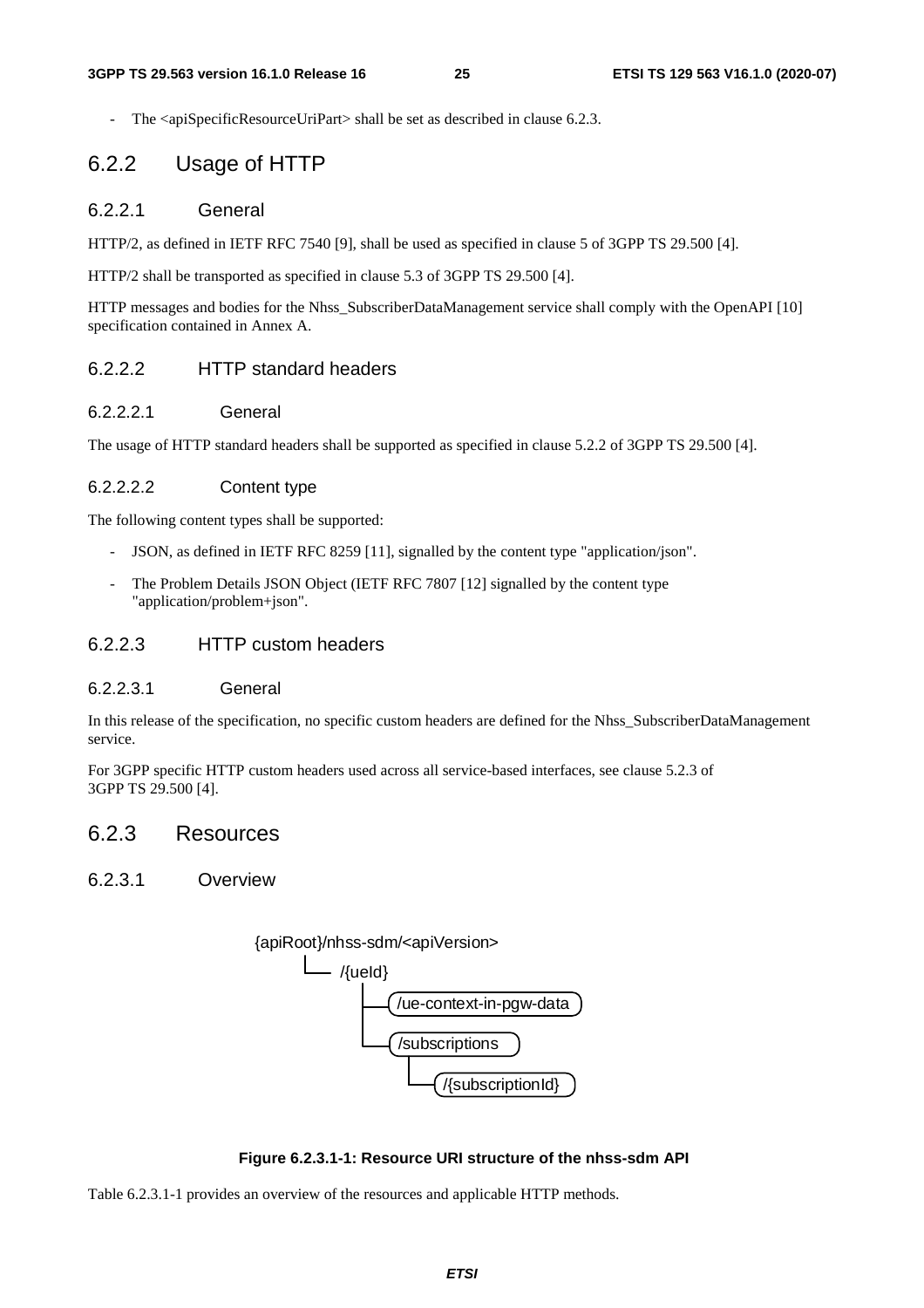The <apiSpecificResourceUriPart> shall be set as described in clause 6.2.3.

### 6.2.2 Usage of HTTP

#### 6.2.2.1 General

HTTP/2, as defined in IETF RFC 7540 [9], shall be used as specified in clause 5 of 3GPP TS 29.500 [4].

HTTP/2 shall be transported as specified in clause 5.3 of 3GPP TS 29.500 [4].

HTTP messages and bodies for the Nhss\_SubscriberDataManagement service shall comply with the OpenAPI [10] specification contained in Annex A.

#### 6.2.2.2 HTTP standard headers

#### 6.2.2.2.1 General

The usage of HTTP standard headers shall be supported as specified in clause 5.2.2 of 3GPP TS 29.500 [4].

#### 6.2.2.2.2 Content type

The following content types shall be supported:

- JSON, as defined in IETF RFC 8259 [11], signalled by the content type "application/json".
- The Problem Details JSON Object (IETF RFC 7807 [12] signalled by the content type "application/problem+json".

#### 6.2.2.3 HTTP custom headers

#### 6.2.2.3.1 General

In this release of the specification, no specific custom headers are defined for the Nhss\_SubscriberDataManagement service.

For 3GPP specific HTTP custom headers used across all service-based interfaces, see clause 5.2.3 of 3GPP TS 29.500 [4].

### 6.2.3 Resources

#### 6.2.3.1 Overview



#### **Figure 6.2.3.1-1: Resource URI structure of the nhss-sdm API**

Table 6.2.3.1-1 provides an overview of the resources and applicable HTTP methods.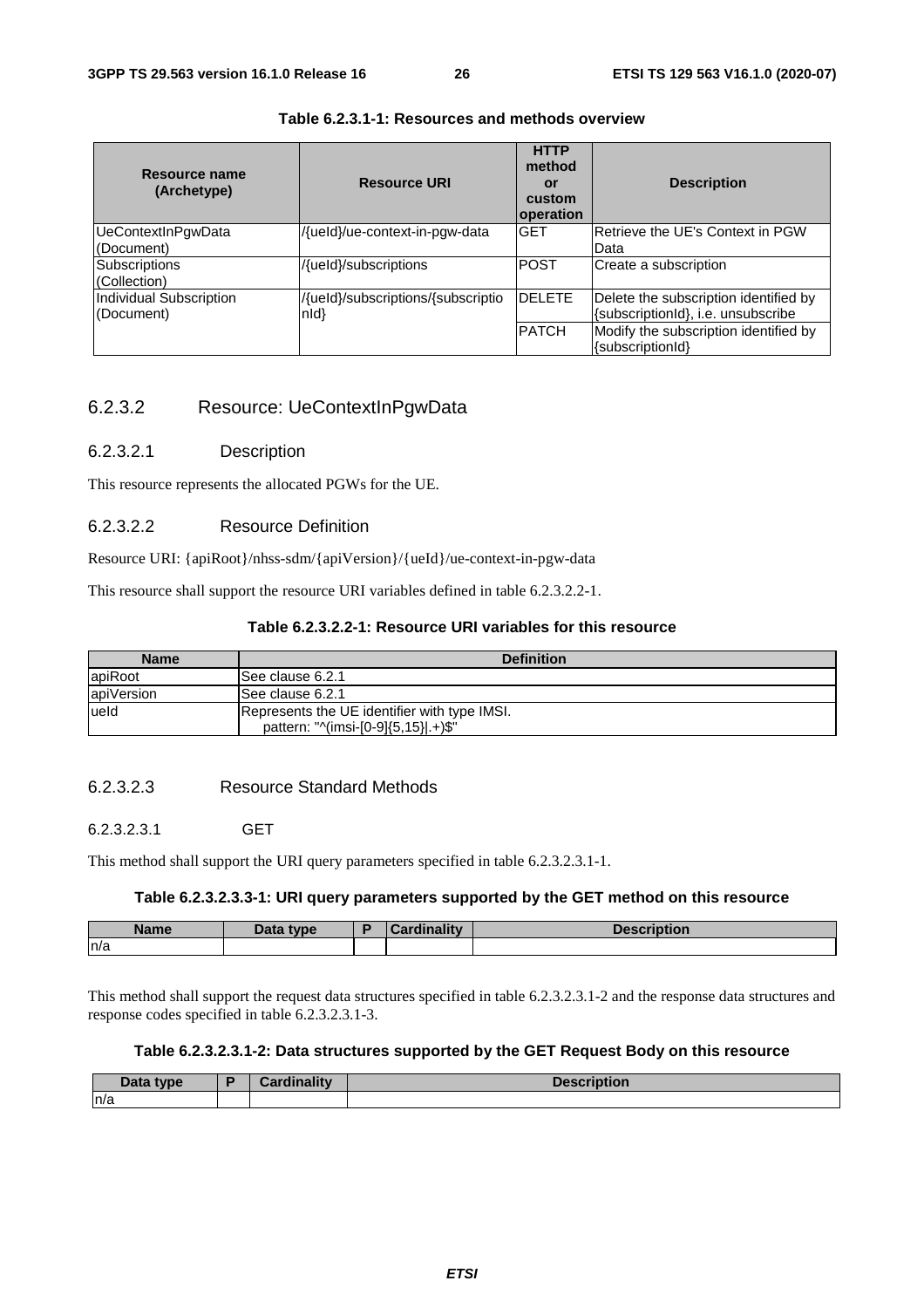| Resource name<br>(Archetype)                 | <b>Resource URI</b>                                | <b>HTTP</b><br>method<br>or<br>custom<br>operation | <b>Description</b>                                                          |
|----------------------------------------------|----------------------------------------------------|----------------------------------------------------|-----------------------------------------------------------------------------|
| UeContextInPgwData<br>(Document)             | /{ueld}/ue-context-in-pgw-data                     | <b>GET</b>                                         | Retrieve the UE's Context in PGW<br>Data                                    |
| <b>Subscriptions</b><br>(Collection)         | /{ueld}/subscriptions                              | <b>POST</b>                                        | Create a subscription                                                       |
| <b>Individual Subscription</b><br>(Document) | /{ueld}/subscriptions/{subscriptio<br>$n d\rangle$ | <b>DELETE</b>                                      | Delete the subscription identified by<br>{subscriptionId}, i.e. unsubscribe |
|                                              |                                                    | <b>PATCH</b>                                       | Modify the subscription identified by<br>{subscriptionId}                   |

#### **Table 6.2.3.1-1: Resources and methods overview**

### 6.2.3.2 Resource: UeContextInPgwData

#### 6.2.3.2.1 Description

This resource represents the allocated PGWs for the UE.

#### 6.2.3.2.2 Resource Definition

Resource URI: {apiRoot}/nhss-sdm/{apiVersion}/{ueId}/ue-context-in-pgw-data

This resource shall support the resource URI variables defined in table 6.2.3.2.2-1.

#### **Table 6.2.3.2.2-1: Resource URI variables for this resource**

| <b>Name</b> | <b>Definition</b>                                                                   |
|-------------|-------------------------------------------------------------------------------------|
| lapiRoot    | See clause 6.2.1                                                                    |
| apiVersion  | See clause 6.2.1                                                                    |
| lueld       | Represents the UE identifier with type IMSI.<br>pattern: "^(imsi-[0-9]{5,15}].+)\$" |

#### 6.2.3.2.3 Resource Standard Methods

#### 6.2.3.2.3.1 GET

This method shall support the URI query parameters specified in table 6.2.3.2.3.1-1.

#### **Table 6.2.3.2.3.3-1: URI query parameters supported by the GET method on this resource**

| . .<br>Name | Data type | $\mathcal{L}$ ardinality | <b>Description</b> |
|-------------|-----------|--------------------------|--------------------|
| ln/a        |           |                          |                    |

This method shall support the request data structures specified in table 6.2.3.2.3.1-2 and the response data structures and response codes specified in table 6.2.3.2.3.1-3.

#### **Table 6.2.3.2.3.1-2: Data structures supported by the GET Request Body on this resource**

| <b>Data</b><br>type | <b>Cordinality</b> | Descri<br>ULIUIL |
|---------------------|--------------------|------------------|
| n/a                 |                    |                  |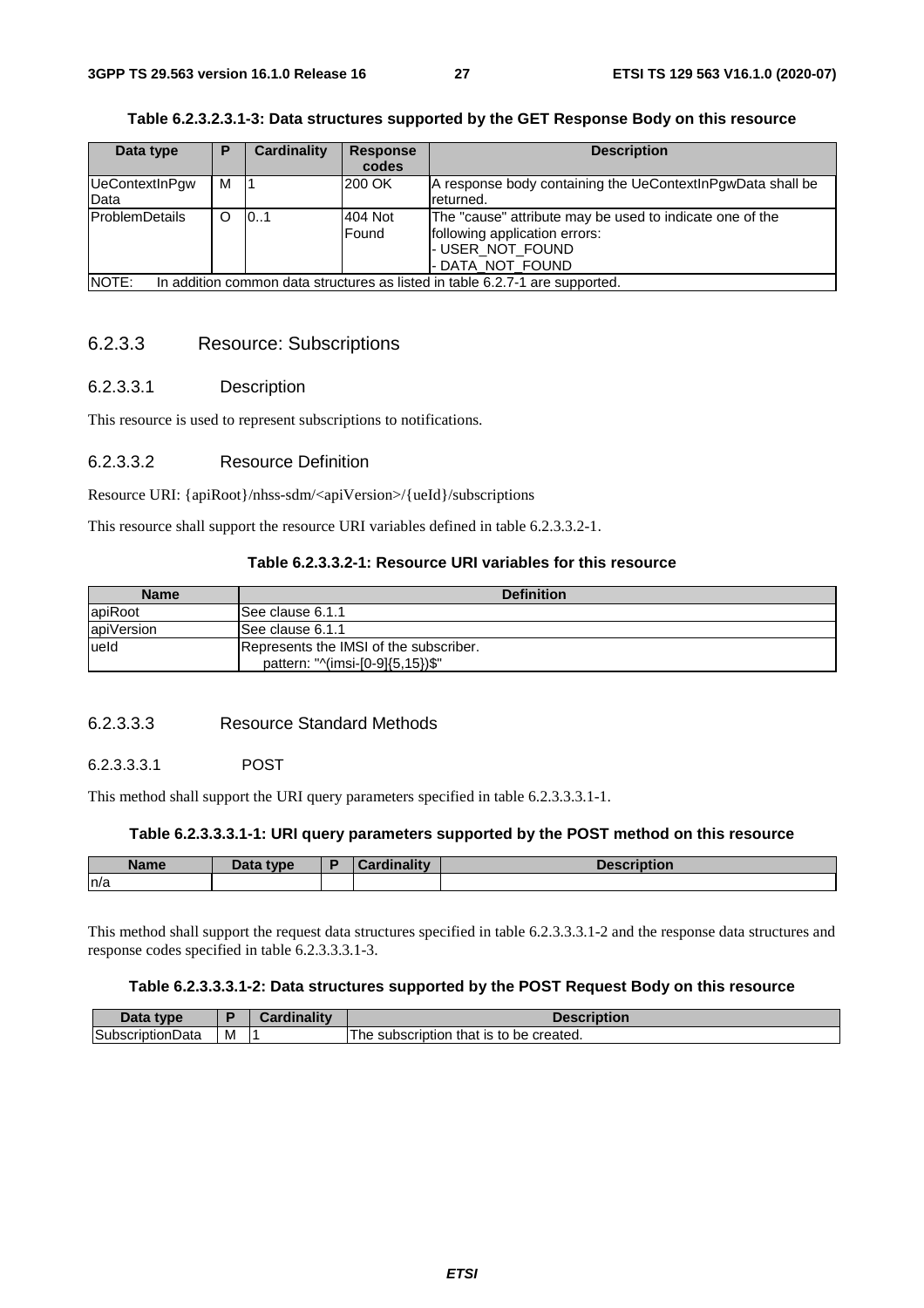| Data type                                                                             | Р | <b>Cardinality</b> | <b>Response</b><br>codes | <b>Description</b>                                                                                                                |
|---------------------------------------------------------------------------------------|---|--------------------|--------------------------|-----------------------------------------------------------------------------------------------------------------------------------|
| UeContextInPgw<br>Data                                                                | м |                    | 200 OK                   | A response body containing the UeContextInPgwData shall be<br>returned.                                                           |
| <b>ProblemDetails</b>                                                                 |   | 101                | 404 Not<br>Found         | The "cause" attribute may be used to indicate one of the<br>following application errors:<br>- USER_NOT_FOUND<br>- DATA NOT FOUND |
| NOTE:<br>In addition common data structures as listed in table 6.2.7-1 are supported. |   |                    |                          |                                                                                                                                   |

#### **Table 6.2.3.2.3.1-3: Data structures supported by the GET Response Body on this resource**

#### 6.2.3.3 Resource: Subscriptions

#### 6.2.3.3.1 Description

This resource is used to represent subscriptions to notifications.

#### 6.2.3.3.2 Resource Definition

Resource URI: {apiRoot}/nhss-sdm/<apiVersion>/{ueId}/subscriptions

This resource shall support the resource URI variables defined in table 6.2.3.3.2-1.

#### **Table 6.2.3.3.2-1: Resource URI variables for this resource**

| <b>Name</b> | <b>Definition</b>                                                          |
|-------------|----------------------------------------------------------------------------|
| apiRoot     | See clause 6.1.1                                                           |
| apiVersion  | ISee clause 6.1.1                                                          |
| lueld       | Represents the IMSI of the subscriber.<br>pattern: "^(imsi-[0-9]{5,15})\$" |

#### 6.2.3.3.3 Resource Standard Methods

#### 6.2.3.3.3.1 POST

This method shall support the URI query parameters specified in table 6.2.3.3.3.1-1.

#### **Table 6.2.3.3.3.1-1: URI query parameters supported by the POST method on this resource**

| <b>Name</b> | Data type | <b>Cardinality</b> | <b>Description</b> |
|-------------|-----------|--------------------|--------------------|
| n/a         |           |                    |                    |

This method shall support the request data structures specified in table 6.2.3.3.3.1-2 and the response data structures and response codes specified in table 6.2.3.3.3.1-3.

#### **Table 6.2.3.3.3.1-2: Data structures supported by the POST Request Body on this resource**

| Data type<br>Dala        |     | <br>and can actually |                                                         |
|--------------------------|-----|----------------------|---------------------------------------------------------|
| Subscriptio<br>∧tionData | ΙVΙ |                      | created.<br>that<br>` is to<br>subscription<br>be<br>ne |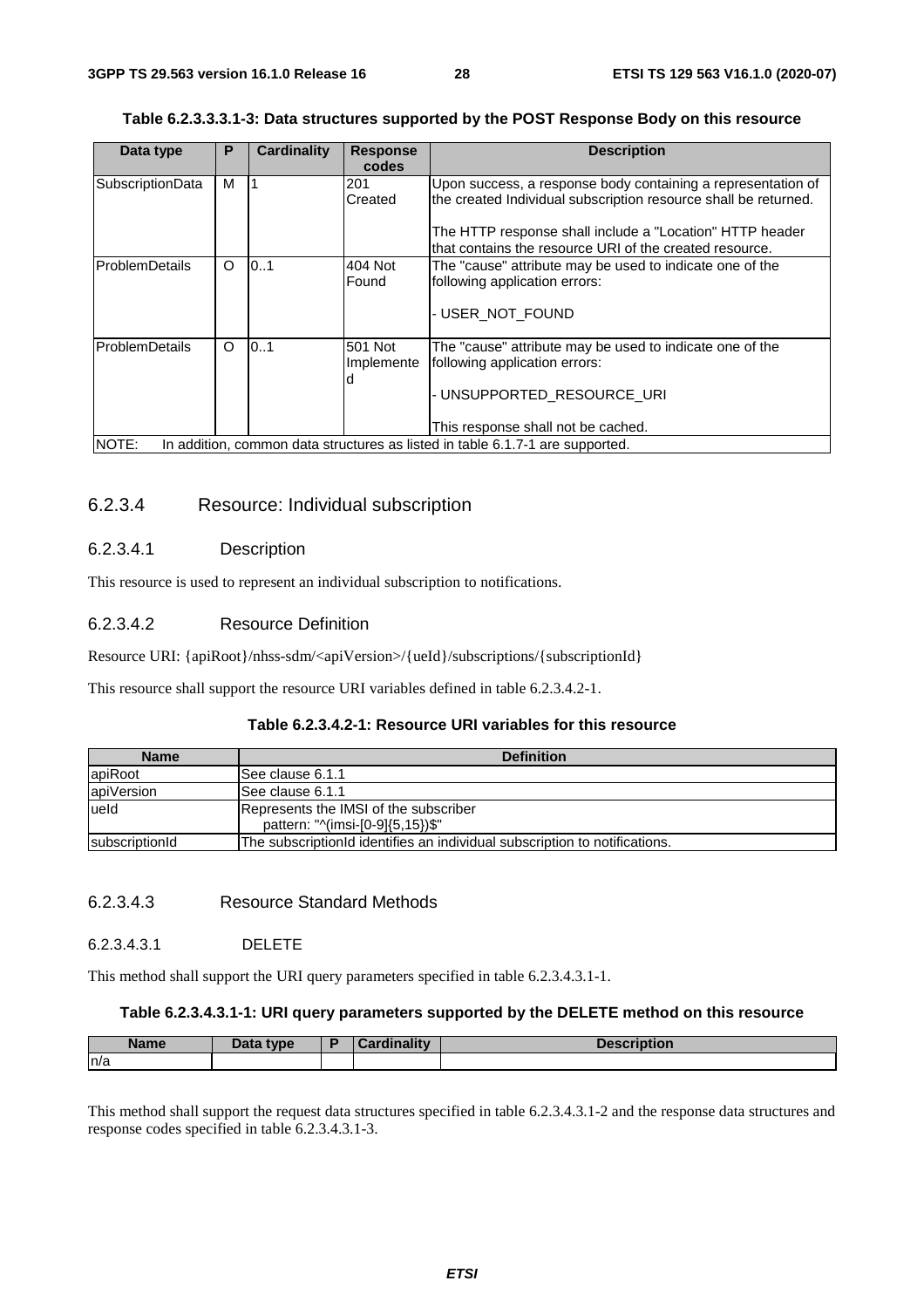| Table 6.2.3.3.3.1-3: Data structures supported by the POST Response Body on this resource |  |
|-------------------------------------------------------------------------------------------|--|
|-------------------------------------------------------------------------------------------|--|

| Data type               | P        | Cardinality | <b>Response</b> | <b>Description</b>                                                            |
|-------------------------|----------|-------------|-----------------|-------------------------------------------------------------------------------|
|                         |          |             | codes           |                                                                               |
| <b>SubscriptionData</b> | м        |             | 201             | Upon success, a response body containing a representation of                  |
|                         |          |             | Created         | the created Individual subscription resource shall be returned.               |
|                         |          |             |                 | The HTTP response shall include a "Location" HTTP header                      |
|                         |          |             |                 | that contains the resource URI of the created resource.                       |
| ProblemDetails          | $\circ$  | 0.1         | 404 Not         | The "cause" attribute may be used to indicate one of the                      |
|                         |          |             | Found           | following application errors:                                                 |
|                         |          |             |                 |                                                                               |
|                         |          |             |                 | - USER NOT FOUND                                                              |
|                         |          |             |                 |                                                                               |
| <b>ProblemDetails</b>   | $\Omega$ | 0.1         | 501 Not         | The "cause" attribute may be used to indicate one of the                      |
|                         |          |             | Implemente      | following application errors:                                                 |
|                         |          |             | d               |                                                                               |
|                         |          |             |                 | - UNSUPPORTED RESOURCE URI                                                    |
|                         |          |             |                 |                                                                               |
|                         |          |             |                 | This response shall not be cached.                                            |
| NOTE:                   |          |             |                 | In addition, common data structures as listed in table 6.1.7-1 are supported. |

### 6.2.3.4 Resource: Individual subscription

### 6.2.3.4.1 Description

This resource is used to represent an individual subscription to notifications.

### 6.2.3.4.2 Resource Definition

Resource URI: {apiRoot}/nhss-sdm/<apiVersion>/{ueId}/subscriptions/{subscriptionId}

This resource shall support the resource URI variables defined in table 6.2.3.4.2-1.

#### **Table 6.2.3.4.2-1: Resource URI variables for this resource**

| <b>Name</b>            | <b>Definition</b>                                                          |
|------------------------|----------------------------------------------------------------------------|
| apiRoot                | See clause 6.1.1                                                           |
| apiVersion             | ISee clause 6.1.1                                                          |
| ueld                   | Represents the IMSI of the subscriber                                      |
|                        | pattern: "^(imsi-[0-9]{5,15})\$"                                           |
| <b>IsubscriptionId</b> | The subscription d identifies an individual subscription to notifications. |

#### 6.2.3.4.3 Resource Standard Methods

#### 6.2.3.4.3.1 DELETE

This method shall support the URI query parameters specified in table 6.2.3.4.3.1-1.

### **Table 6.2.3.4.3.1-1: URI query parameters supported by the DELETE method on this resource**

| Name | <b>Pata type</b> | linalitv | scription |
|------|------------------|----------|-----------|
| ln/a |                  |          |           |

This method shall support the request data structures specified in table 6.2.3.4.3.1-2 and the response data structures and response codes specified in table 6.2.3.4.3.1-3.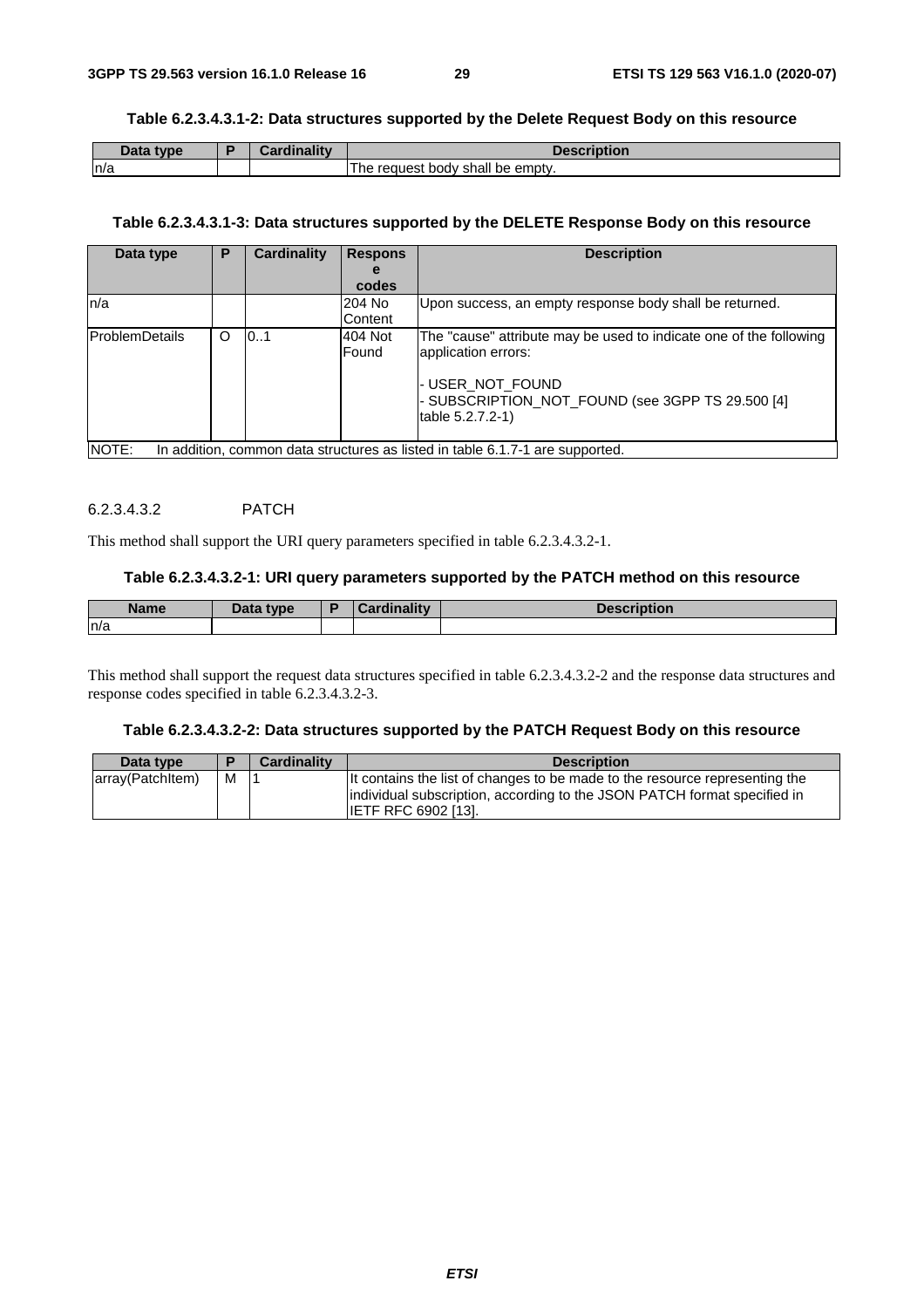#### **Table 6.2.3.4.3.1-2: Data structures supported by the Delete Request Body on this resource**

| nata.<br>tvne | Annalinality |                                              |
|---------------|--------------|----------------------------------------------|
| n/a           |              | The<br>be empty.<br>reauest<br>shall<br>body |

#### **Table 6.2.3.4.3.1-3: Data structures supported by the DELETE Response Body on this resource**

| Data type             | P | <b>Cardinality</b> | <b>Respons</b>               | <b>Description</b>                                                            |
|-----------------------|---|--------------------|------------------------------|-------------------------------------------------------------------------------|
|                       |   |                    | е                            |                                                                               |
|                       |   |                    | codes                        |                                                                               |
| n/a                   |   |                    | 204 No                       | Upon success, an empty response body shall be returned.                       |
|                       |   |                    | Content                      |                                                                               |
| <b>ProblemDetails</b> | O | 101                | 404 Not                      | The "cause" attribute may be used to indicate one of the following            |
|                       |   |                    | application errors:<br>Found |                                                                               |
|                       |   |                    |                              |                                                                               |
|                       |   |                    |                              | - USER NOT FOUND                                                              |
|                       |   |                    |                              | - SUBSCRIPTION NOT FOUND (see 3GPP TS 29.500 [4]                              |
|                       |   |                    |                              | table 5.2.7.2-1)                                                              |
|                       |   |                    |                              |                                                                               |
| NOTE:                 |   |                    |                              | In addition, common data structures as listed in table 6.1.7-1 are supported. |

#### 6.2.3.4.3.2 PATCH

This method shall support the URI query parameters specified in table 6.2.3.4.3.2-1.

#### **Table 6.2.3.4.3.2-1: URI query parameters supported by the PATCH method on this resource**

| <b>Name</b> | <b>Pata type</b> | - | `ordinolity<br>$-21$ | <b>December 1988</b><br>ווטווי |
|-------------|------------------|---|----------------------|--------------------------------|
| n/a         |                  |   |                      |                                |

This method shall support the request data structures specified in table 6.2.3.4.3.2-2 and the response data structures and response codes specified in table 6.2.3.4.3.2-3.

#### **Table 6.2.3.4.3.2-2: Data structures supported by the PATCH Request Body on this resource**

| Data type        |   | <b>Cardinality</b> | <b>Description</b>                                                                                                                                                                     |
|------------------|---|--------------------|----------------------------------------------------------------------------------------------------------------------------------------------------------------------------------------|
| array(Patchitem) | M |                    | It contains the list of changes to be made to the resource representing the<br>individual subscription, according to the JSON PATCH format specified in<br><b>ILETF RFC 6902 [13].</b> |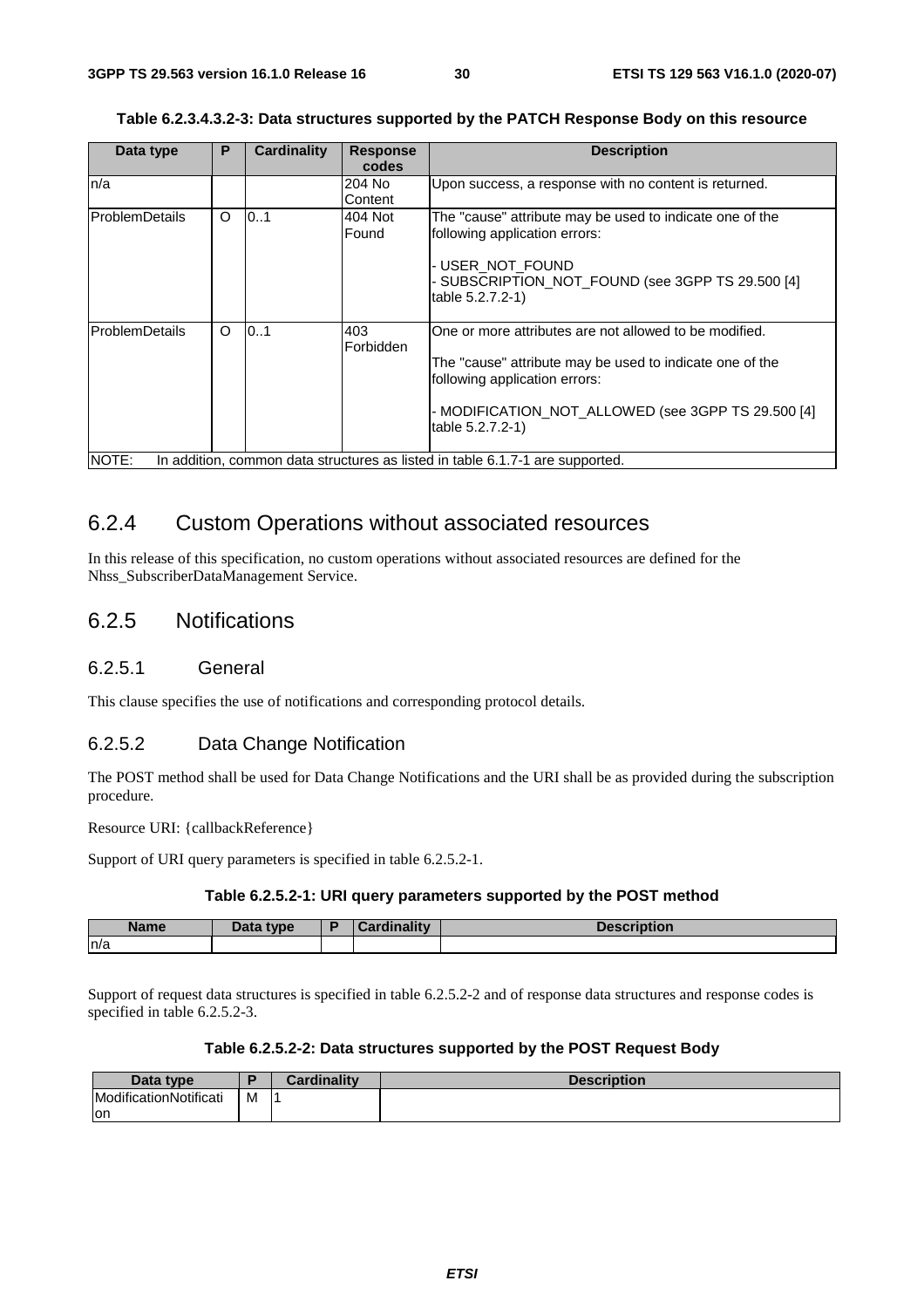| Table 6.2.3.4.3.2-3: Data structures supported by the PATCH Response Body on this resource |  |  |
|--------------------------------------------------------------------------------------------|--|--|
|                                                                                            |  |  |

| Data type             | P | <b>Cardinality</b> | <b>Response</b>  | <b>Description</b>                                                                                           |
|-----------------------|---|--------------------|------------------|--------------------------------------------------------------------------------------------------------------|
|                       |   |                    | codes            |                                                                                                              |
| n/a                   |   |                    | 204 No           | Upon success, a response with no content is returned.                                                        |
|                       |   |                    | Content          |                                                                                                              |
| <b>ProblemDetails</b> | O | 0.1                | 404 Not<br>Found | The "cause" attribute may be used to indicate one of the<br>following application errors:<br>-USER NOT FOUND |
|                       |   |                    |                  | - SUBSCRIPTION_NOT_FOUND (see 3GPP TS 29.500 [4]<br>table 5.2.7.2-1)                                         |
| <b>ProblemDetails</b> | O | 0.1                | 403<br>Forbidden | One or more attributes are not allowed to be modified.                                                       |
|                       |   |                    |                  | The "cause" attribute may be used to indicate one of the<br>following application errors:                    |
|                       |   |                    |                  | - MODIFICATION NOT ALLOWED (see 3GPP TS 29.500 [4]<br>table 5.2.7.2-1)                                       |
| NOTE:                 |   |                    |                  | In addition, common data structures as listed in table 6.1.7-1 are supported.                                |

### 6.2.4 Custom Operations without associated resources

In this release of this specification, no custom operations without associated resources are defined for the Nhss\_SubscriberDataManagement Service.

### 6.2.5 Notifications

#### 6.2.5.1 General

This clause specifies the use of notifications and corresponding protocol details.

#### 6.2.5.2 Data Change Notification

The POST method shall be used for Data Change Notifications and the URI shall be as provided during the subscription procedure.

Resource URI: {callbackReference}

Support of URI query parameters is specified in table 6.2.5.2-1.

#### **Table 6.2.5.2-1: URI query parameters supported by the POST method**

| <b>Name</b> | Data type<br>Dala | "nality"<br><b><i>Change Committee</i></b><br>$\sim$ $\sim$ $\sim$ | Description |
|-------------|-------------------|--------------------------------------------------------------------|-------------|
| ln/a        |                   |                                                                    |             |

Support of request data structures is specified in table 6.2.5.2-2 and of response data structures and response codes is specified in table 6.2.5.2-3.

#### **Table 6.2.5.2-2: Data structures supported by the POST Request Body**

| Data type              |   | dinality<br>$\sim$ $\sim$ $\sim$ | <b>Pescription</b> |
|------------------------|---|----------------------------------|--------------------|
| ModificationNotificati | M |                                  |                    |
| lon                    |   |                                  |                    |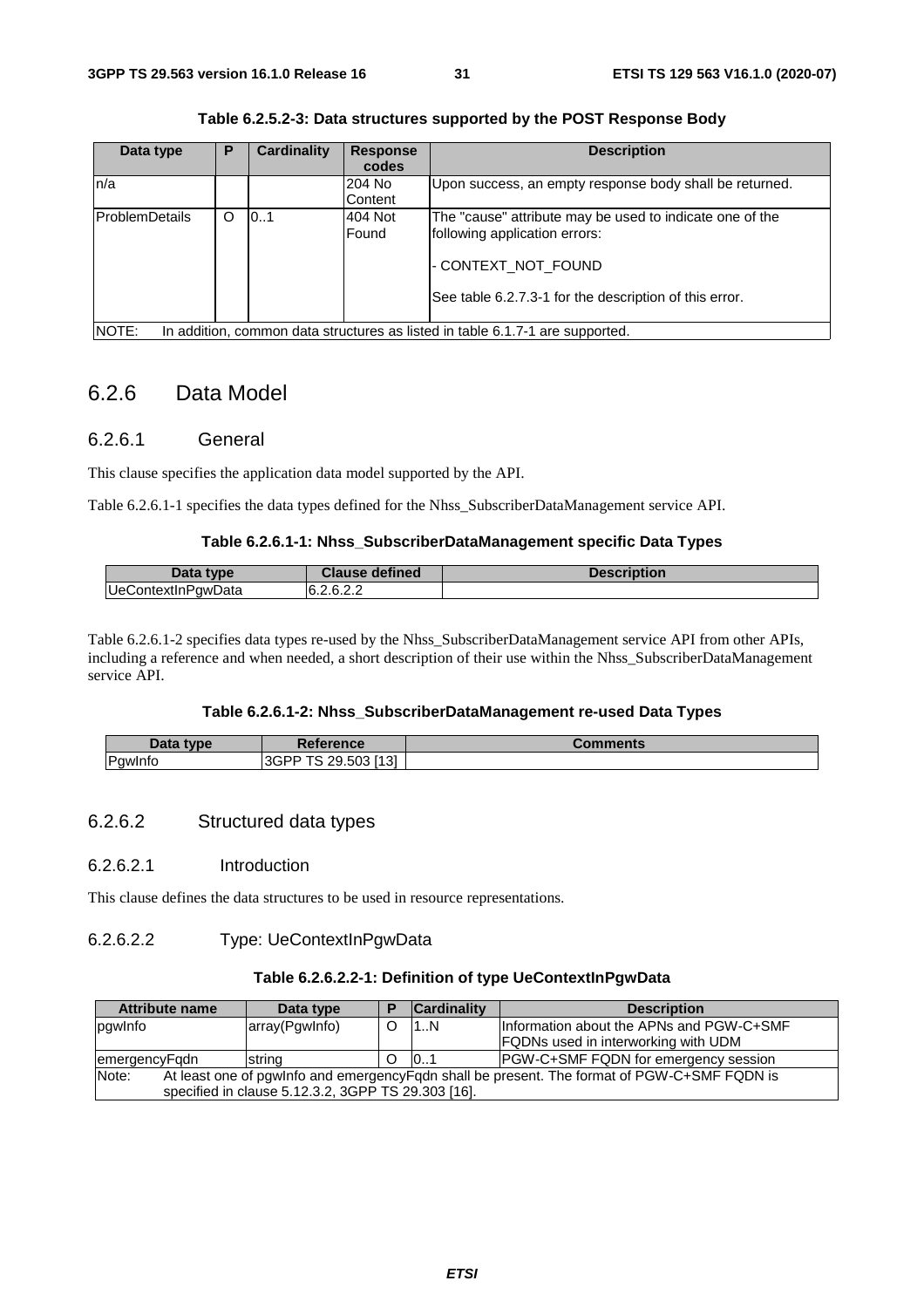| Data type             | P | Cardinality | <b>Response</b> | <b>Description</b>                                                            |
|-----------------------|---|-------------|-----------------|-------------------------------------------------------------------------------|
|                       |   |             | codes           |                                                                               |
| n/a                   |   |             | 204 No          | Upon success, an empty response body shall be returned.                       |
|                       |   |             | Content         |                                                                               |
| <b>ProblemDetails</b> | O | 0.1         | 404 Not         | The "cause" attribute may be used to indicate one of the                      |
|                       |   |             | Found           | following application errors:                                                 |
|                       |   |             |                 | - CONTEXT NOT FOUND                                                           |
|                       |   |             |                 | See table 6.2.7.3-1 for the description of this error.                        |
| NOTE:                 |   |             |                 | In addition, common data structures as listed in table 6.1.7-1 are supported. |

**Table 6.2.5.2-3: Data structures supported by the POST Response Body** 

### 6.2.6 Data Model

#### 6.2.6.1 General

This clause specifies the application data model supported by the API.

Table 6.2.6.1-1 specifies the data types defined for the Nhss\_SubscriberDataManagement service API.

#### **Table 6.2.6.1-1: Nhss\_SubscriberDataManagement specific Data Types**

| Data type:         | <b>Clause defined</b> | <b>Description</b> |
|--------------------|-----------------------|--------------------|
| UeContextInPqwData | 6.2.6.2.2             |                    |

Table 6.2.6.1-2 specifies data types re-used by the Nhss\_SubscriberDataManagement service API from other APIs, including a reference and when needed, a short description of their use within the Nhss\_SubscriberDataManagement service API.

#### **Table 6.2.6.1-2: Nhss\_SubscriberDataManagement re-used Data Types**

| <b>Data</b><br>type            | Reference                                        | `omments |
|--------------------------------|--------------------------------------------------|----------|
| -<br>'awIntc<br>$\overline{ }$ | $\tau$<br>.503 [13]<br>$\cap$<br>3GPP<br>ാ.ാ∪ാ ' |          |

#### 6.2.6.2 Structured data types

#### 6.2.6.2.1 Introduction

This clause defines the data structures to be used in resource representations.

#### 6.2.6.2.2 Type: UeContextInPgwData

#### **Table 6.2.6.2.2-1: Definition of type UeContextInPgwData**

| Attribute name                                                                                         | Data type                                          |  | <b>Cardinality</b> | <b>Description</b>                          |  |
|--------------------------------------------------------------------------------------------------------|----------------------------------------------------|--|--------------------|---------------------------------------------|--|
| pqwlnfo                                                                                                | array(Pgwlnfo)                                     |  | 11N                | Information about the APNs and PGW-C+SMF    |  |
|                                                                                                        |                                                    |  |                    | <b>FQDNs used in interworking with UDM</b>  |  |
| emergencyFadn                                                                                          | string                                             |  | 101                | <b>PGW-C+SMF FQDN for emergency session</b> |  |
| Note:<br>At least one of pgwlnfo and emergency Figdn shall be present. The format of PGW-C+SMF FQDN is |                                                    |  |                    |                                             |  |
|                                                                                                        | specified in clause 5.12.3.2, 3GPP TS 29.303 [16]. |  |                    |                                             |  |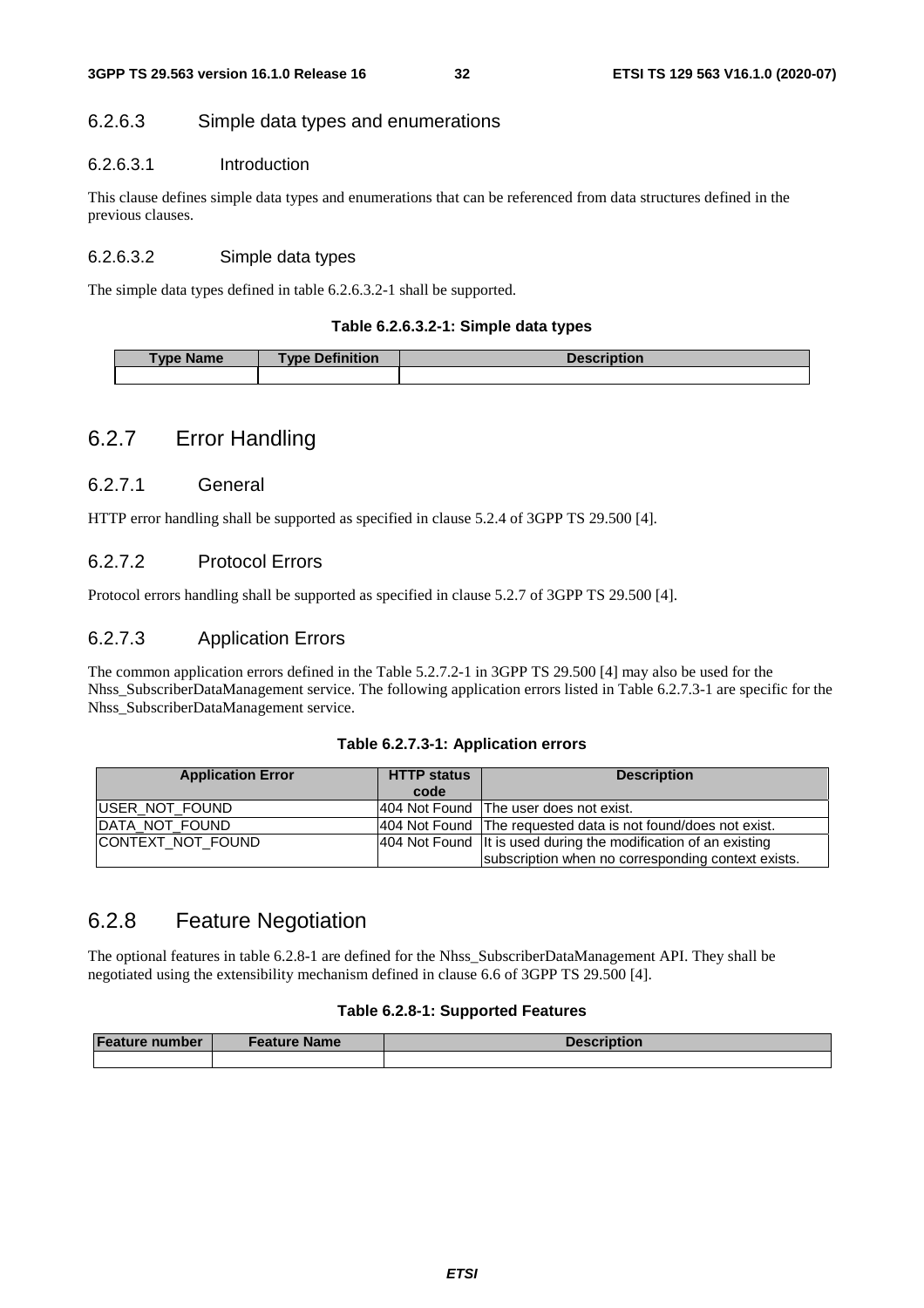#### 6.2.6.3 Simple data types and enumerations

#### 6.2.6.3.1 Introduction

This clause defines simple data types and enumerations that can be referenced from data structures defined in the previous clauses.

#### 6.2.6.3.2 Simple data types

The simple data types defined in table 6.2.6.3.2-1 shall be supported.

#### **Table 6.2.6.3.2-1: Simple data types**

| <b>Type Name</b> | <b>Type Definition</b> | <b>Description</b> |
|------------------|------------------------|--------------------|
|                  |                        |                    |

### 6.2.7 Error Handling

#### 6.2.7.1 General

HTTP error handling shall be supported as specified in clause 5.2.4 of 3GPP TS 29.500 [4].

### 6.2.7.2 Protocol Errors

Protocol errors handling shall be supported as specified in clause 5.2.7 of 3GPP TS 29.500 [4].

#### 6.2.7.3 Application Errors

The common application errors defined in the Table 5.2.7.2-1 in 3GPP TS 29.500 [4] may also be used for the Nhss\_SubscriberDataManagement service. The following application errors listed in Table 6.2.7.3-1 are specific for the Nhss\_SubscriberDataManagement service.

#### **Table 6.2.7.3-1: Application errors**

| <b>Application Error</b> | <b>HTTP status</b> | <b>Description</b>                                                |
|--------------------------|--------------------|-------------------------------------------------------------------|
|                          | code               |                                                                   |
| <b>IUSER NOT FOUND</b>   |                    | 1404 Not Found The user does not exist.                           |
| IDATA NOT FOUND          |                    | 404 Not Found The requested data is not found/does not exist.     |
| ICONTEXT NOT FOUND       |                    | 404 Not Found   It is used during the modification of an existing |
|                          |                    | subscription when no corresponding context exists.                |

### 6.2.8 Feature Negotiation

The optional features in table 6.2.8-1 are defined for the Nhss\_SubscriberDataManagement API. They shall be negotiated using the extensibility mechanism defined in clause 6.6 of 3GPP TS 29.500 [4].

#### **Table 6.2.8-1: Supported Features**

| <b>Feature number</b> | <b>⊧Feature Name</b> | <b>Description</b> |
|-----------------------|----------------------|--------------------|
|                       |                      |                    |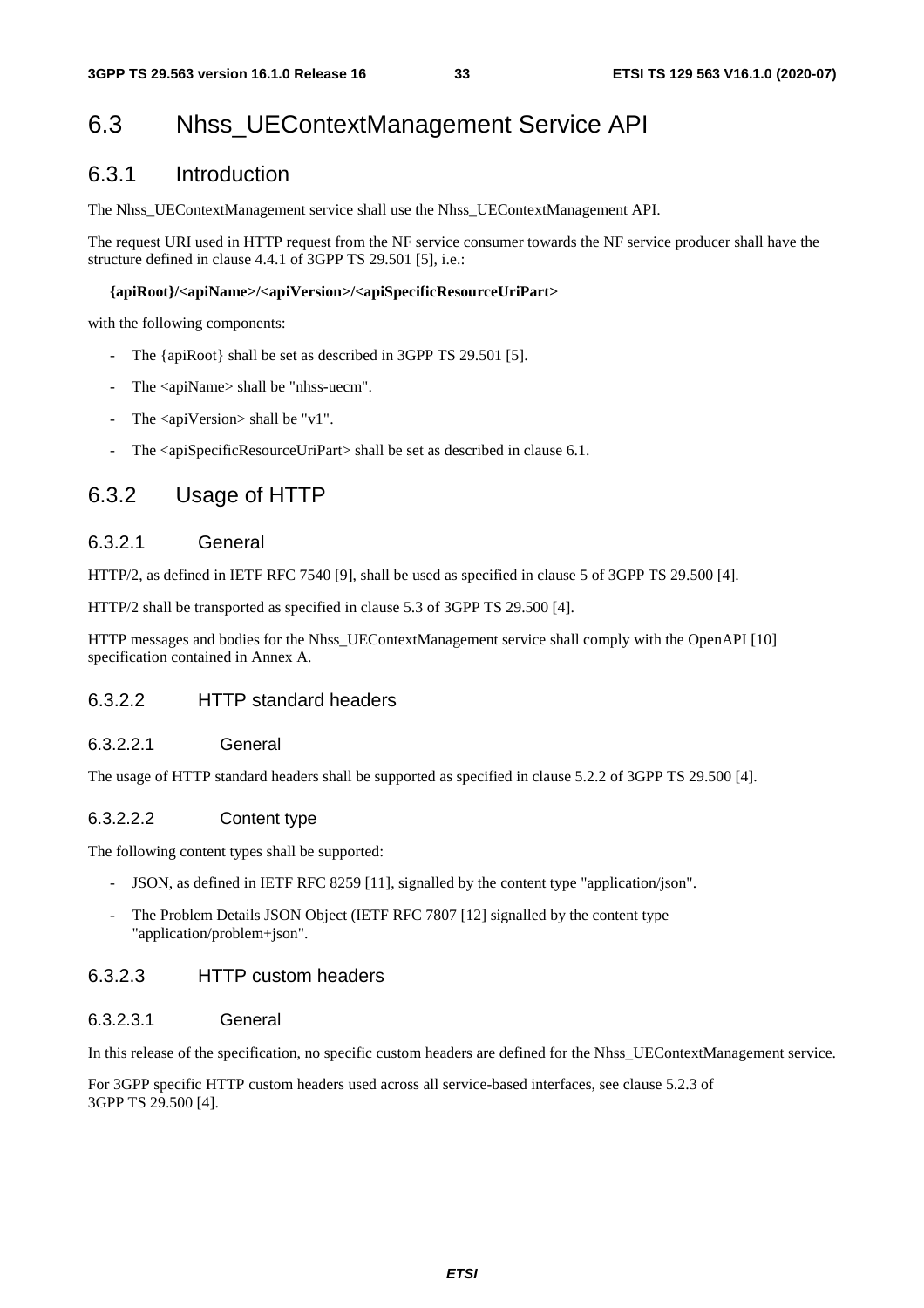## 6.3 Nhss\_UEContextManagement Service API

### 6.3.1 Introduction

The Nhss\_UEContextManagement service shall use the Nhss\_UEContextManagement API.

The request URI used in HTTP request from the NF service consumer towards the NF service producer shall have the structure defined in clause 4.4.1 of 3GPP TS 29.501 [5], i.e.:

#### **{apiRoot}/<apiName>/<apiVersion>/<apiSpecificResourceUriPart>**

with the following components:

- The {apiRoot} shall be set as described in 3GPP TS 29.501 [5].
- The <apiName> shall be "nhss-uecm".
- The  $\langle$ apiVersion $\rangle$  shall be "v1".
- The <apiSpecificResourceUriPart> shall be set as described in clause 6.1.

### 6.3.2 Usage of HTTP

#### 6.3.2.1 General

HTTP/2, as defined in IETF RFC 7540 [9], shall be used as specified in clause 5 of 3GPP TS 29.500 [4].

HTTP/2 shall be transported as specified in clause 5.3 of 3GPP TS 29.500 [4].

HTTP messages and bodies for the Nhss\_UEContextManagement service shall comply with the OpenAPI [10] specification contained in Annex A.

#### 6.3.2.2 HTTP standard headers

#### 6.3.2.2.1 General

The usage of HTTP standard headers shall be supported as specified in clause 5.2.2 of 3GPP TS 29.500 [4].

#### 6.3.2.2.2 Content type

The following content types shall be supported:

- JSON, as defined in IETF RFC 8259 [11], signalled by the content type "application/json".
- The Problem Details JSON Object (IETF RFC 7807 [12] signalled by the content type "application/problem+json".

#### 6.3.2.3 HTTP custom headers

#### 6.3.2.3.1 General

In this release of the specification, no specific custom headers are defined for the Nhss\_UEContextManagement service.

For 3GPP specific HTTP custom headers used across all service-based interfaces, see clause 5.2.3 of 3GPP TS 29.500 [4].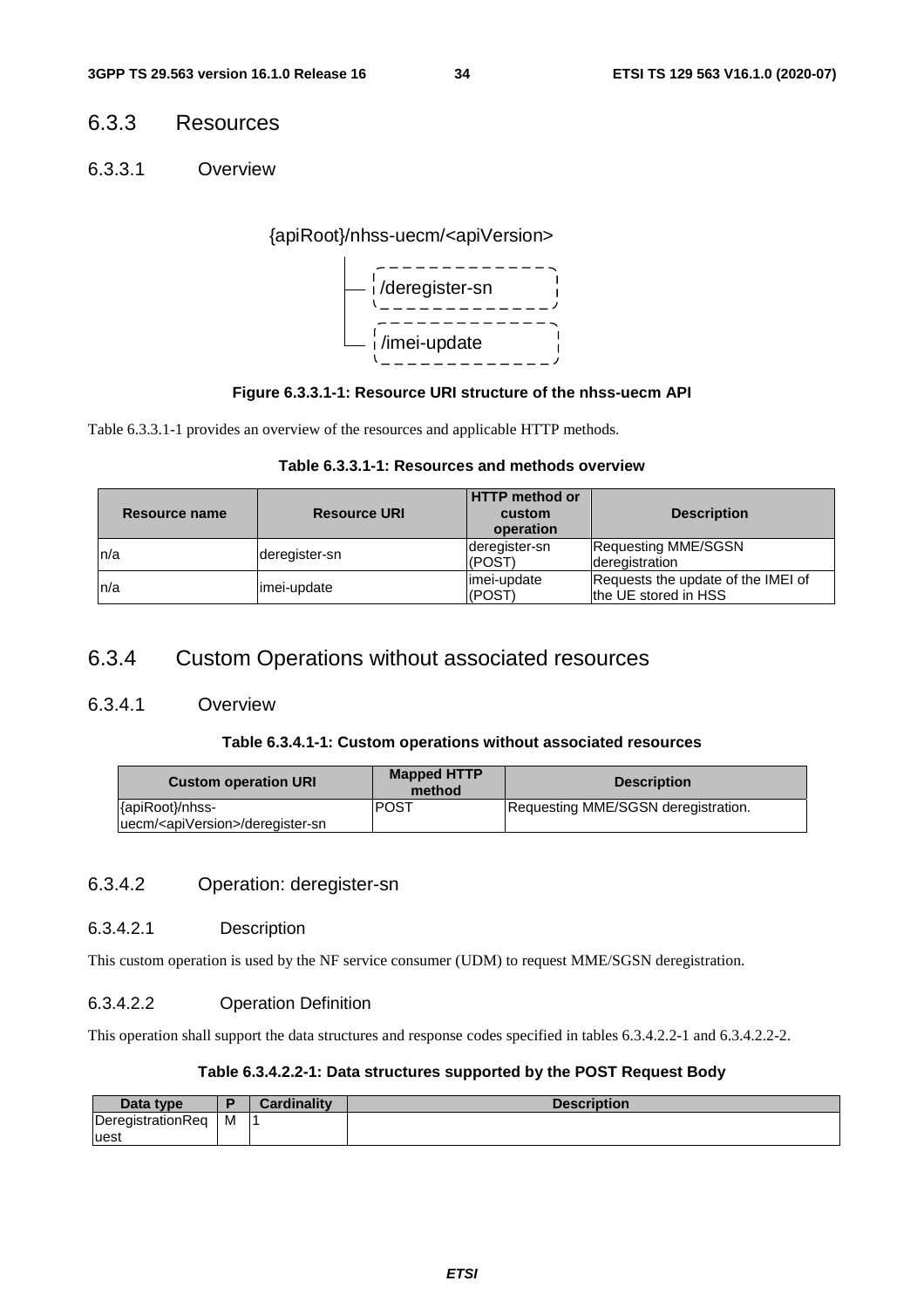### 6.3.3 Resources

6.3.3.1 Overview

### {apiRoot}/nhss-uecm/<apiVersion>



#### **Figure 6.3.3.1-1: Resource URI structure of the nhss-uecm API**

Table 6.3.3.1-1 provides an overview of the resources and applicable HTTP methods.

|  |  | Table 6.3.3.1-1: Resources and methods overview |
|--|--|-------------------------------------------------|
|--|--|-------------------------------------------------|

| Resource name | <b>Resource URI</b> | <b>HTTP</b> method or<br>custom<br>operation | <b>Description</b>                                         |
|---------------|---------------------|----------------------------------------------|------------------------------------------------------------|
| n/a           | deregister-sn       | deregister-sn<br>(POST)                      | Requesting MME/SGSN<br>deregistration                      |
| n/a           | imei-update         | imei-update<br>(POST)                        | Requests the update of the IMEI of<br>the UE stored in HSS |

### 6.3.4 Custom Operations without associated resources

#### 6.3.4.1 Overview

#### **Table 6.3.4.1-1: Custom operations without associated resources**

| <b>Custom operation URI</b>                   | <b>Mapped HTTP</b><br>method | <b>Description</b>                  |  |
|-----------------------------------------------|------------------------------|-------------------------------------|--|
| {apiRoot}/nhss-                               | IPOST                        | Requesting MME/SGSN deregistration. |  |
| uecm/ <apiversion>/deregister-sn</apiversion> |                              |                                     |  |

#### 6.3.4.2 Operation: deregister-sn

#### 6.3.4.2.1 Description

This custom operation is used by the NF service consumer (UDM) to request MME/SGSN deregistration.

#### 6.3.4.2.2 Operation Definition

This operation shall support the data structures and response codes specified in tables 6.3.4.2.2-1 and 6.3.4.2.2-2.

#### **Table 6.3.4.2.2-1: Data structures supported by the POST Request Body**

| Data type         |   | <b>Cardinality</b> | <b>Description</b> |
|-------------------|---|--------------------|--------------------|
| DeregistrationReg | м |                    |                    |
| luest             |   |                    |                    |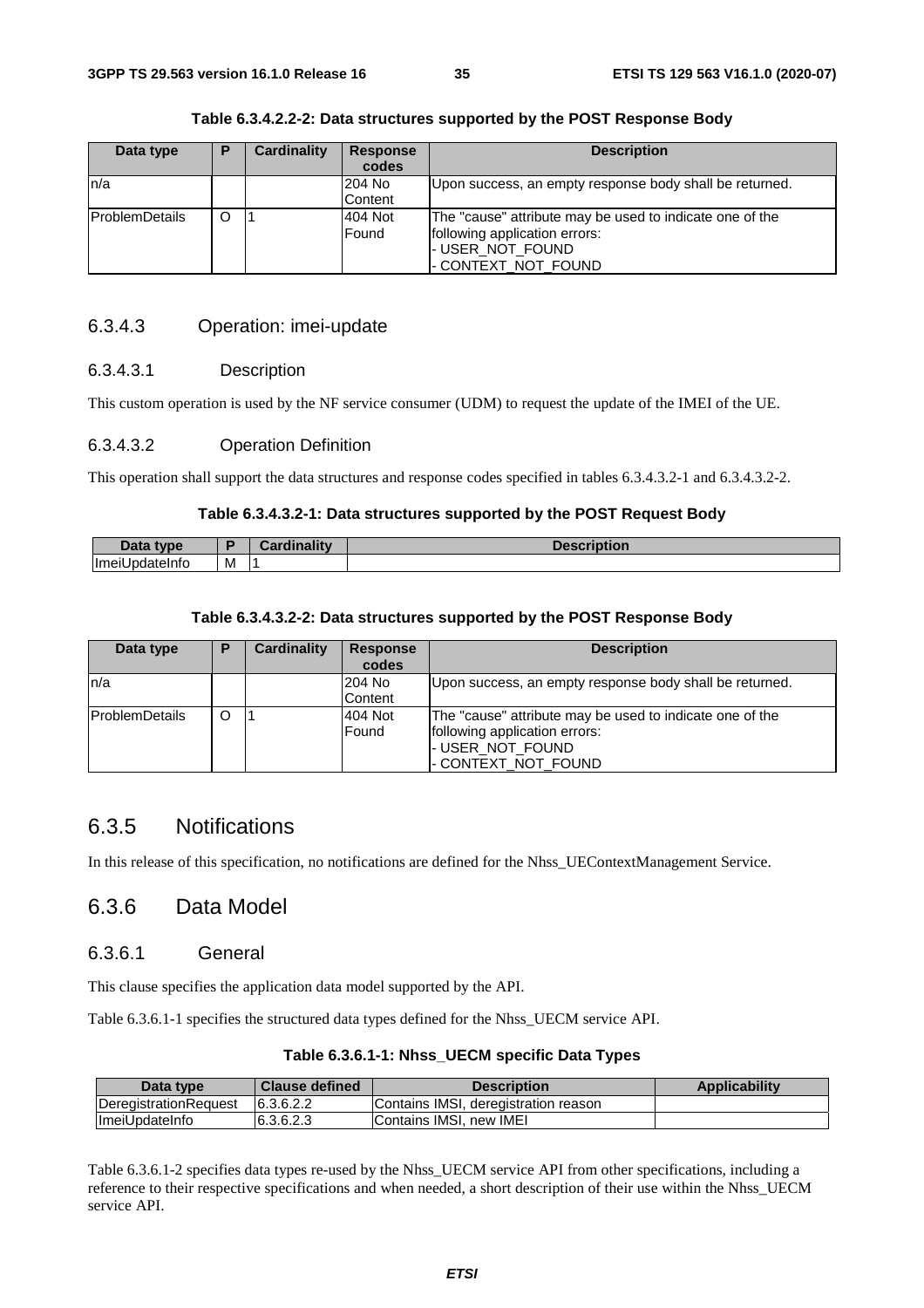| Data type              | P | Cardinality | <b>Response</b> | <b>Description</b>                                       |
|------------------------|---|-------------|-----------------|----------------------------------------------------------|
|                        |   |             | codes           |                                                          |
| ln/a                   |   |             | l204 No         | Upon success, an empty response body shall be returned.  |
|                        |   |             | Content         |                                                          |
| <b>IProblemDetails</b> | O |             | 404 Not         | The "cause" attribute may be used to indicate one of the |
|                        |   |             | Found           | following application errors:                            |
|                        |   |             |                 | I-USER NOT FOUND                                         |
|                        |   |             |                 | - CONTEXT_NOT_FOUND                                      |

**Table 6.3.4.2.2-2: Data structures supported by the POST Response Body** 

#### 6.3.4.3 Operation: imei-update

#### 6.3.4.3.1 Description

This custom operation is used by the NF service consumer (UDM) to request the update of the IMEI of the UE.

#### 6.3.4.3.2 Operation Definition

This operation shall support the data structures and response codes specified in tables 6.3.4.3.2-1 and 6.3.4.3.2-2.

#### **Table 6.3.4.3.2-1: Data structures supported by the POST Request Body**

| るい<br><br>Putu                       |   | <br>$      -$<br><b>The Company's Company's Company's</b> | ---- |
|--------------------------------------|---|-----------------------------------------------------------|------|
| <b>Imeil</b><br>--------<br>oateinto | M |                                                           |      |

#### **Table 6.3.4.3.2-2: Data structures supported by the POST Response Body**

| Data type             | P | <b>Cardinality</b> | <b>Response</b><br>codes | <b>Description</b>                                       |
|-----------------------|---|--------------------|--------------------------|----------------------------------------------------------|
| ln/a                  |   |                    | 204 No                   | Upon success, an empty response body shall be returned.  |
|                       |   |                    | Content                  |                                                          |
| <b>ProblemDetails</b> | O |                    | 404 Not                  | The "cause" attribute may be used to indicate one of the |
|                       |   |                    | Found                    | following application errors:                            |
|                       |   |                    |                          | - USER_NOT_FOUND                                         |
|                       |   |                    |                          | - CONTEXT_NOT_FOUND                                      |

### 6.3.5 Notifications

In this release of this specification, no notifications are defined for the Nhss\_UEContextManagement Service.

### 6.3.6 Data Model

#### 6.3.6.1 General

This clause specifies the application data model supported by the API.

Table 6.3.6.1-1 specifies the structured data types defined for the Nhss\_UECM service API.

| Table 6.3.6.1-1: Nhss_UECM specific Data Types |  |
|------------------------------------------------|--|
|                                                |  |

| Data type                     | <b>Clause defined</b> | Description                          | <b>Applicability</b> |
|-------------------------------|-----------------------|--------------------------------------|----------------------|
| <b>IDeregistrationRequest</b> | 6.3.6.2.2             | Contains IMSI, deregistration reason |                      |
| <b>ImeiUpdateInfo</b>         | 6.3.6.2.3             | Contains IMSI, new IMEI              |                      |

Table 6.3.6.1-2 specifies data types re-used by the Nhss\_UECM service API from other specifications, including a reference to their respective specifications and when needed, a short description of their use within the Nhss\_UECM service API.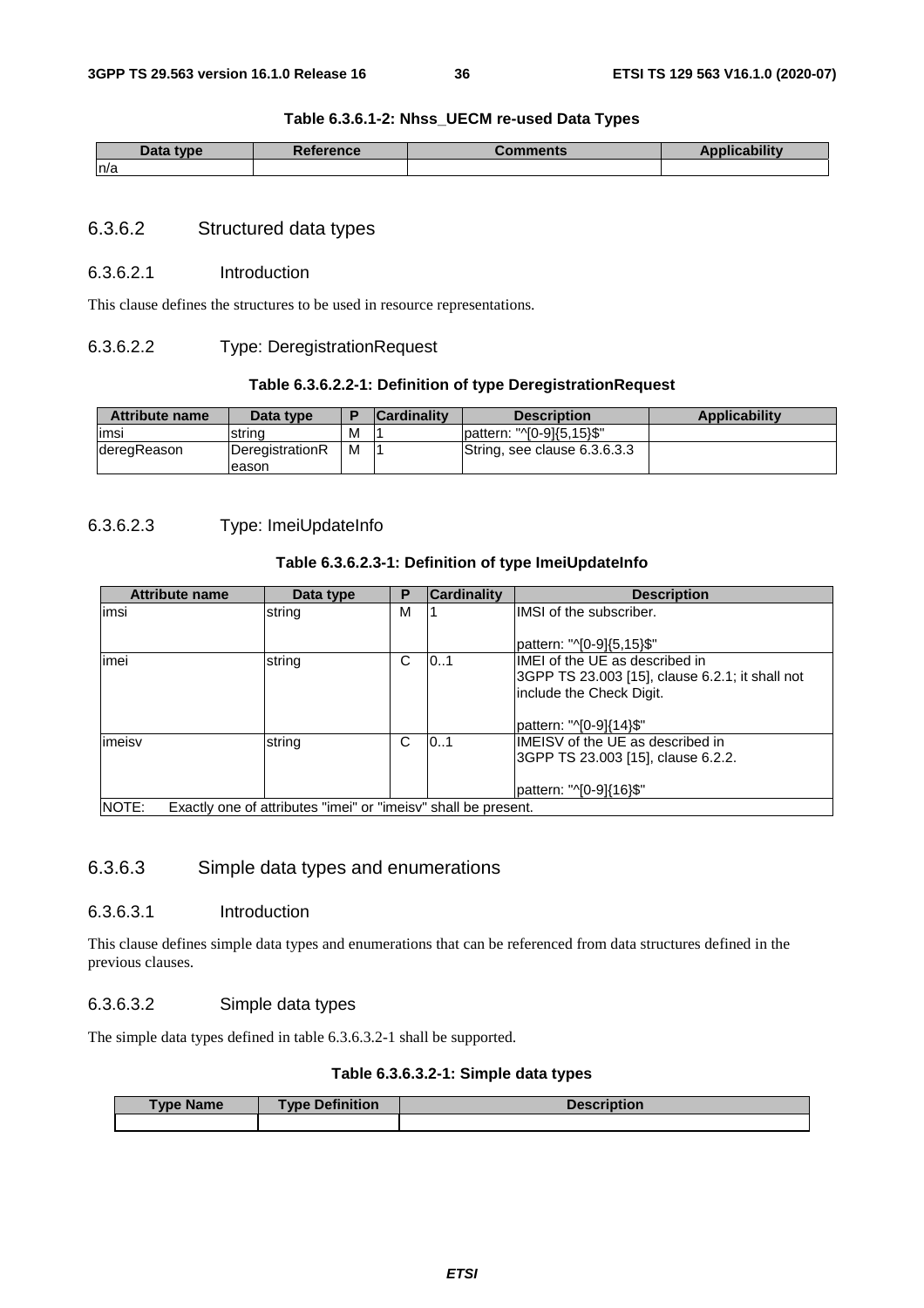#### **Table 6.3.6.1-2: Nhss\_UECM re-used Data Types**

| Data type<br>paca | <b>Reference</b> | `omments | ıbilitv |
|-------------------|------------------|----------|---------|
| n/a               |                  |          |         |

#### 6.3.6.2 Structured data types

#### 6.3.6.2.1 Introduction

This clause defines the structures to be used in resource representations.

#### 6.3.6.2.2 Type: DeregistrationRequest

#### **Table 6.3.6.2.2-1: Definition of type DeregistrationRequest**

| <b>Attribute name</b> | Data type                 |   | <b>Cardinality</b> | <b>Description</b>           | <b>Applicability</b> |
|-----------------------|---------------------------|---|--------------------|------------------------------|----------------------|
| limsi                 | Istrina                   | М |                    | lpattern: "^[0-9]{5.15}\$"   |                      |
| deregReason           | DeregistrationR<br>leason | M |                    | String, see clause 6.3.6.3.3 |                      |

#### 6.3.6.2.3 Type: ImeiUpdateInfo

#### **Table 6.3.6.2.3-1: Definition of type ImeiUpdateInfo**

| <b>Attribute name</b> | Data type                                                      | Р | <b>Cardinality</b> | <b>Description</b>                              |
|-----------------------|----------------------------------------------------------------|---|--------------------|-------------------------------------------------|
| limsi                 | string                                                         | м |                    | IMSI of the subscriber.                         |
|                       |                                                                |   |                    |                                                 |
|                       |                                                                |   |                    | pattern: "^[0-9]{5,15}\$"                       |
| imei                  | string                                                         | C | 0.1                | IMEI of the UE as described in                  |
|                       |                                                                |   |                    | 3GPP TS 23.003 [15], clause 6.2.1; it shall not |
|                       |                                                                |   |                    | include the Check Digit.                        |
|                       |                                                                |   |                    |                                                 |
|                       |                                                                |   |                    | pattern: "^[0-9]{14}\$"                         |
| imeisv                | string                                                         | C | 0.1                | IMEISV of the UE as described in                |
|                       |                                                                |   |                    | 3GPP TS 23.003 [15], clause 6.2.2.              |
|                       |                                                                |   |                    |                                                 |
|                       |                                                                |   |                    | pattern: "^[0-9]{16}\$"                         |
| INOTE:                | Exactly one of attributes "imei" or "imeisy" shall be present. |   |                    |                                                 |

#### 6.3.6.3 Simple data types and enumerations

#### 6.3.6.3.1 Introduction

This clause defines simple data types and enumerations that can be referenced from data structures defined in the previous clauses.

#### 6.3.6.3.2 Simple data types

The simple data types defined in table 6.3.6.3.2-1 shall be supported.

#### **Table 6.3.6.3.2-1: Simple data types**

| <b>Type Name</b> | <b>Type Definition</b> | <b>Description</b> |  |
|------------------|------------------------|--------------------|--|
|                  |                        |                    |  |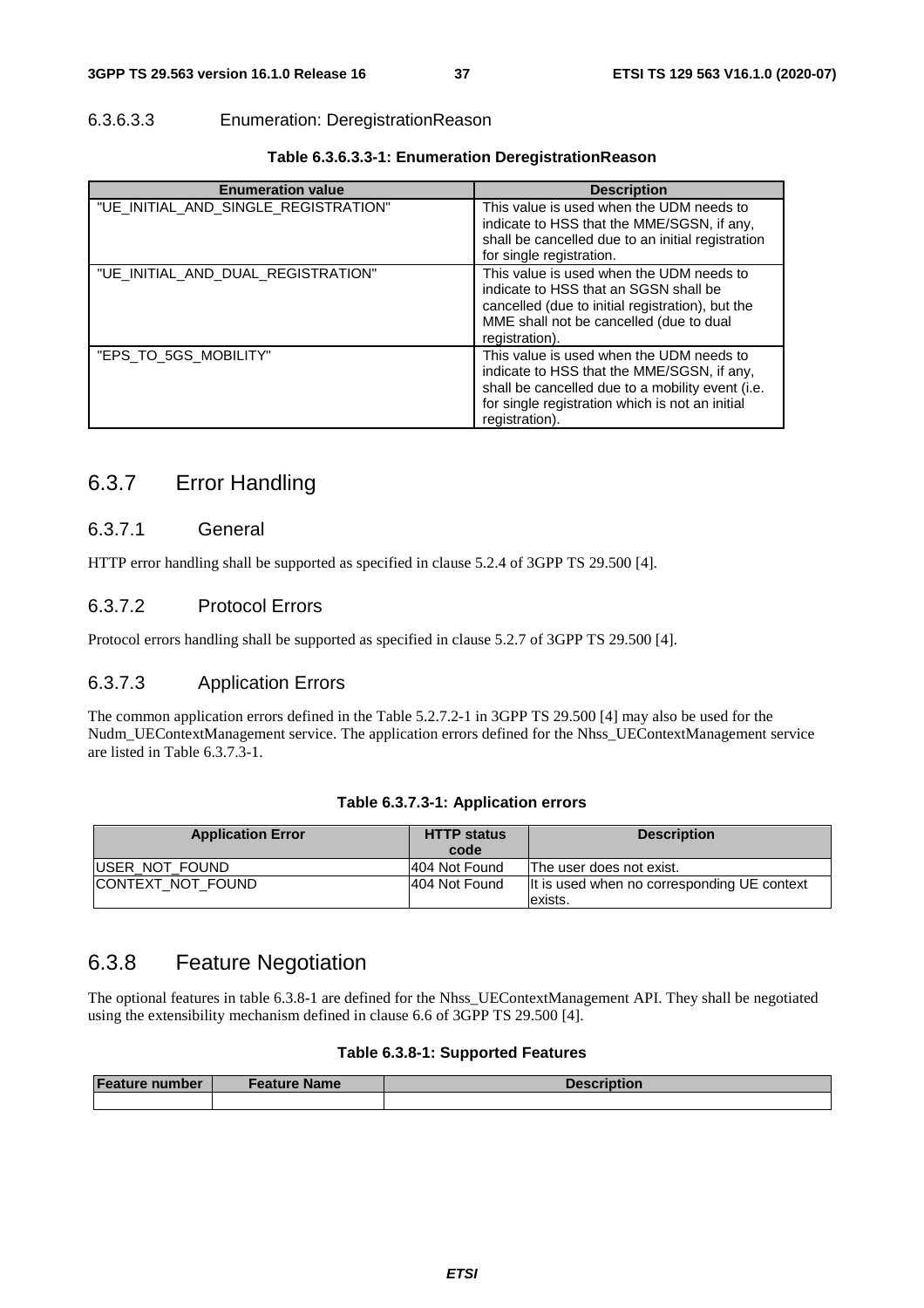#### 6.3.6.3.3 Enumeration: DeregistrationReason

| <b>Enumeration value</b>             | <b>Description</b>                                                                                                                                                                                              |
|--------------------------------------|-----------------------------------------------------------------------------------------------------------------------------------------------------------------------------------------------------------------|
| "UE_INITIAL_AND_SINGLE_REGISTRATION" | This value is used when the UDM needs to<br>indicate to HSS that the MME/SGSN, if any,<br>shall be cancelled due to an initial registration<br>for single registration.                                         |
| "UE_INITIAL_AND_DUAL_REGISTRATION"   | This value is used when the UDM needs to<br>indicate to HSS that an SGSN shall be<br>cancelled (due to initial registration), but the<br>MME shall not be cancelled (due to dual<br>registration).              |
| "EPS_TO_5GS_MOBILITY"                | This value is used when the UDM needs to<br>indicate to HSS that the MME/SGSN, if any,<br>shall be cancelled due to a mobility event (i.e.<br>for single registration which is not an initial<br>registration). |

#### **Table 6.3.6.3.3-1: Enumeration DeregistrationReason**

### 6.3.7 Error Handling

#### 6.3.7.1 General

HTTP error handling shall be supported as specified in clause 5.2.4 of 3GPP TS 29.500 [4].

### 6.3.7.2 Protocol Errors

Protocol errors handling shall be supported as specified in clause 5.2.7 of 3GPP TS 29.500 [4].

#### 6.3.7.3 Application Errors

The common application errors defined in the Table 5.2.7.2-1 in 3GPP TS 29.500 [4] may also be used for the Nudm\_UEContextManagement service. The application errors defined for the Nhss\_UEContextManagement service are listed in Table 6.3.7.3-1.

#### **Table 6.3.7.3-1: Application errors**

| <b>Application Error</b>  | <b>HTTP status</b><br>code | <b>Description</b>                                           |
|---------------------------|----------------------------|--------------------------------------------------------------|
| <b>IUSER NOT FOUND</b>    | 1404 Not Found             | The user does not exist.                                     |
| <b>ICONTEXT NOT FOUND</b> | 1404 Not Found             | It is used when no corresponding UE context<br><b>exists</b> |

### 6.3.8 Feature Negotiation

The optional features in table 6.3.8-1 are defined for the Nhss\_UEContextManagement API. They shall be negotiated using the extensibility mechanism defined in clause 6.6 of 3GPP TS 29.500 [4].

#### **Table 6.3.8-1: Supported Features**

| <b>Feature number</b> | <b>Feature Name</b> | <b>Description</b> |  |
|-----------------------|---------------------|--------------------|--|
|                       |                     |                    |  |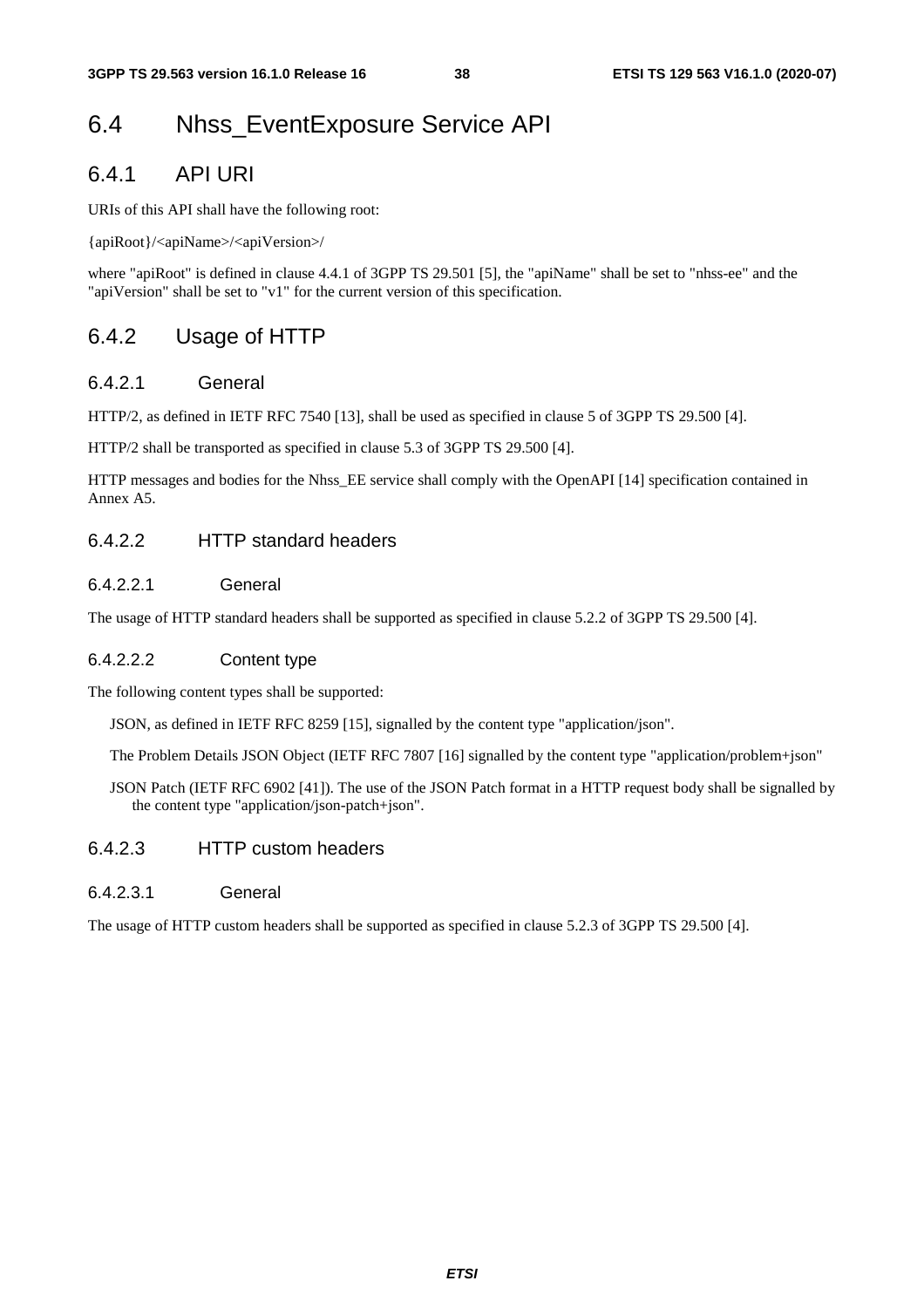## 6.4 Nhss\_EventExposure Service API

### 6.4.1 API URI

URIs of this API shall have the following root:

{apiRoot}/<apiName>/<apiVersion>/

where "apiRoot" is defined in clause 4.4.1 of 3GPP TS 29.501 [5], the "apiName" shall be set to "nhss-ee" and the "apiVersion" shall be set to "v1" for the current version of this specification.

### 6.4.2 Usage of HTTP

#### 6.4.2.1 General

HTTP/2, as defined in IETF RFC 7540 [13], shall be used as specified in clause 5 of 3GPP TS 29.500 [4].

HTTP/2 shall be transported as specified in clause 5.3 of 3GPP TS 29.500 [4].

HTTP messages and bodies for the Nhss\_EE service shall comply with the OpenAPI [14] specification contained in Annex A5.

### 6.4.2.2 HTTP standard headers

#### 6.4.2.2.1 General

The usage of HTTP standard headers shall be supported as specified in clause 5.2.2 of 3GPP TS 29.500 [4].

#### 6.4.2.2.2 Content type

The following content types shall be supported:

JSON, as defined in IETF RFC 8259 [15], signalled by the content type "application/json".

The Problem Details JSON Object (IETF RFC 7807 [16] signalled by the content type "application/problem+json"

JSON Patch (IETF RFC 6902 [41]). The use of the JSON Patch format in a HTTP request body shall be signalled by the content type "application/json-patch+json".

### 6.4.2.3 HTTP custom headers

#### 6.4.2.3.1 General

The usage of HTTP custom headers shall be supported as specified in clause 5.2.3 of 3GPP TS 29.500 [4].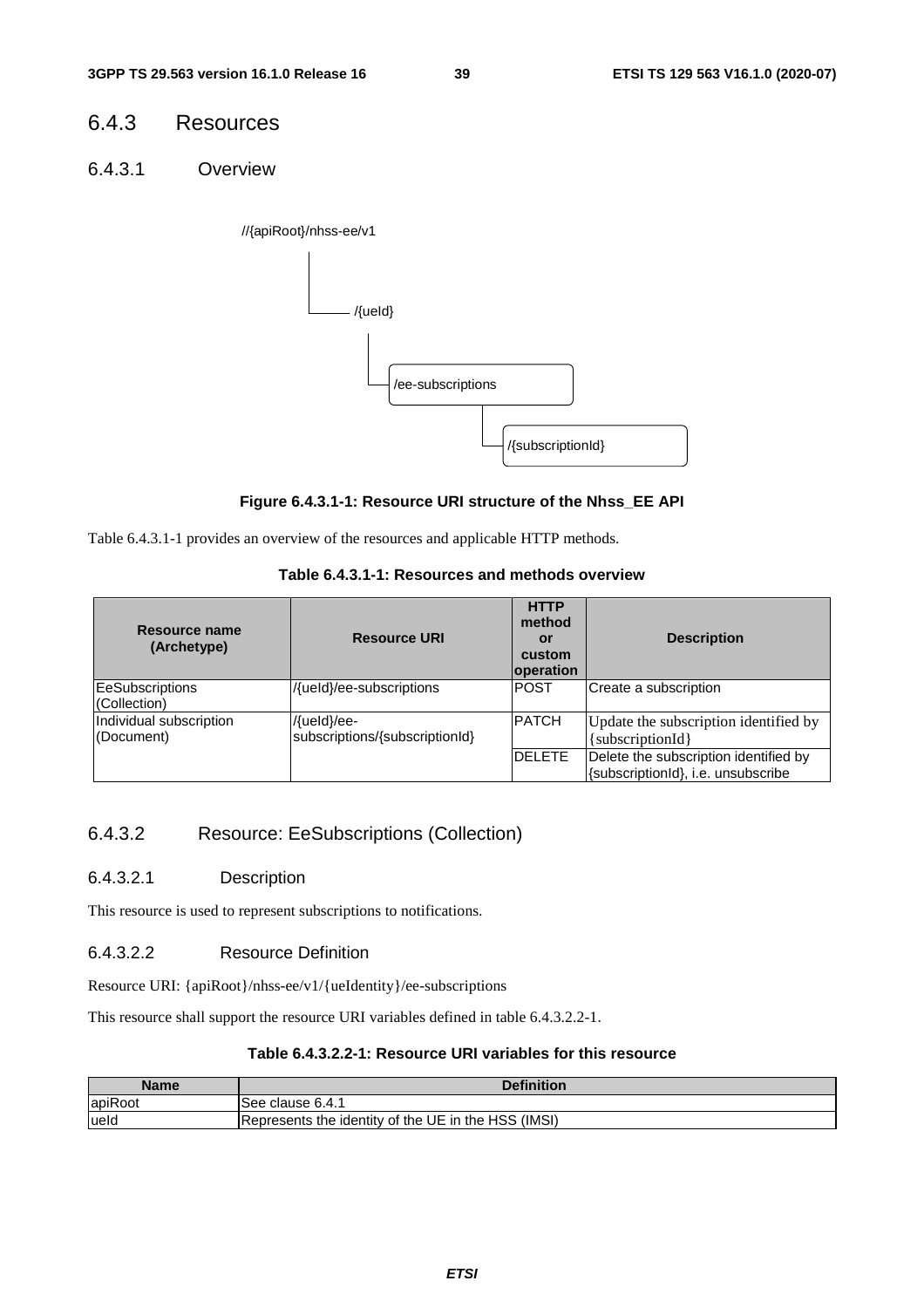### 6.4.3 Resources

6.4.3.1 Overview



#### **Figure 6.4.3.1-1: Resource URI structure of the Nhss\_EE API**

Table 6.4.3.1-1 provides an overview of the resources and applicable HTTP methods.

### **Table 6.4.3.1-1: Resources and methods overview**

| Resource name<br>(Archetype)           | <b>Resource URI</b>                           | <b>HTTP</b><br>method<br>or<br>custom<br><b>operation</b> | <b>Description</b>                                                          |
|----------------------------------------|-----------------------------------------------|-----------------------------------------------------------|-----------------------------------------------------------------------------|
| <b>EeSubscriptions</b><br>(Collection) | /{ueld}/ee-subscriptions                      | <b>POST</b>                                               | Create a subscription                                                       |
| Individual subscription<br>(Document)  | /{ueld}/ee-<br>subscriptions/{subscriptionId} | <b>PATCH</b>                                              | Update the subscription identified by<br>[subscriptionId]                   |
|                                        |                                               | <b>DELETE</b>                                             | Delete the subscription identified by<br>{subscriptionId}, i.e. unsubscribe |

### 6.4.3.2 Resource: EeSubscriptions (Collection)

#### 6.4.3.2.1 Description

This resource is used to represent subscriptions to notifications.

#### 6.4.3.2.2 Resource Definition

Resource URI: {apiRoot}/nhss-ee/v1/{ueIdentity}/ee-subscriptions

This resource shall support the resource URI variables defined in table 6.4.3.2.2-1.

#### **Table 6.4.3.2.2-1: Resource URI variables for this resource**

| Name    | <b>Definition</b>                                   |
|---------|-----------------------------------------------------|
| apiRoot | lSee clause 6.4.1                                   |
| lueld   | Represents the identity of the UE in the HSS (IMSI) |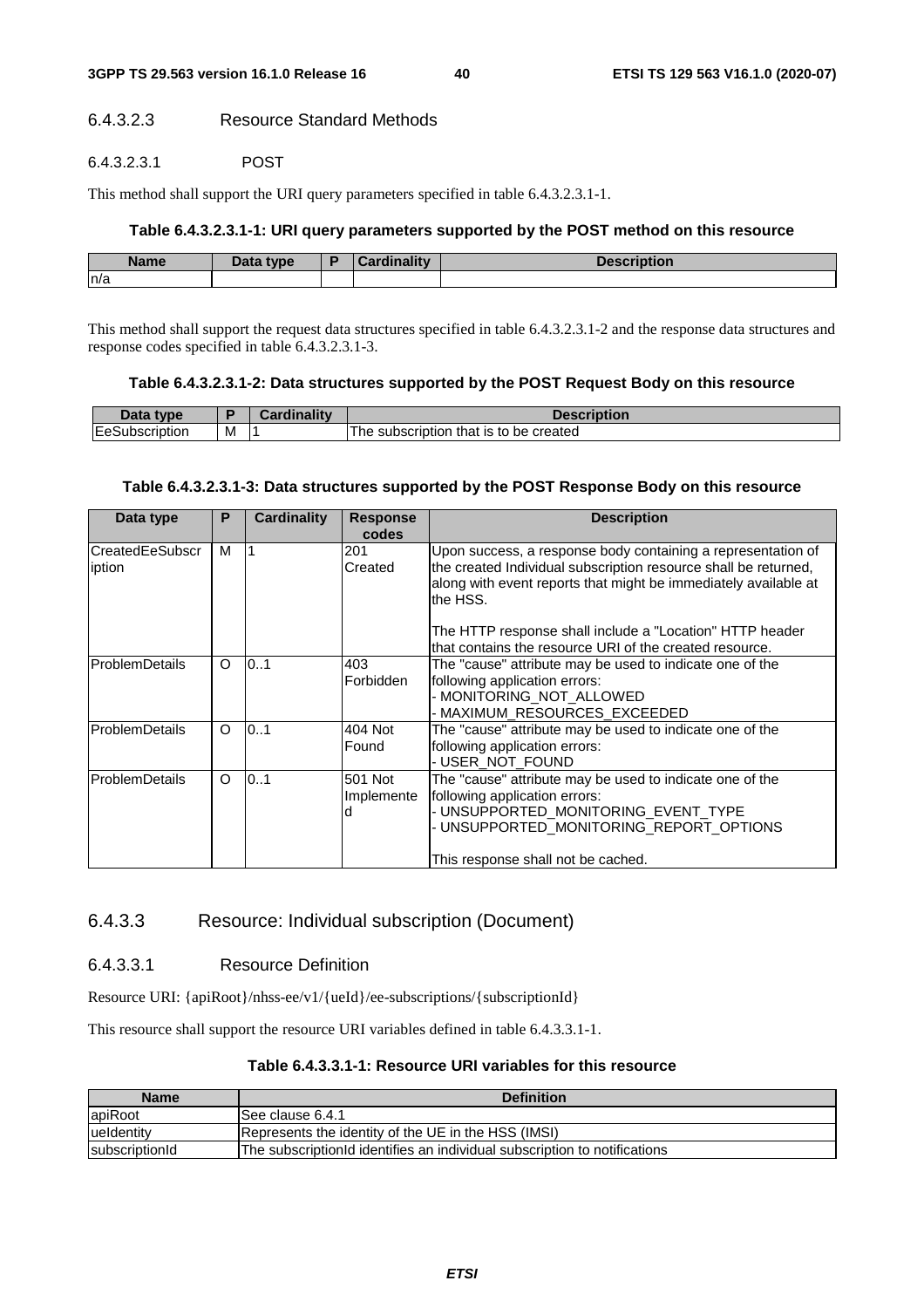#### 6.4.3.2.3 Resource Standard Methods

#### 6.4.3.2.3.1 POST

This method shall support the URI query parameters specified in table 6.4.3.2.3.1-1.

#### **Table 6.4.3.2.3.1-1: URI query parameters supported by the POST method on this resource**

| <b>Name</b> | <b>Pata type</b> | والمنافذ والمستحدث<br>$\sim$ | <b>THE R. P. LEWIS CO., LANSING.</b><br>10 J I |
|-------------|------------------|------------------------------|------------------------------------------------|
| n/a         |                  |                              |                                                |

This method shall support the request data structures specified in table 6.4.3.2.3.1-2 and the response data structures and response codes specified in table 6.4.3.2.3.1-3.

#### **Table 6.4.3.2.3.1-2: Data structures supported by the POST Request Body on this resource**

| Inta.<br>tvne               |            | -- 1145 | <b>SCription</b>                                         |
|-----------------------------|------------|---------|----------------------------------------------------------|
| <b>IEeS</b><br>Subscription | <b>IVI</b> |         | be created<br>subscription<br><b>he</b><br>that<br>is to |

#### **Table 6.4.3.2.3.1-3: Data structures supported by the POST Response Body on this resource**

| Data type                        | P        | <b>Cardinality</b> | <b>Response</b><br>codes   | <b>Description</b>                                                                                                                                                                                              |
|----------------------------------|----------|--------------------|----------------------------|-----------------------------------------------------------------------------------------------------------------------------------------------------------------------------------------------------------------|
| <b>CreatedEeSubscr</b><br>iption | м        |                    | 201<br>Created             | Upon success, a response body containing a representation of<br>the created Individual subscription resource shall be returned,<br>along with event reports that might be immediately available at<br>lthe HSS. |
|                                  |          |                    |                            | The HTTP response shall include a "Location" HTTP header<br>that contains the resource URI of the created resource.                                                                                             |
| lProblemDetails                  | $\Omega$ | 0.1                | 403<br>Forbidden           | The "cause" attribute may be used to indicate one of the<br>following application errors:<br>- MONITORING NOT ALLOWED<br>- MAXIMUM_RESOURCES_EXCEEDED                                                           |
| ProblemDetails                   | $\circ$  | 0.1                | 404 Not<br>Found           | The "cause" attribute may be used to indicate one of the<br>following application errors:<br>-USER NOT FOUND                                                                                                    |
| <b>ProblemDetails</b>            | $\Omega$ | 0.1                | 501 Not<br>Implemente<br>d | The "cause" attribute may be used to indicate one of the<br>following application errors:<br>- UNSUPPORTED MONITORING EVENT TYPE<br>UNSUPPORTED_MONITORING_REPORT_OPTIONS<br>This response shall not be cached. |

#### 6.4.3.3 Resource: Individual subscription (Document)

#### 6.4.3.3.1 Resource Definition

Resource URI: {apiRoot}/nhss-ee/v1/{ueId}/ee-subscriptions/{subscriptionId}

This resource shall support the resource URI variables defined in table 6.4.3.3.1-1.

| Table 6.4.3.3.1-1: Resource URI variables for this resource |  |
|-------------------------------------------------------------|--|
|-------------------------------------------------------------|--|

| <b>Name</b>            | <b>Definition</b>                                                         |
|------------------------|---------------------------------------------------------------------------|
| apiRoot                | ISee clause 6.4.1                                                         |
| lueldentity            | Represents the identity of the UE in the HSS (IMSI)                       |
| <b>IsubscriptionId</b> | The subscriptionId identifies an individual subscription to notifications |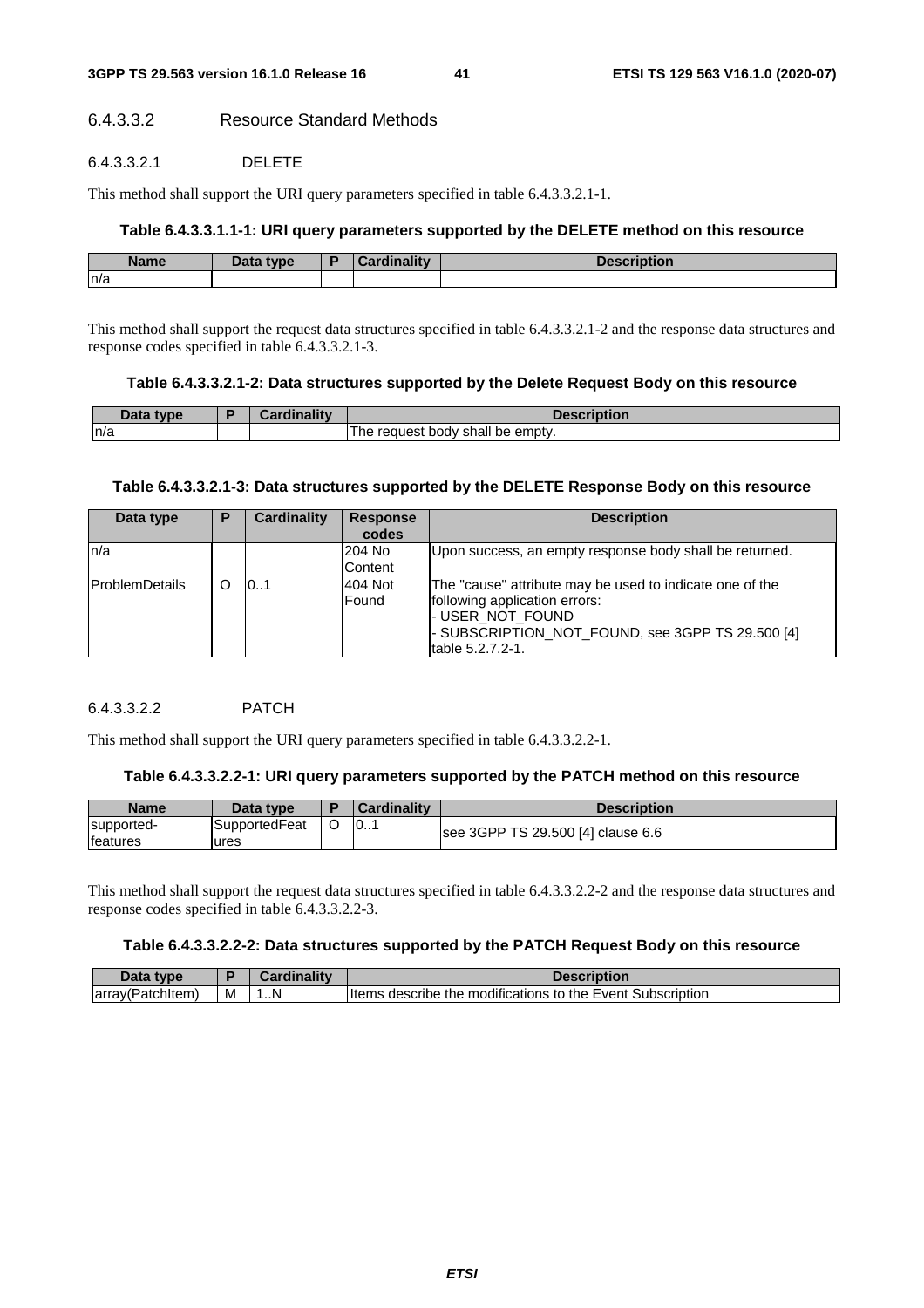### 6.4.3.3.2 Resource Standard Methods

#### 6.4.3.3.2.1 DELETE

This method shall support the URI query parameters specified in table 6.4.3.3.2.1-1.

#### **Table 6.4.3.3.1.1-1: URI query parameters supported by the DELETE method on this resource**

| <b>Name</b> | Data tyne | $\frac{1}{2}$ and $\frac{1}{2}$ and $\frac{1}{2}$ and $\frac{1}{2}$<br>$\sim$<br>$\sim$ $\sim$ $\sim$ $\sim$ | -----<br>пог |
|-------------|-----------|--------------------------------------------------------------------------------------------------------------|--------------|
| n/a         |           |                                                                                                              |              |

This method shall support the request data structures specified in table 6.4.3.3.2.1-2 and the response data structures and response codes specified in table 6.4.3.3.2.1-3.

#### **Table 6.4.3.3.2.1-2: Data structures supported by the Delete Request Body on this resource**

| <b>Data type</b><br>Dala | $10 - 100$ | <b>Description</b>                         |
|--------------------------|------------|--------------------------------------------|
| n/a                      |            | request<br>body<br>shall be empty.<br>' he |

#### **Table 6.4.3.3.2.1-3: Data structures supported by the DELETE Response Body on this resource**

| Data type              | P | <b>Cardinality</b> | <b>Response</b><br>codes | <b>Description</b>                                                                                                                                                                     |
|------------------------|---|--------------------|--------------------------|----------------------------------------------------------------------------------------------------------------------------------------------------------------------------------------|
| ln/a                   |   |                    | 204 No<br>Content        | Upon success, an empty response body shall be returned.                                                                                                                                |
| <b>IProblemDetails</b> |   | 0.1                | 404 Not<br>Found         | The "cause" attribute may be used to indicate one of the<br>following application errors:<br>- USER_NOT_FOUND<br>- SUBSCRIPTION_NOT_FOUND, see 3GPP TS 29.500 [4]<br>ltable 5.2.7.2-1. |

### 6.4.3.3.2.2 PATCH

This method shall support the URI query parameters specified in table 6.4.3.3.2.2-1.

#### **Table 6.4.3.3.2.2-1: URI query parameters supported by the PATCH method on this resource**

| Name                           | Data type             | <b>Cardinality</b> | <b>Description</b>                |
|--------------------------------|-----------------------|--------------------|-----------------------------------|
| supported-<br><b>Ifeatures</b> | SupportedFeat<br>ures | 10                 | see 3GPP TS 29.500 [4] clause 6.6 |

This method shall support the request data structures specified in table 6.4.3.3.2.2-2 and the response data structures and response codes specified in table 6.4.3.3.2.2-3.

#### **Table 6.4.3.3.2.2-2: Data structures supported by the PATCH Request Body on this resource**

| Data<br>type.           |   |   | Description                                                          |
|-------------------------|---|---|----------------------------------------------------------------------|
| ∥array(Patc<br>unitem ' | м | N | Subscription<br>` describe the modifications to the Event ੮<br>ltems |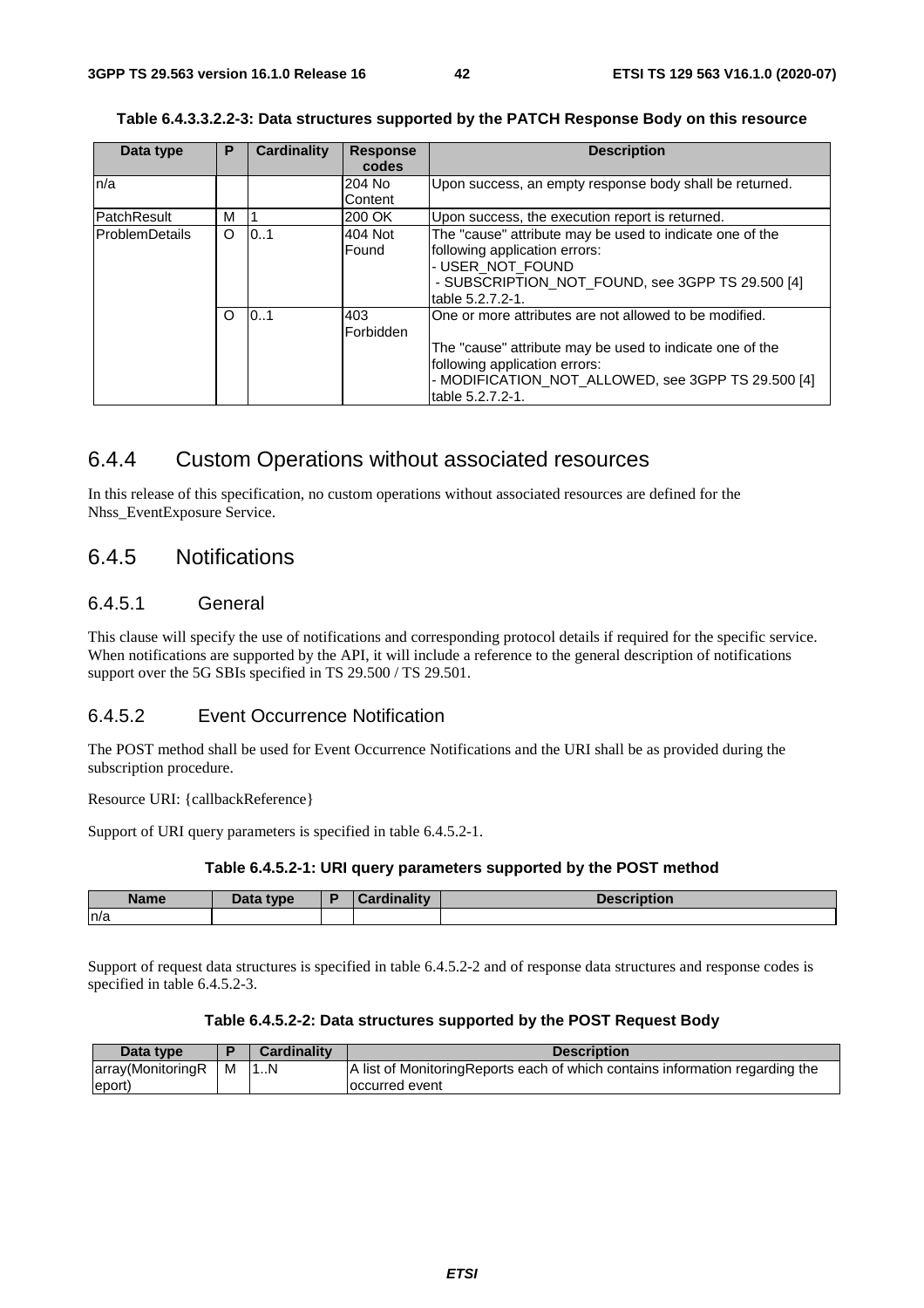| Table 6.4.3.3.2.2-3: Data structures supported by the PATCH Response Body on this resource |  |
|--------------------------------------------------------------------------------------------|--|
|                                                                                            |  |

| Data type             | P | Cardinality | <b>Response</b> | <b>Description</b>                                       |
|-----------------------|---|-------------|-----------------|----------------------------------------------------------|
|                       |   |             | codes           |                                                          |
| n/a                   |   |             | 204 No          | Upon success, an empty response body shall be returned.  |
|                       |   |             | Content         |                                                          |
| <b>PatchResult</b>    | м |             | 200 OK          | Upon success, the execution report is returned.          |
| <b>ProblemDetails</b> | O | 101         | 404 Not         | The "cause" attribute may be used to indicate one of the |
|                       |   |             | Found           | following application errors:                            |
|                       |   |             |                 | - USER_NOT_FOUND                                         |
|                       |   |             |                 | - SUBSCRIPTION_NOT_FOUND, see 3GPP TS 29.500 [4]         |
|                       |   |             |                 | table 5.2.7.2-1.                                         |
|                       | O | 0.1         | 403             | One or more attributes are not allowed to be modified.   |
|                       |   |             | Forbidden       |                                                          |
|                       |   |             |                 | The "cause" attribute may be used to indicate one of the |
|                       |   |             |                 | following application errors:                            |
|                       |   |             |                 | - MODIFICATION_NOT_ALLOWED, see 3GPP TS 29.500 [4]       |
|                       |   |             |                 | table 5.2.7.2-1.                                         |

### 6.4.4 Custom Operations without associated resources

In this release of this specification, no custom operations without associated resources are defined for the Nhss\_EventExposure Service.

### 6.4.5 Notifications

### 6.4.5.1 General

This clause will specify the use of notifications and corresponding protocol details if required for the specific service. When notifications are supported by the API, it will include a reference to the general description of notifications support over the 5G SBIs specified in TS 29.500 / TS 29.501.

#### 6.4.5.2 Event Occurrence Notification

The POST method shall be used for Event Occurrence Notifications and the URI shall be as provided during the subscription procedure.

Resource URI: {callbackReference}

Support of URI query parameters is specified in table 6.4.5.2-1.

#### **Table 6.4.5.2-1: URI query parameters supported by the POST method**

| <b>Name</b> | Data type | D | <b>Pardinality</b> | Description |
|-------------|-----------|---|--------------------|-------------|
| n/a         |           |   |                    |             |

Support of request data structures is specified in table 6.4.5.2-2 and of response data structures and response codes is specified in table 6.4.5.2-3.

#### **Table 6.4.5.2-2: Data structures supported by the POST Request Body**

| Data type           |   | <b>Cardinality</b> | <b>Description</b>                                                            |
|---------------------|---|--------------------|-------------------------------------------------------------------------------|
| array (Monitoring R | м |                    | A list of Monitoring Reports each of which contains information regarding the |
| (eport)             |   |                    | loccurred event                                                               |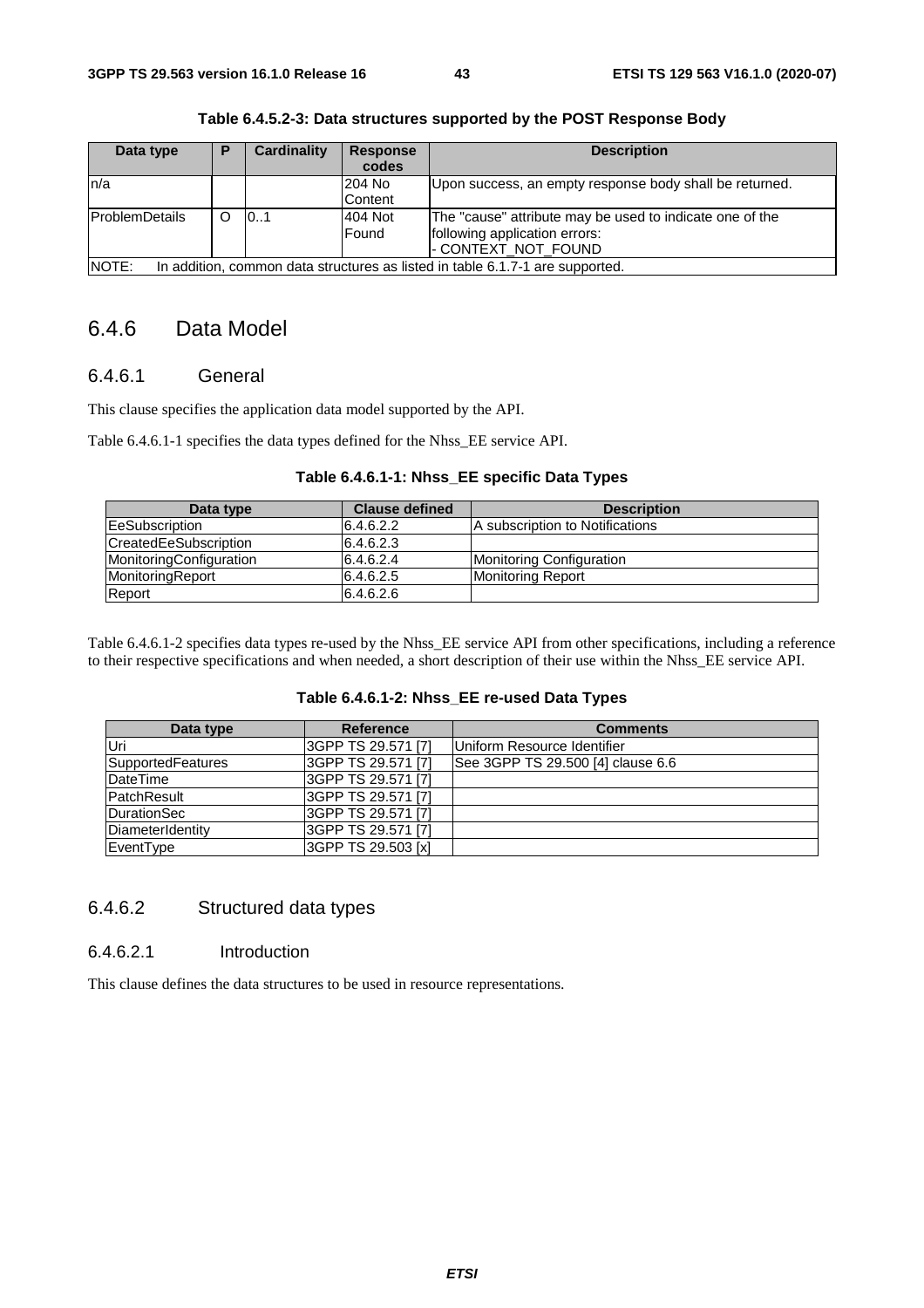| Data type              | Р | <b>Cardinality</b> | <b>Response</b><br>codes | <b>Description</b>                                                            |
|------------------------|---|--------------------|--------------------------|-------------------------------------------------------------------------------|
| ln/a                   |   |                    | 204 No                   | Upon success, an empty response body shall be returned.                       |
|                        |   |                    | Content                  |                                                                               |
| <b>IProblemDetails</b> | ∩ | 10.1               | 404 Not                  | The "cause" attribute may be used to indicate one of the                      |
|                        |   |                    | Found                    | following application errors:                                                 |
|                        |   |                    |                          | - CONTEXT_NOT_FOUND                                                           |
| NOTE:                  |   |                    |                          | In addition, common data structures as listed in table 6.1.7-1 are supported. |

**Table 6.4.5.2-3: Data structures supported by the POST Response Body** 

### 6.4.6 Data Model

#### 6.4.6.1 General

This clause specifies the application data model supported by the API.

Table 6.4.6.1-1 specifies the data types defined for the Nhss\_EE service API.

#### **Table 6.4.6.1-1: Nhss\_EE specific Data Types**

| Data type               | <b>Clause defined</b> | <b>Description</b>              |
|-------------------------|-----------------------|---------------------------------|
| <b>EeSubscription</b>   | 6.4.6.2.2             | A subscription to Notifications |
| CreatedEeSubscription   | 6.4.6.2.3             |                                 |
| MonitoringConfiguration | 6.4.6.2.4             | Monitoring Configuration        |
| MonitoringReport        | 6.4.6.2.5             | <b>Monitoring Report</b>        |
| Report                  | 6.4.6.2.6             |                                 |

Table 6.4.6.1-2 specifies data types re-used by the Nhss\_EE service API from other specifications, including a reference to their respective specifications and when needed, a short description of their use within the Nhss\_EE service API.

#### **Table 6.4.6.1-2: Nhss\_EE re-used Data Types**

| Data type          | Reference          | <b>Comments</b>                   |
|--------------------|--------------------|-----------------------------------|
| Uri                | 3GPP TS 29.571 [7] | Uniform Resource Identifier       |
| SupportedFeatures  | 3GPP TS 29.571 [7] | See 3GPP TS 29.500 [4] clause 6.6 |
| DateTime           | 3GPP TS 29.571 [7] |                                   |
| <b>PatchResult</b> | 3GPP TS 29.571 [7] |                                   |
| DurationSec        | 3GPP TS 29.571 [7] |                                   |
| DiameterIdentity   | 3GPP TS 29.571 [7] |                                   |
| EventType          | 3GPP TS 29.503 [x] |                                   |

#### 6.4.6.2 Structured data types

#### 6.4.6.2.1 Introduction

This clause defines the data structures to be used in resource representations.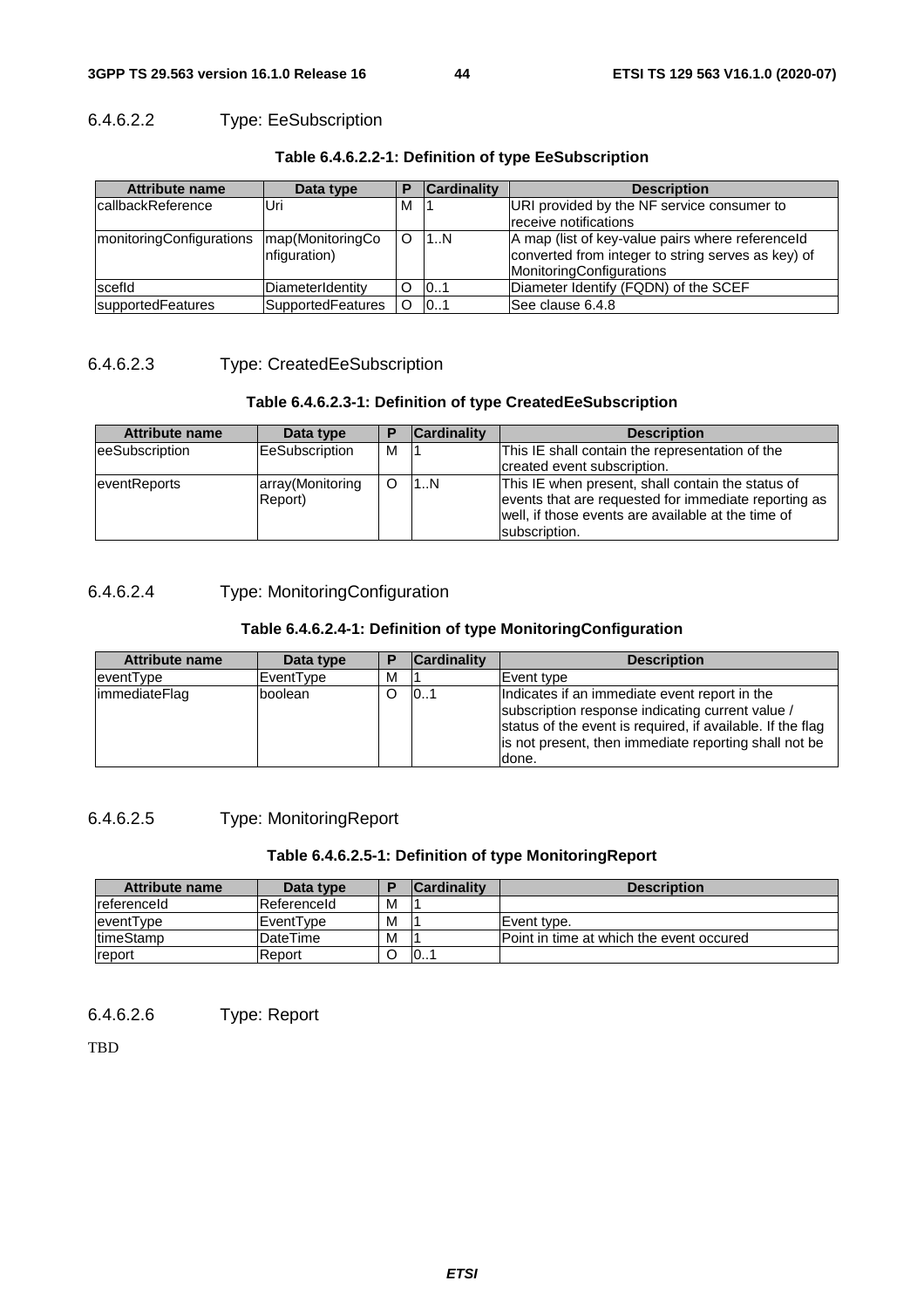### 6.4.6.2.2 Type: EeSubscription

| <b>Attribute name</b>            | Data type                        |   | <b>Cardinality</b> | <b>Description</b>                                                                                                                        |
|----------------------------------|----------------------------------|---|--------------------|-------------------------------------------------------------------------------------------------------------------------------------------|
| <b>IcallbackReference</b>        | Uri                              | M |                    | URI provided by the NF service consumer to                                                                                                |
|                                  |                                  |   |                    | receive notifications                                                                                                                     |
| <b>ImonitoringConfigurations</b> | map(MonitoringCo<br>nfiguration) | O | 11. N              | A map (list of key-value pairs where referenceld<br>converted from integer to string serves as key) of<br><b>MonitoringConfigurations</b> |
| scefid                           | DiameterIdentity                 | O | 101                | Diameter Identify (FQDN) of the SCEF                                                                                                      |
| supportedFeatures                | SupportedFeatures                | O | 101                | See clause 6.4.8                                                                                                                          |

#### **Table 6.4.6.2.2-1: Definition of type EeSubscription**

#### 6.4.6.2.3 Type: CreatedEeSubscription

#### **Table 6.4.6.2.3-1: Definition of type CreatedEeSubscription**

| <b>Attribute name</b> | Data type                   |   | <b>Cardinality</b> | <b>Description</b>                                                                                                                                                               |
|-----------------------|-----------------------------|---|--------------------|----------------------------------------------------------------------------------------------------------------------------------------------------------------------------------|
| eeSubscription        | <b>EeSubscription</b>       | м |                    | This IE shall contain the representation of the                                                                                                                                  |
|                       |                             |   |                    | created event subscription.                                                                                                                                                      |
| eventReports          | array(Monitoring<br>Report) | O | 11N                | This IE when present, shall contain the status of<br>events that are requested for immediate reporting as<br>well, if those events are available at the time of<br>subscription. |

### 6.4.6.2.4 Type: MonitoringConfiguration

#### **Table 6.4.6.2.4-1: Definition of type MonitoringConfiguration**

| <b>Attribute name</b> | Data type |   | <b>Cardinality</b> | <b>Description</b>                                                                                                                                                                                                                |
|-----------------------|-----------|---|--------------------|-----------------------------------------------------------------------------------------------------------------------------------------------------------------------------------------------------------------------------------|
| eventType             | EventType | м |                    | Event type                                                                                                                                                                                                                        |
| <i>immediateFlag</i>  | boolean   |   | 101                | Indicates if an immediate event report in the<br>subscription response indicating current value /<br>status of the event is required, if available. If the flag<br>is not present, then immediate reporting shall not be<br>done. |

#### 6.4.6.2.5 Type: MonitoringReport

#### **Table 6.4.6.2.5-1: Definition of type MonitoringReport**

| Attribute name       | Data type     |   | <b>Cardinality</b> | <b>Description</b>                        |
|----------------------|---------------|---|--------------------|-------------------------------------------|
| <b>I</b> referenceld | Referenceld   | M |                    |                                           |
| eventType            | IEventTvpe    | M |                    | IEvent tvpe.                              |
| <b>ItimeStamp</b>    | IDateTime     | M |                    | IPoint in time at which the event occured |
| report               | <b>Report</b> |   | 10                 |                                           |

6.4.6.2.6 Type: Report

TBD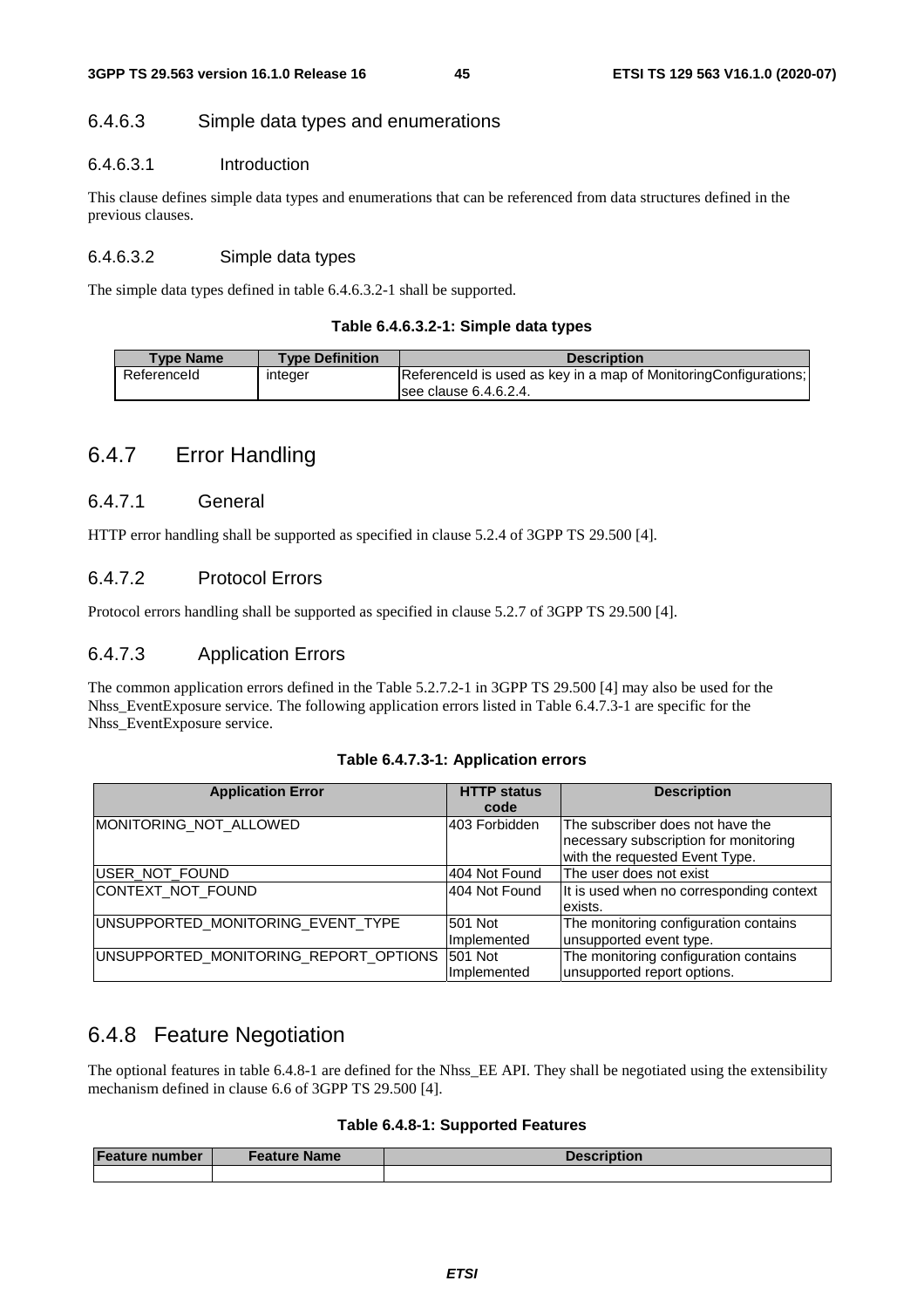#### 6.4.6.3 Simple data types and enumerations

#### 6.4.6.3.1 Introduction

This clause defines simple data types and enumerations that can be referenced from data structures defined in the previous clauses.

#### 6.4.6.3.2 Simple data types

The simple data types defined in table 6.4.6.3.2-1 shall be supported.

#### **Table 6.4.6.3.2-1: Simple data types**

| <b>Type Definition</b> | <b>Description</b>                                                                                                  |
|------------------------|---------------------------------------------------------------------------------------------------------------------|
| integer                | Referenceld is used as key in a map of Monitoring Configurations;<br>$\overline{\phantom{1}}$ see clause 6.4.6.2.4. |
|                        |                                                                                                                     |

### 6.4.7 Error Handling

#### 6.4.7.1 General

HTTP error handling shall be supported as specified in clause 5.2.4 of 3GPP TS 29.500 [4].

#### 6.4.7.2 Protocol Errors

Protocol errors handling shall be supported as specified in clause 5.2.7 of 3GPP TS 29.500 [4].

### 6.4.7.3 Application Errors

The common application errors defined in the Table 5.2.7.2-1 in 3GPP TS 29.500 [4] may also be used for the Nhss EventExposure service. The following application errors listed in Table 6.4.7.3-1 are specific for the Nhss\_EventExposure service.

| Table 6.4.7.3-1: Application errors |  |  |  |
|-------------------------------------|--|--|--|
|-------------------------------------|--|--|--|

| <b>Application Error</b>              | <b>HTTP status</b><br>code | <b>Description</b>                                                                                          |
|---------------------------------------|----------------------------|-------------------------------------------------------------------------------------------------------------|
| MONITORING NOT ALLOWED                | 403 Forbidden              | The subscriber does not have the<br>necessary subscription for monitoring<br>with the requested Event Type. |
| USER_NOT_FOUND                        | 404 Not Found              | The user does not exist                                                                                     |
| CONTEXT_NOT_FOUND                     | 404 Not Found              | It is used when no corresponding context<br>exists.                                                         |
| UNSUPPORTED_MONITORING_EVENT_TYPE     | 501 Not<br>Implemented     | The monitoring configuration contains<br>unsupported event type.                                            |
| UNSUPPORTED_MONITORING_REPORT_OPTIONS | 501 Not<br>Implemented     | The monitoring configuration contains<br>unsupported report options.                                        |

### 6.4.8 Feature Negotiation

The optional features in table 6.4.8-1 are defined for the Nhss\_EE API. They shall be negotiated using the extensibility mechanism defined in clause 6.6 of 3GPP TS 29.500 [4].

#### **Table 6.4.8-1: Supported Features**

| <b>Feature number</b> | Feature Name | <b>Description</b> |
|-----------------------|--------------|--------------------|
|                       |              |                    |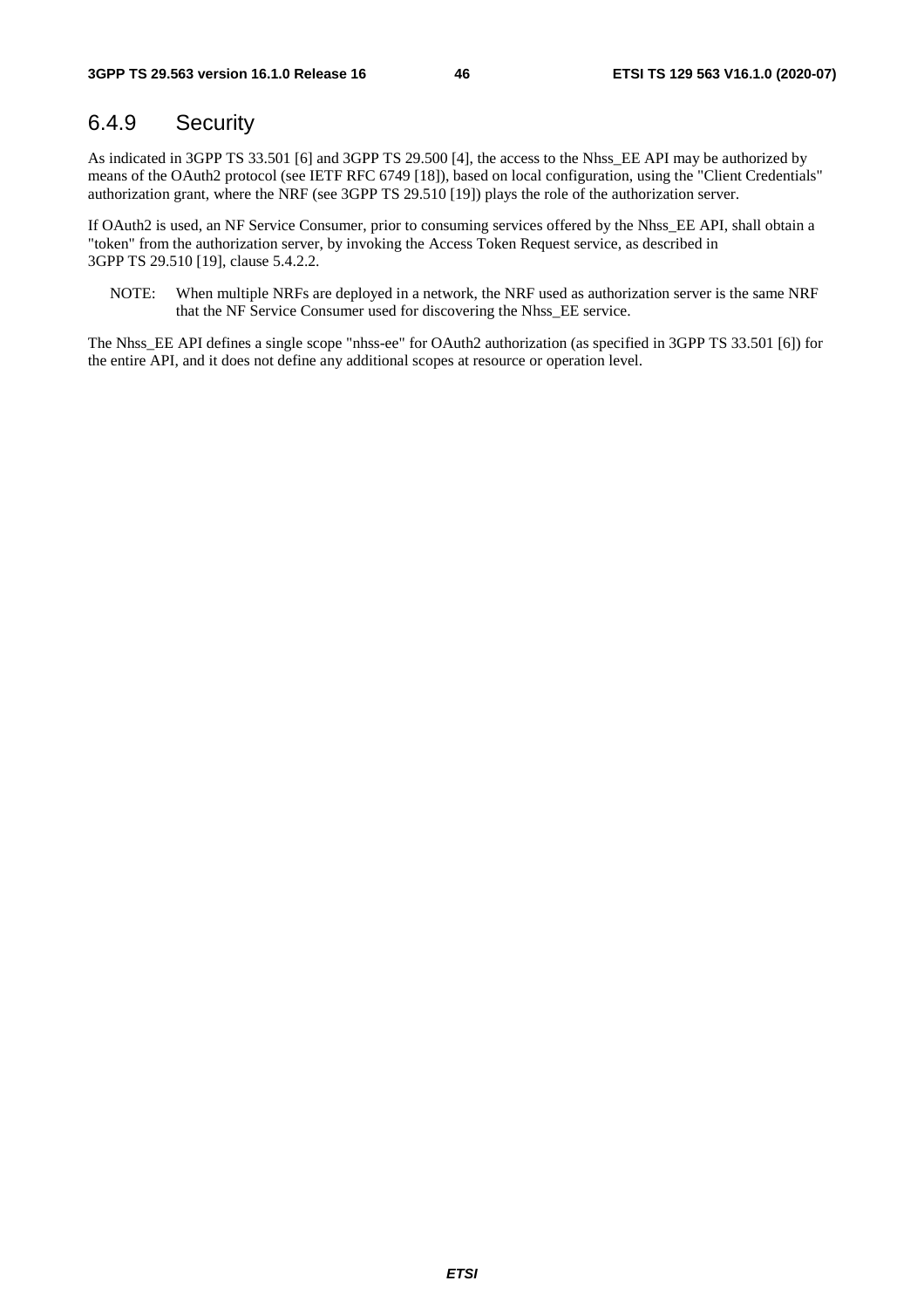### 6.4.9 Security

As indicated in 3GPP TS 33.501 [6] and 3GPP TS 29.500 [4], the access to the Nhss\_EE API may be authorized by means of the OAuth2 protocol (see IETF RFC 6749 [18]), based on local configuration, using the "Client Credentials" authorization grant, where the NRF (see 3GPP TS 29.510 [19]) plays the role of the authorization server.

If OAuth2 is used, an NF Service Consumer, prior to consuming services offered by the Nhss\_EE API, shall obtain a "token" from the authorization server, by invoking the Access Token Request service, as described in 3GPP TS 29.510 [19], clause 5.4.2.2.

NOTE: When multiple NRFs are deployed in a network, the NRF used as authorization server is the same NRF that the NF Service Consumer used for discovering the Nhss\_EE service.

The Nhss\_EE API defines a single scope "nhss-ee" for OAuth2 authorization (as specified in 3GPP TS 33.501 [6]) for the entire API, and it does not define any additional scopes at resource or operation level.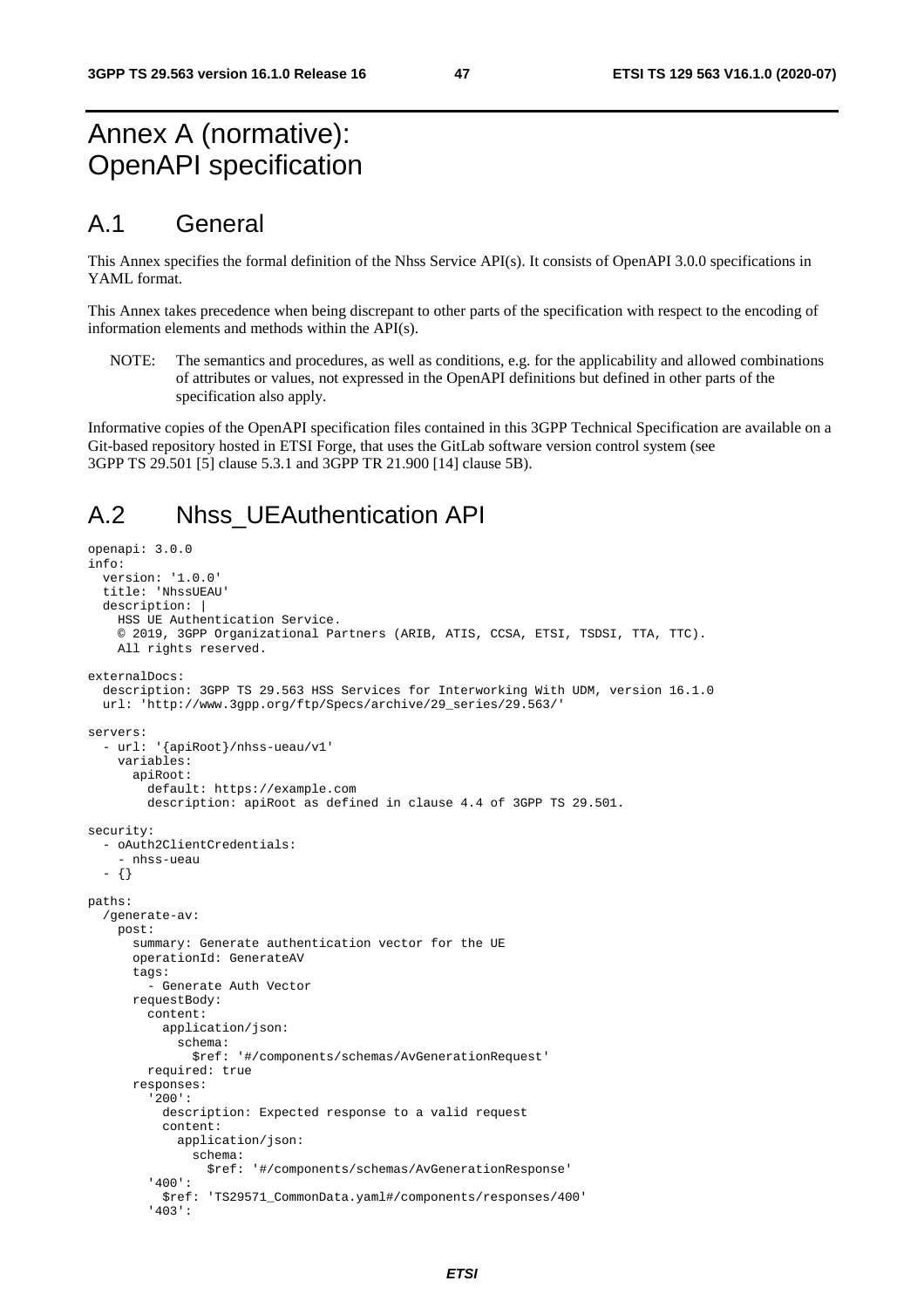## Annex A (normative): OpenAPI specification

### A.1 General

This Annex specifies the formal definition of the Nhss Service API(s). It consists of OpenAPI 3.0.0 specifications in YAML format.

This Annex takes precedence when being discrepant to other parts of the specification with respect to the encoding of information elements and methods within the API(s).

NOTE: The semantics and procedures, as well as conditions, e.g. for the applicability and allowed combinations of attributes or values, not expressed in the OpenAPI definitions but defined in other parts of the specification also apply.

Informative copies of the OpenAPI specification files contained in this 3GPP Technical Specification are available on a Git-based repository hosted in ETSI Forge, that uses the GitLab software version control system (see 3GPP TS 29.501 [5] clause 5.3.1 and 3GPP TR 21.900 [14] clause 5B).

## A.2 Nhss\_UEAuthentication API

```
openapi: 3.0.0 
info: 
   version: '1.0.0' 
   title: 'NhssUEAU' 
   description: | 
     HSS UE Authentication Service. 
     © 2019, 3GPP Organizational Partners (ARIB, ATIS, CCSA, ETSI, TSDSI, TTA, TTC). 
     All rights reserved. 
externalDocs: 
   description: 3GPP TS 29.563 HSS Services for Interworking With UDM, version 16.1.0 
   url: 'http://www.3gpp.org/ftp/Specs/archive/29_series/29.563/' 
servers: 
   - url: '{apiRoot}/nhss-ueau/v1' 
     variables: 
       apiRoot: 
         default: https://example.com 
         description: apiRoot as defined in clause 4.4 of 3GPP TS 29.501. 
security: 
    - oAuth2ClientCredentials: 
     - nhss-ueau 
   - {} 
paths: 
   /generate-av: 
     post: 
       summary: Generate authentication vector for the UE 
       operationId: GenerateAV 
       tags: 
          - Generate Auth Vector 
       requestBody: 
         content: 
           application/json: 
              schema: 
                $ref: '#/components/schemas/AvGenerationRequest' 
         required: true 
       responses: 
          '200': 
           description: Expected response to a valid request 
            content: 
              application/json: 
                schema: 
                  $ref: '#/components/schemas/AvGenerationResponse' 
          '400': 
            $ref: 'TS29571_CommonData.yaml#/components/responses/400' 
          '403':
```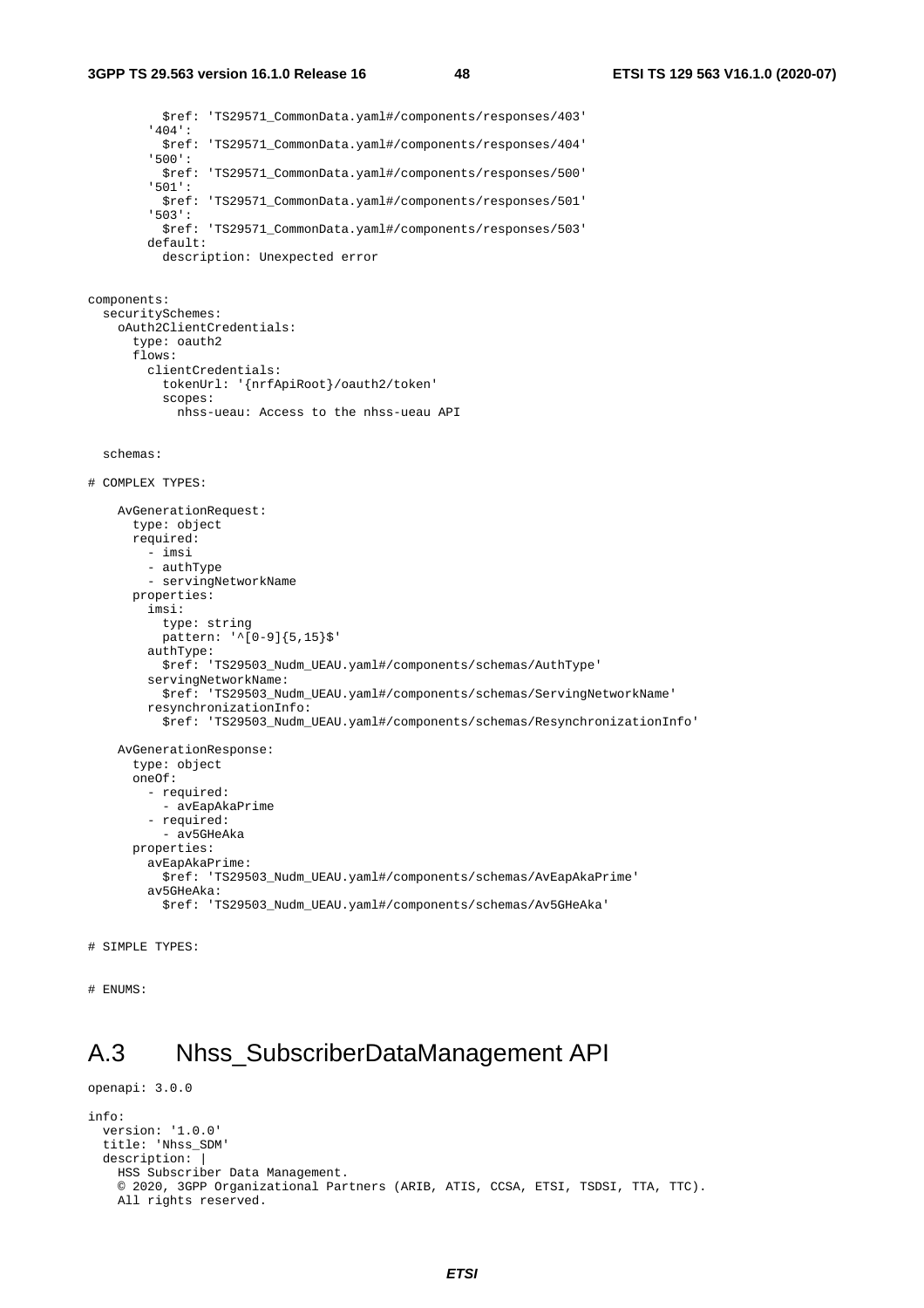#### **3GPP TS 29.563 version 16.1.0 Release 16 48 ETSI TS 129 563 V16.1.0 (2020-07)**

 \$ref: 'TS29571\_CommonData.yaml#/components/responses/403' '404': \$ref: 'TS29571\_CommonData.yaml#/components/responses/404' '500': \$ref: 'TS29571\_CommonData.yaml#/components/responses/500' '501': \$ref: 'TS29571\_CommonData.yaml#/components/responses/501' '503': \$ref: 'TS29571\_CommonData.yaml#/components/responses/503' default: description: Unexpected error components: securitySchemes: oAuth2ClientCredentials: type: oauth2 flows: clientCredentials: tokenUrl: '{nrfApiRoot}/oauth2/token' scopes: nhss-ueau: Access to the nhss-ueau API schemas: # COMPLEX TYPES: AvGenerationRequest: type: object required: - imsi - authType - servingNetworkName properties: imsi: type: string pattern: '^[0-9]{5,15}\$' authType: \$ref: 'TS29503\_Nudm\_UEAU.yaml#/components/schemas/AuthType' servingNetworkName: \$ref: 'TS29503\_Nudm\_UEAU.yaml#/components/schemas/ServingNetworkName' resynchronizationInfo: \$ref: 'TS29503\_Nudm\_UEAU.yaml#/components/schemas/ResynchronizationInfo' AvGenerationResponse: type: object oneOf: - required: - avEapAkaPrime - required: - av5GHeAka properties: avEapAkaPrime: \$ref: 'TS29503\_Nudm\_UEAU.yaml#/components/schemas/AvEapAkaPrime' av5GHeAka: \$ref: 'TS29503\_Nudm\_UEAU.yaml#/components/schemas/Av5GHeAka'

```
# SIMPLE TYPES:
```
openapi: 3.0.0

```
# ENUMS:
```
## A.3 Nhss\_SubscriberDataManagement API

```
info: 
   version: '1.0.0' 
   title: 'Nhss_SDM' 
  description:
    HSS Subscriber Data Management. 
    © 2020, 3GPP Organizational Partners (ARIB, ATIS, CCSA, ETSI, TSDSI, TTA, TTC). 
    All rights reserved.
```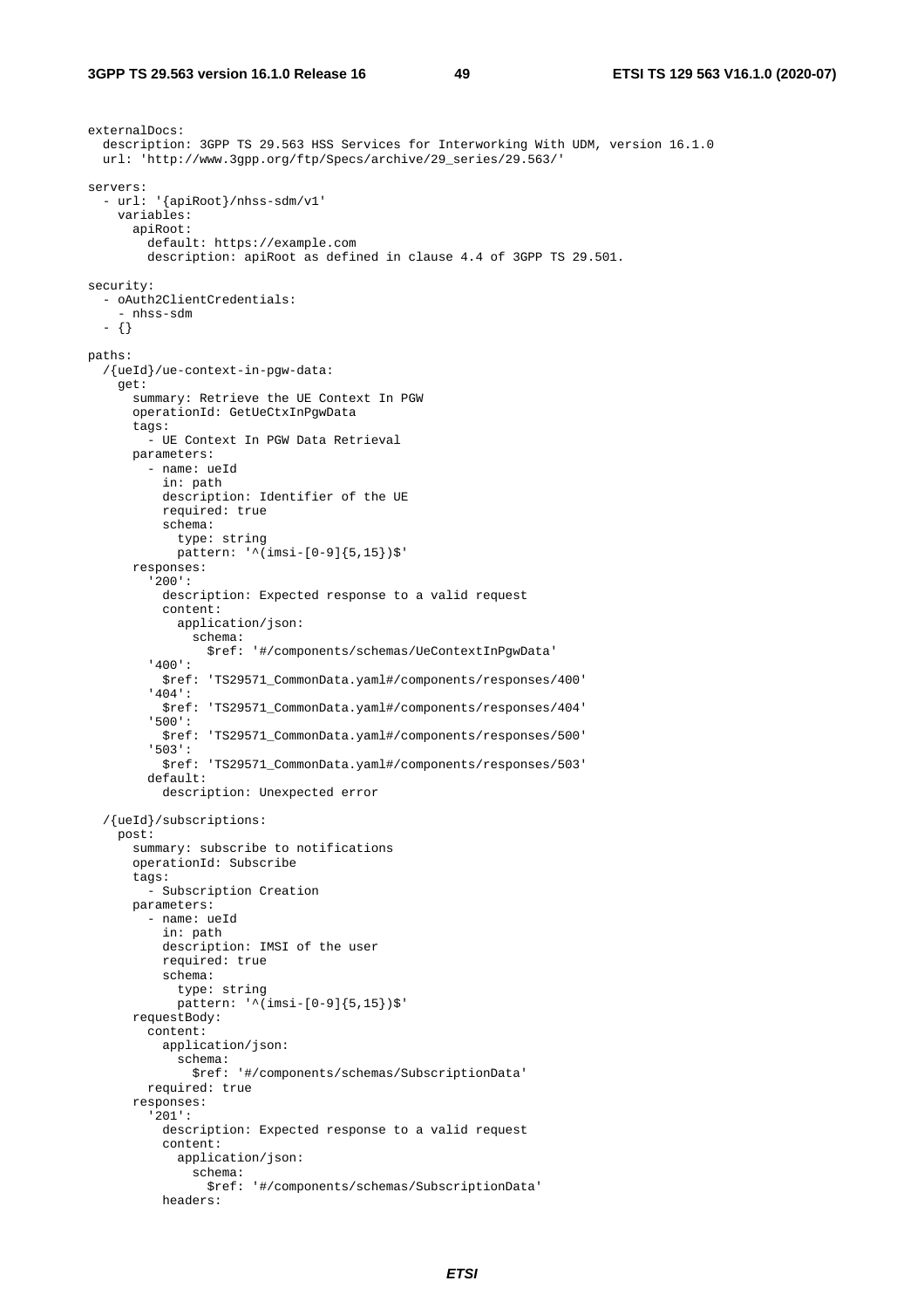```
externalDocs: 
   description: 3GPP TS 29.563 HSS Services for Interworking With UDM, version 16.1.0 
   url: 'http://www.3gpp.org/ftp/Specs/archive/29_series/29.563/' 
servers: 
   - url: '{apiRoot}/nhss-sdm/v1' 
     variables: 
       apiRoot: 
         default: https://example.com 
         description: apiRoot as defined in clause 4.4 of 3GPP TS 29.501. 
security: 
   - oAuth2ClientCredentials: 
      - nhss-sdm 
   - {} 
paths: 
   /{ueId}/ue-context-in-pgw-data: 
     get: 
       summary: Retrieve the UE Context In PGW 
       operationId: GetUeCtxInPgwData 
       tags: 
         - UE Context In PGW Data Retrieval 
       parameters: 
          - name: ueId 
           in: path 
           description: Identifier of the UE 
           required: true 
           schema: 
              type: string 
              pattern: '^(imsi-[0-9]{5,15})$' 
       responses: 
          '200': 
           description: Expected response to a valid request 
            content: 
              application/json: 
                schema: 
                  $ref: '#/components/schemas/UeContextInPgwData' 
          '400': 
           $ref: 'TS29571_CommonData.yaml#/components/responses/400' 
          '404': 
           $ref: 'TS29571_CommonData.yaml#/components/responses/404' 
          '500': 
           $ref: 'TS29571_CommonData.yaml#/components/responses/500' 
          '503': 
           $ref: 'TS29571_CommonData.yaml#/components/responses/503' 
          default: 
           description: Unexpected error 
   /{ueId}/subscriptions: 
     post: 
       summary: subscribe to notifications 
       operationId: Subscribe 
       tags: 
         - Subscription Creation 
       parameters: 
          - name: ueId 
           in: path 
           description: IMSI of the user 
           required: true 
            schema: 
              type: string 
              pattern: '^(imsi-[0-9]{5,15})$' 
       requestBody: 
          content: 
           application/json: 
              schema: 
                $ref: '#/components/schemas/SubscriptionData' 
         required: true 
       responses: 
          '201': 
           description: Expected response to a valid request 
           content: 
              application/json: 
                schema: 
                  $ref: '#/components/schemas/SubscriptionData' 
           headers:
```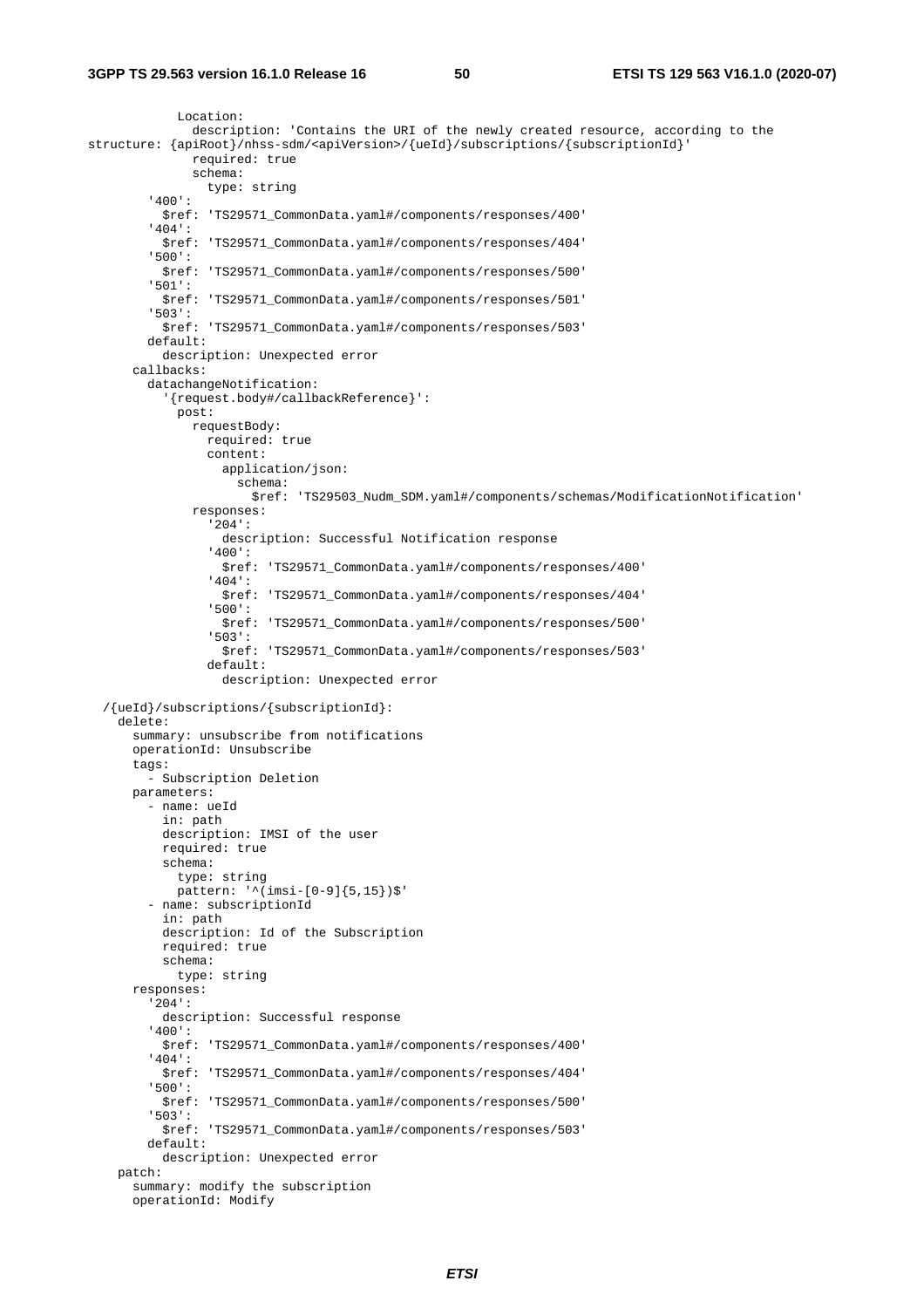```
 Location: 
                description: 'Contains the URI of the newly created resource, according to the 
structure: {apiRoot}/nhss-sdm/<apiVersion>/{ueId}/subscriptions/{subscriptionId}' 
                required: true 
                schema: 
                  type: string 
          '400': 
           $ref: 'TS29571_CommonData.yaml#/components/responses/400' 
          '404': 
           $ref: 'TS29571_CommonData.yaml#/components/responses/404' 
          '500': 
           $ref: 'TS29571_CommonData.yaml#/components/responses/500' 
          '501': 
            $ref: 'TS29571_CommonData.yaml#/components/responses/501' 
          '503': 
           $ref: 'TS29571_CommonData.yaml#/components/responses/503' 
        defan1t: description: Unexpected error 
       callbacks: 
         datachangeNotification: 
            '{request.body#/callbackReference}': 
              post: 
                requestBody: 
                  required: true 
                  content: 
                    application/json: 
                      schema: 
                         $ref: 'TS29503_Nudm_SDM.yaml#/components/schemas/ModificationNotification' 
                responses: 
                   '204': 
                    description: Successful Notification response 
                  '400': 
                    $ref: 'TS29571_CommonData.yaml#/components/responses/400' 
                  '404': 
                    $ref: 'TS29571_CommonData.yaml#/components/responses/404' 
                  '500': 
                    $ref: 'TS29571_CommonData.yaml#/components/responses/500' 
                   '503': 
                    $ref: 'TS29571_CommonData.yaml#/components/responses/503' 
                  default: 
                    description: Unexpected error 
   /{ueId}/subscriptions/{subscriptionId}: 
     delete: 
       summary: unsubscribe from notifications 
       operationId: Unsubscribe 
       tags: 
          - Subscription Deletion 
       parameters: 
         - name: ueId 
           in: path 
           description: IMSI of the user 
           required: true 
           schema: 
             type: string 
             pattern: '^(imsi-[0-9]{5,15})$' 
          - name: subscriptionId 
           in: path 
           description: Id of the Subscription 
           required: true 
           schema: 
             type: string 
       responses: 
          '204': 
           description: Successful response 
          '400': 
           $ref: 'TS29571_CommonData.yaml#/components/responses/400' 
          '404': 
           $ref: 'TS29571_CommonData.yaml#/components/responses/404' 
          '500': 
            $ref: 'TS29571_CommonData.yaml#/components/responses/500' 
          '503': 
           $ref: 'TS29571_CommonData.yaml#/components/responses/503' 
         default: 
           description: Unexpected error 
     patch: 
       summary: modify the subscription 
       operationId: Modify
```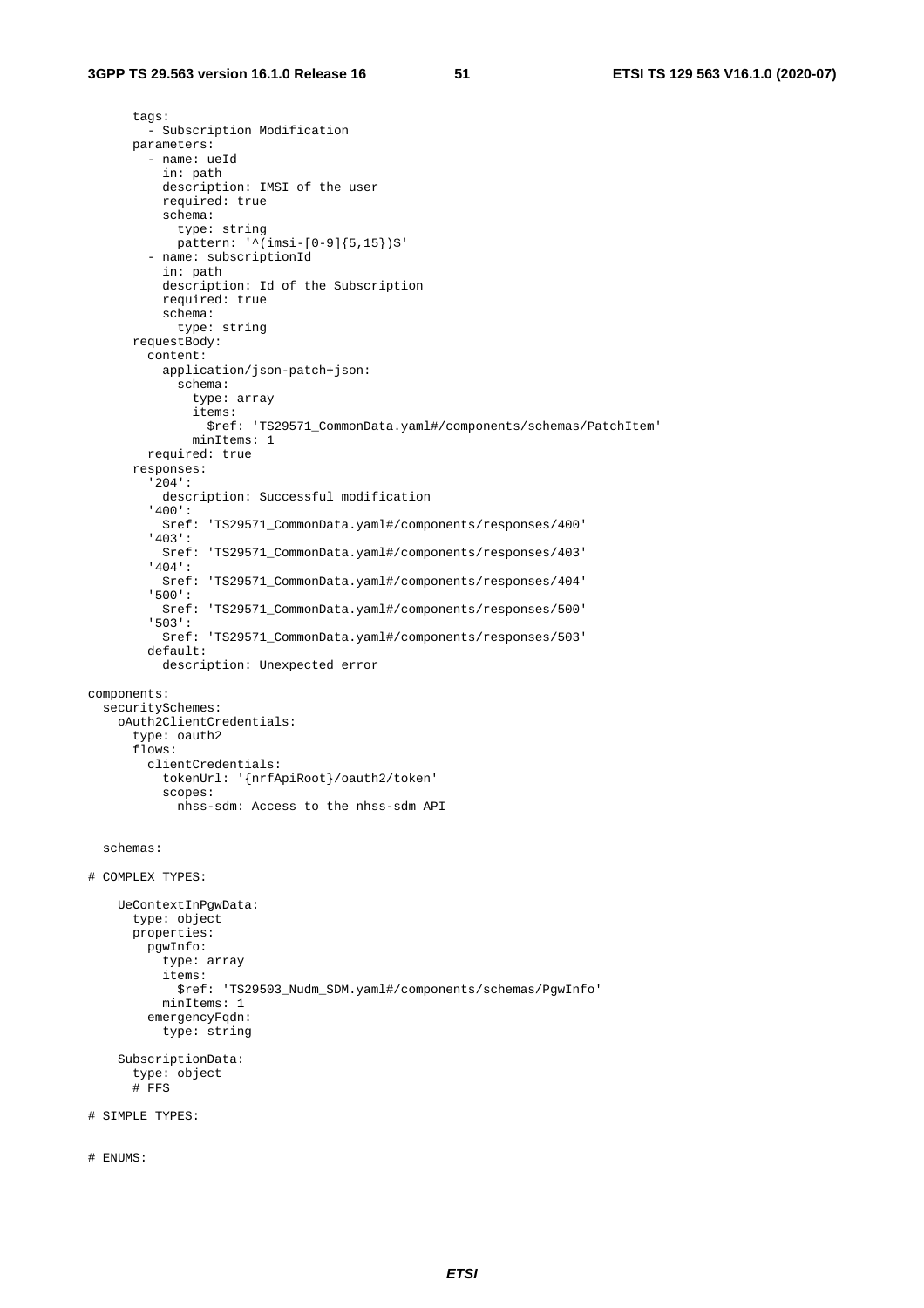#### **3GPP TS 29.563 version 16.1.0 Release 16 51 ETSI TS 129 563 V16.1.0 (2020-07)**

```
 tags: 
          - Subscription Modification 
       parameters: 
          - name: ueId 
            in: path 
            description: IMSI of the user 
            required: true 
            schema: 
              type: string 
              pattern: '^(imsi-[0-9]{5,15})$' 
          - name: subscriptionId 
            in: path 
            description: Id of the Subscription 
            required: true 
            schema: 
             type: string 
       requestBody: 
          content: 
            application/json-patch+json: 
              schema: 
                type: array 
                items: 
                   $ref: 'TS29571_CommonData.yaml#/components/schemas/PatchItem' 
                minItems: 1 
         required: true 
       responses: 
          '204': 
            description: Successful modification 
          '400': 
            $ref: 'TS29571_CommonData.yaml#/components/responses/400' 
          '403': 
            $ref: 'TS29571_CommonData.yaml#/components/responses/403' 
          '404': 
            $ref: 'TS29571_CommonData.yaml#/components/responses/404' 
          '500': 
            $ref: 'TS29571_CommonData.yaml#/components/responses/500' 
          '503': 
            $ref: 'TS29571_CommonData.yaml#/components/responses/503' 
         default: 
            description: Unexpected error 
components: 
   securitySchemes: 
     oAuth2ClientCredentials: 
       type: oauth2 
       flows: 
         clientCredentials: 
            tokenUrl: '{nrfApiRoot}/oauth2/token' 
            scopes: 
              nhss-sdm: Access to the nhss-sdm API 
   schemas: 
# COMPLEX TYPES: 
     UeContextInPgwData: 
       type: object 
       properties: 
         pgwInfo: 
            type: array 
            items: 
              $ref: 'TS29503_Nudm_SDM.yaml#/components/schemas/PgwInfo' 
           minItems: 1 
          emergencyFqdn: 
            type: string 
     SubscriptionData: 
       type: object 
       # FFS 
# SIMPLE TYPES: 
# ENUMS:
```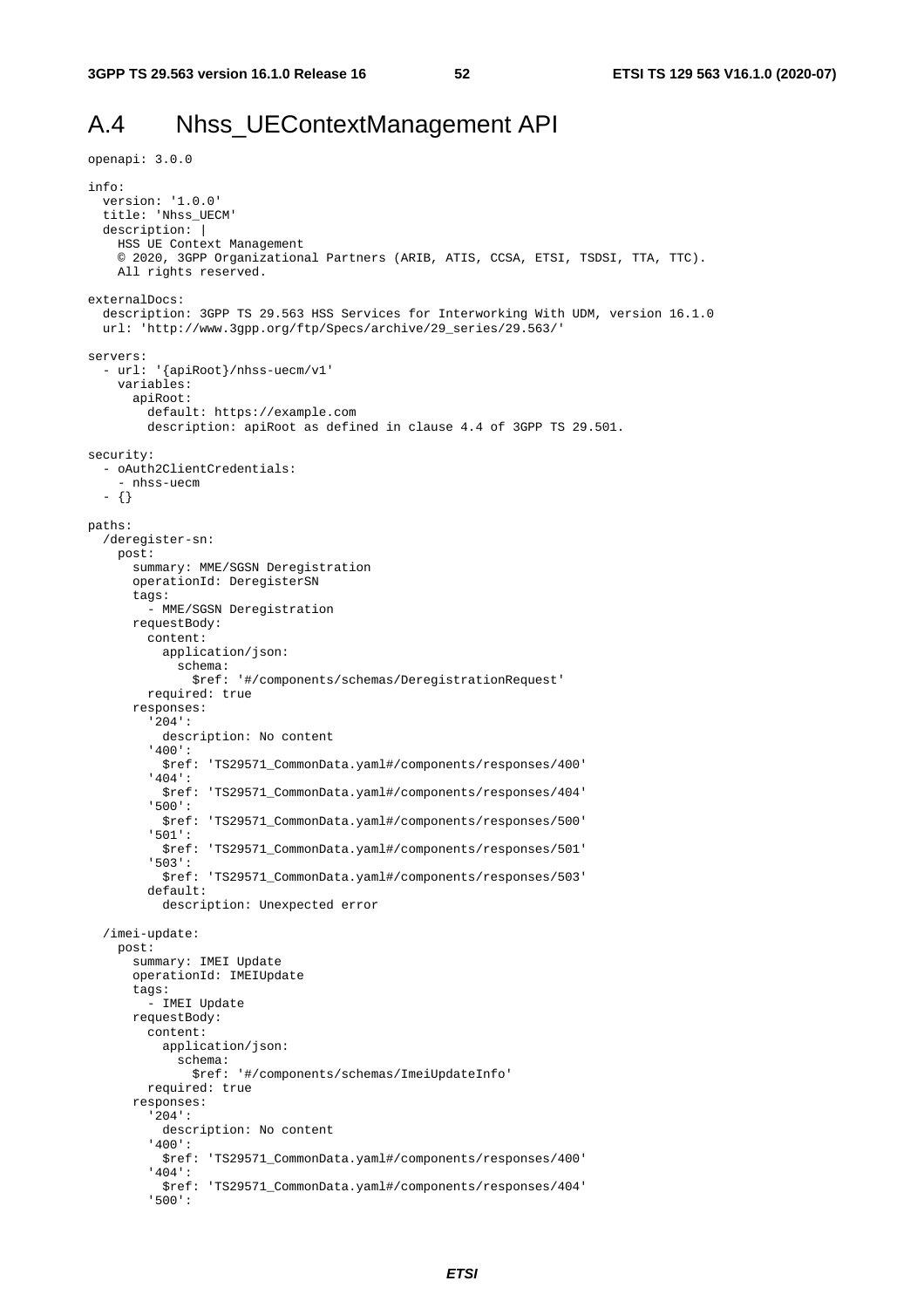openapi: 3.0.0

## A.4 Nhss\_UEContextManagement API

```
info: 
   version: '1.0.0' 
   title: 'Nhss_UECM' 
   description: | 
     HSS UE Context Management 
     © 2020, 3GPP Organizational Partners (ARIB, ATIS, CCSA, ETSI, TSDSI, TTA, TTC). 
     All rights reserved. 
externalDocs: 
   description: 3GPP TS 29.563 HSS Services for Interworking With UDM, version 16.1.0 
   url: 'http://www.3gpp.org/ftp/Specs/archive/29_series/29.563/' 
servers: 
   - url: '{apiRoot}/nhss-uecm/v1' 
     variables: 
       apiRoot: 
         default: https://example.com 
         description: apiRoot as defined in clause 4.4 of 3GPP TS 29.501. 
security: 
   - oAuth2ClientCredentials: 
     - nhss-uecm 
   - {} 
paths: 
   /deregister-sn: 
     post: 
       summary: MME/SGSN Deregistration 
       operationId: DeregisterSN 
       tags: 
          - MME/SGSN Deregistration 
       requestBody: 
         content: 
           application/json: 
              schema: 
                $ref: '#/components/schemas/DeregistrationRequest' 
         required: true 
       responses: 
          '204': 
           description: No content 
          '400': 
           $ref: 'TS29571_CommonData.yaml#/components/responses/400' 
          '404': 
           $ref: 'TS29571_CommonData.yaml#/components/responses/404' 
          '500': 
           $ref: 'TS29571_CommonData.yaml#/components/responses/500' 
          '501': 
            $ref: 'TS29571_CommonData.yaml#/components/responses/501' 
          '503': 
           $ref: 'TS29571_CommonData.yaml#/components/responses/503' 
         default: 
           description: Unexpected error 
   /imei-update: 
     post: 
       summary: IMEI Update 
       operationId: IMEIUpdate 
       tags: 
          - IMEI Update 
       requestBody: 
         content: 
           application/json: 
              schema: 
                $ref: '#/components/schemas/ImeiUpdateInfo' 
         required: true 
       responses: 
          '204': 
           description: No content 
          '400': 
           $ref: 'TS29571_CommonData.yaml#/components/responses/400' 
          '404': 
           $ref: 'TS29571_CommonData.yaml#/components/responses/404' 
          '500':
```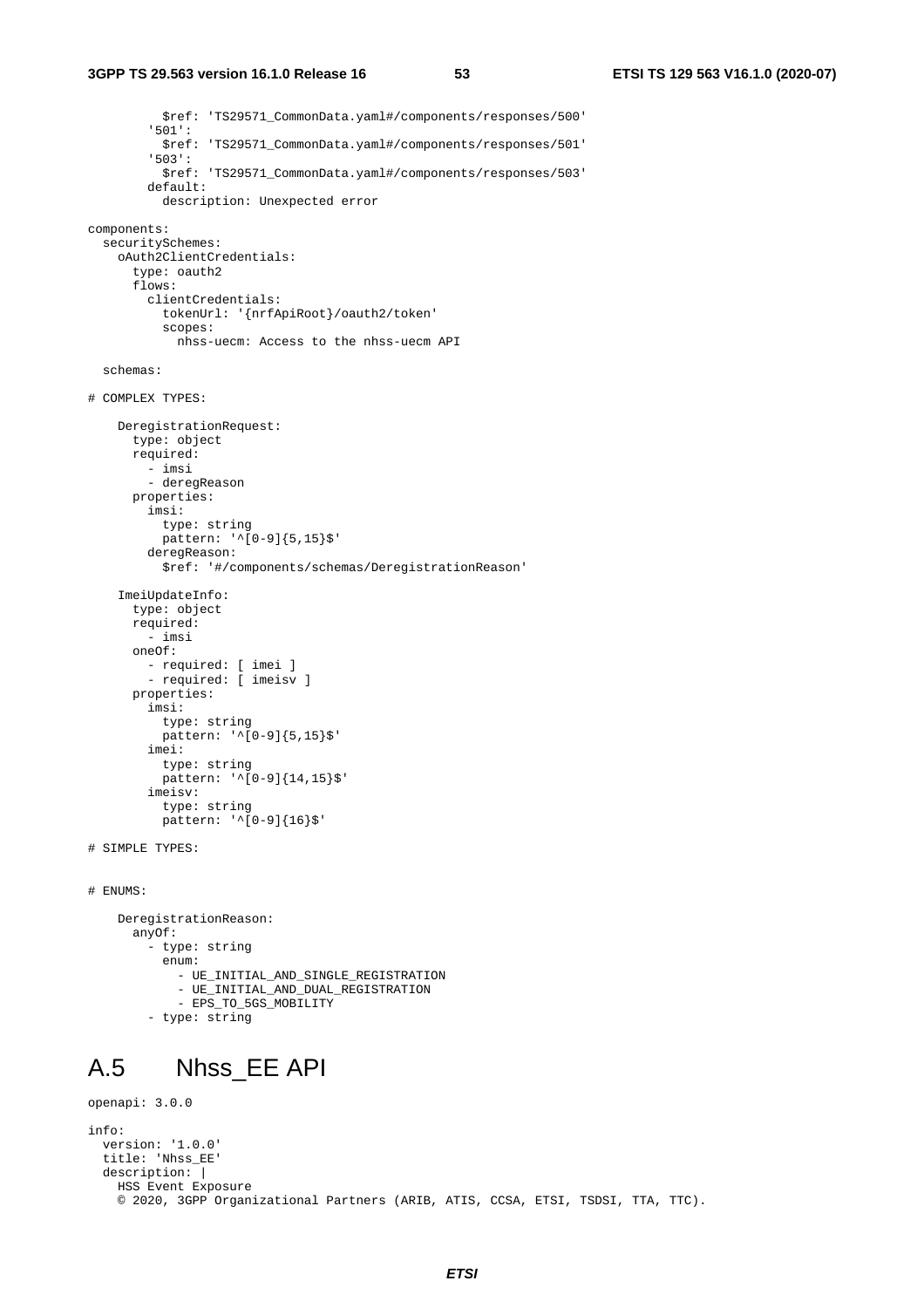```
 $ref: 'TS29571_CommonData.yaml#/components/responses/500' 
          '501': 
           $ref: 'TS29571_CommonData.yaml#/components/responses/501' 
          '503': 
           $ref: 'TS29571_CommonData.yaml#/components/responses/503' 
          default: 
           description: Unexpected error 
components: 
   securitySchemes: 
    oAuth2ClientCredentials: 
       type: oauth2 
       flows: 
         clientCredentials: 
           tokenUrl: '{nrfApiRoot}/oauth2/token' 
           scopes: 
              nhss-uecm: Access to the nhss-uecm API 
   schemas: 
# COMPLEX TYPES: 
     DeregistrationRequest: 
       type: object 
       required: 
         - imsi 
         - deregReason 
       properties: 
         imsi: 
           type: string 
          pattern: '^[0-9]{5,15}$'
         deregReason: 
           $ref: '#/components/schemas/DeregistrationReason' 
     ImeiUpdateInfo: 
       type: object 
       required: 
          - imsi 
       oneOf: 
         - required: [ imei ] 
          - required: [ imeisv ] 
       properties: 
         imsi: 
           type: string 
           pattern: '^[0-9]{5,15}$' 
          imei: 
           type: string 
           pattern: '^[0-9]{14,15}$' 
          imeisv: 
           type: string 
           pattern: '^[0-9]{16}$' 
# SIMPLE TYPES: 
# ENUMS: 
     DeregistrationReason: 
       anyOf: 
          - type: string 
            enum: 
              - UE_INITIAL_AND_SINGLE_REGISTRATION 
              - UE_INITIAL_AND_DUAL_REGISTRATION 
              - EPS_TO_5GS_MOBILITY 
          - type: string 
A.5 Nhss_EE API 
openapi: 3.0.0
```

```
info: 
   version: '1.0.0' 
   title: 'Nhss_EE' 
   description: | 
    HSS Event Exposure 
     © 2020, 3GPP Organizational Partners (ARIB, ATIS, CCSA, ETSI, TSDSI, TTA, TTC).
```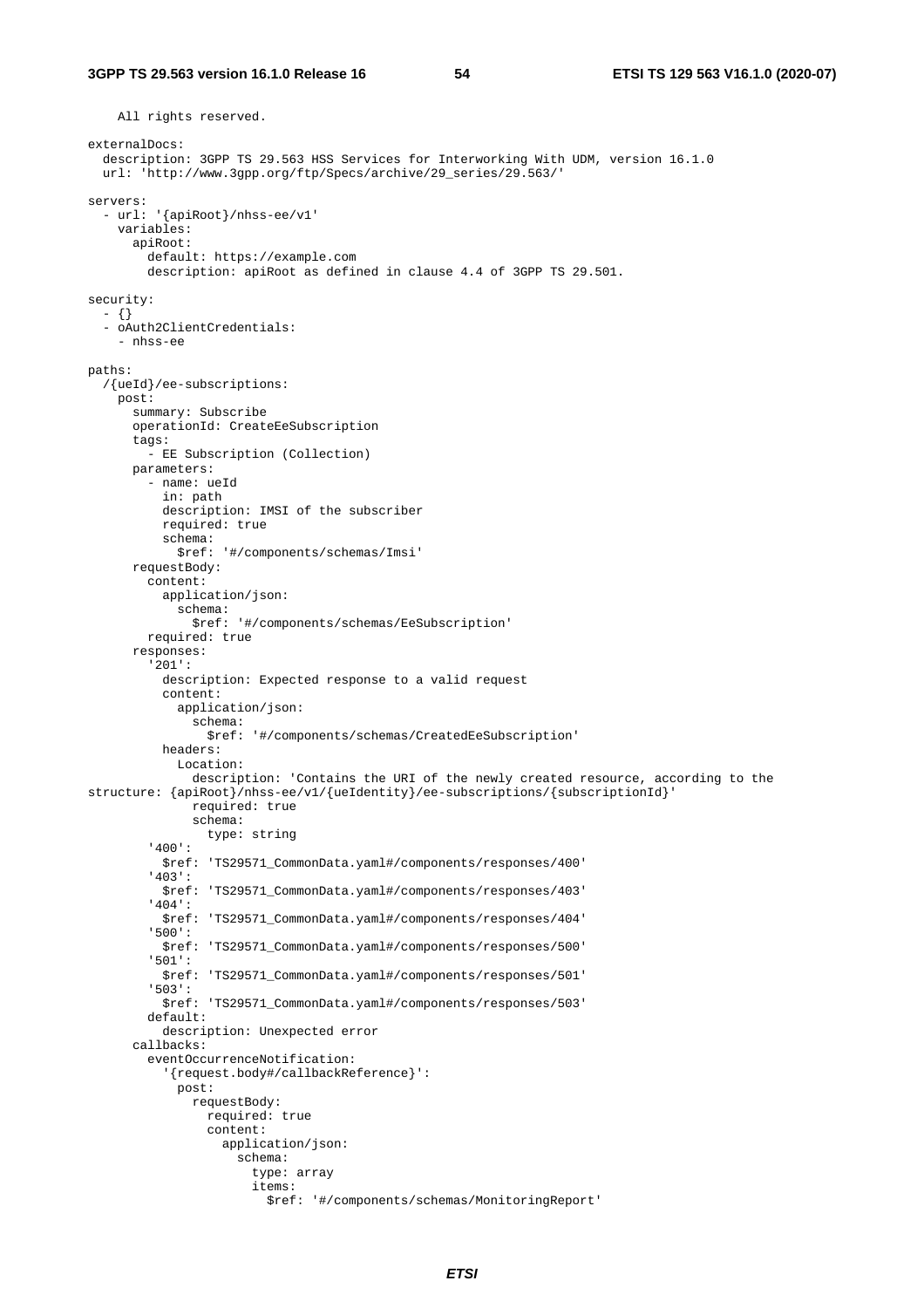```
 All rights reserved. 
externalDocs: 
   description: 3GPP TS 29.563 HSS Services for Interworking With UDM, version 16.1.0 
   url: 'http://www.3gpp.org/ftp/Specs/archive/29_series/29.563/' 
servers: 
   - url: '{apiRoot}/nhss-ee/v1' 
     variables: 
       apiRoot: 
         default: https://example.com 
         description: apiRoot as defined in clause 4.4 of 3GPP TS 29.501. 
security: 
   - {} 
   - oAuth2ClientCredentials: 
     - nhss-ee 
paths: 
   /{ueId}/ee-subscriptions: 
    post: 
       summary: Subscribe 
       operationId: CreateEeSubscription 
       tags: 
          - EE Subscription (Collection) 
       parameters: 
          - name: ueId 
           in: path 
           description: IMSI of the subscriber 
           required: true 
           schema: 
              $ref: '#/components/schemas/Imsi' 
       requestBody: 
         content: 
           application/json: 
              schema: 
                $ref: '#/components/schemas/EeSubscription' 
         required: true 
       responses: 
          '201': 
           description: Expected response to a valid request 
           content: 
              application/json: 
                schema: 
                  $ref: '#/components/schemas/CreatedEeSubscription' 
           headers: 
              Location: 
                description: 'Contains the URI of the newly created resource, according to the 
structure: {apiRoot}/nhss-ee/v1/{ueIdentity}/ee-subscriptions/{subscriptionId}' 
                required: true 
                schema: 
                  type: string 
          '400': 
            $ref: 'TS29571_CommonData.yaml#/components/responses/400' 
          '403': 
           $ref: 'TS29571_CommonData.yaml#/components/responses/403' 
          '404': 
            $ref: 'TS29571_CommonData.yaml#/components/responses/404' 
          '500': 
           $ref: 'TS29571_CommonData.yaml#/components/responses/500' 
          '501': 
            $ref: 'TS29571_CommonData.yaml#/components/responses/501' 
          '503': 
            $ref: 'TS29571_CommonData.yaml#/components/responses/503' 
         default: 
           description: Unexpected error 
       callbacks: 
          eventOccurrenceNotification: 
            '{request.body#/callbackReference}': 
              post: 
                requestBody: 
                  required: true 
                  content: 
                     application/json: 
                       schema: 
                         type: array 
                         items: 
                           $ref: '#/components/schemas/MonitoringReport'
```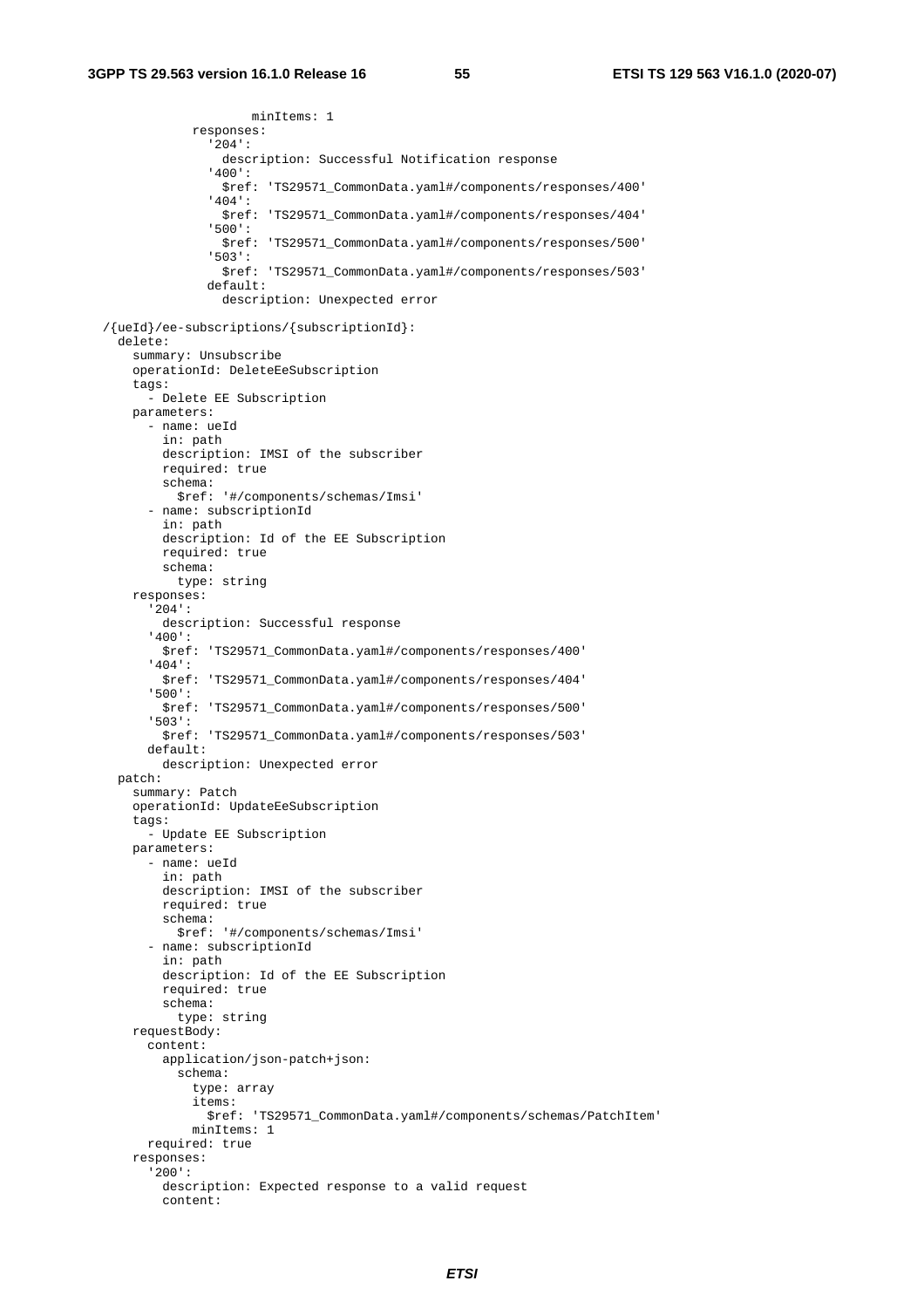minItems: 1

 responses: '204': description: Successful Notification response '400': \$ref: 'TS29571\_CommonData.yaml#/components/responses/400' '404': \$ref: 'TS29571\_CommonData.yaml#/components/responses/404' '500': \$ref: 'TS29571\_CommonData.yaml#/components/responses/500' '503': \$ref: 'TS29571\_CommonData.yaml#/components/responses/503' default: description: Unexpected error /{ueId}/ee-subscriptions/{subscriptionId}: delete: summary: Unsubscribe operationId: DeleteEeSubscription tags: - Delete EE Subscription parameters: - name: ueId in: path description: IMSI of the subscriber required: true schema: \$ref: '#/components/schemas/Imsi' - name: subscriptionId in: path description: Id of the EE Subscription required: true schema: type: string responses: '204': description: Successful response '400': \$ref: 'TS29571\_CommonData.yaml#/components/responses/400' '404': \$ref: 'TS29571\_CommonData.yaml#/components/responses/404' '500': \$ref: 'TS29571\_CommonData.yaml#/components/responses/500' '503': \$ref: 'TS29571\_CommonData.yaml#/components/responses/503' default: description: Unexpected error patch: summary: Patch operationId: UpdateEeSubscription tags: - Update EE Subscription parameters: - name: ueId in: path description: IMSI of the subscriber required: true schema: \$ref: '#/components/schemas/Imsi' - name: subscriptionId in: path description: Id of the EE Subscription required: true schema: type: string requestBody: content: application/json-patch+json: schema: type: array items: \$ref: 'TS29571\_CommonData.yaml#/components/schemas/PatchItem' minItems: 1 required: true responses: '200': description: Expected response to a valid request content: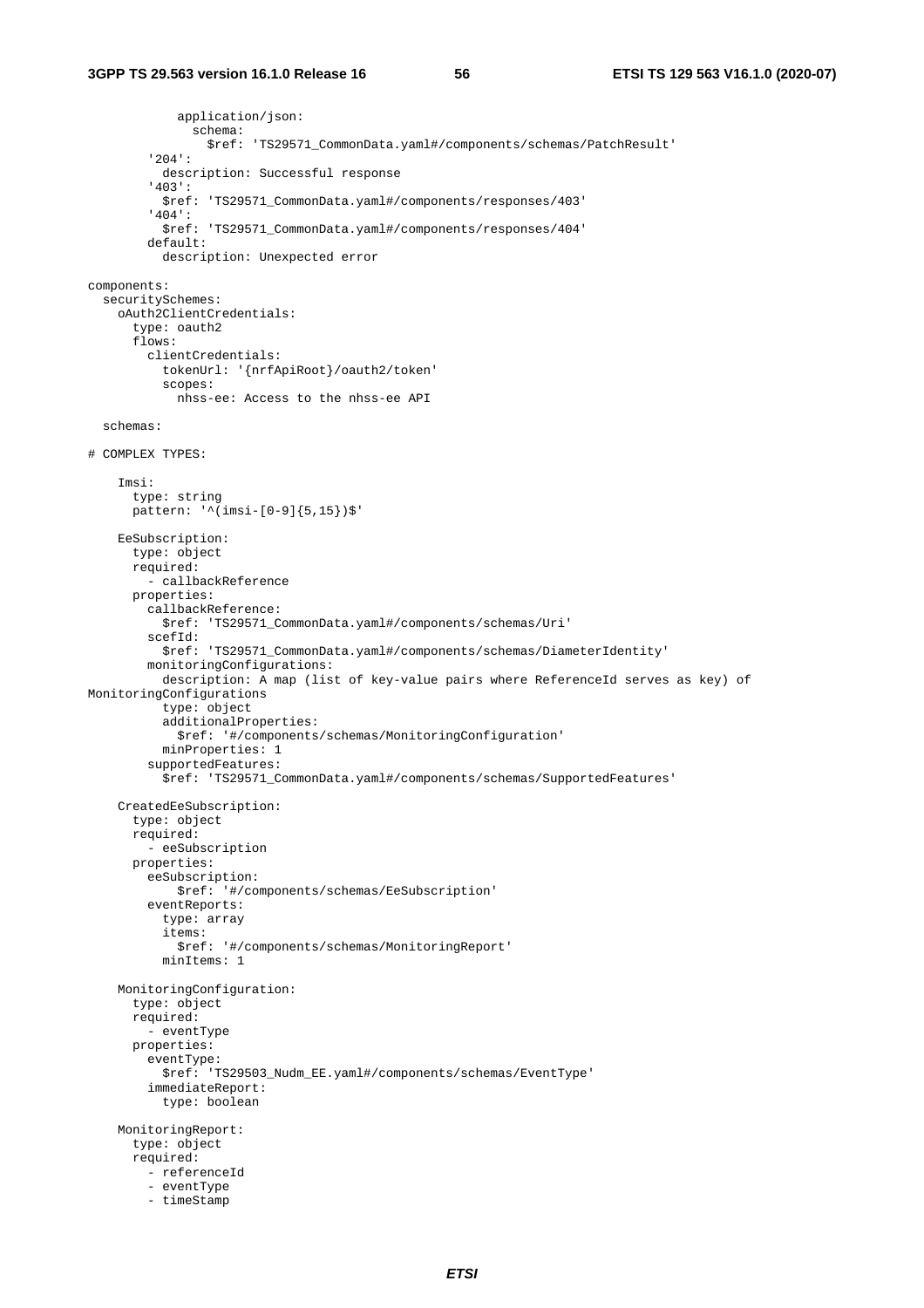application/json: schema: \$ref: 'TS29571\_CommonData.yaml#/components/schemas/PatchResult' '204': description: Successful response '403': \$ref: 'TS29571\_CommonData.yaml#/components/responses/403' '404': \$ref: 'TS29571\_CommonData.yaml#/components/responses/404' default: description: Unexpected error components: securitySchemes: oAuth2ClientCredentials: type: oauth2 flows: clientCredentials: tokenUrl: '{nrfApiRoot}/oauth2/token' scopes: nhss-ee: Access to the nhss-ee API schemas: # COMPLEX TYPES: Imsi: type: string  $p$ attern: '^(imsi-[0-9]{5,15})\$' EeSubscription: type: object required: - callbackReference properties: callbackReference: \$ref: 'TS29571\_CommonData.yaml#/components/schemas/Uri' scefId: \$ref: 'TS29571\_CommonData.yaml#/components/schemas/DiameterIdentity' monitoringConfigurations: description: A map (list of key-value pairs where ReferenceId serves as key) of MonitoringConfigurations type: object additionalProperties: \$ref: '#/components/schemas/MonitoringConfiguration' minProperties: 1 supportedFeatures: \$ref: 'TS29571\_CommonData.yaml#/components/schemas/SupportedFeatures' CreatedEeSubscription: type: object required: - eeSubscription properties: eeSubscription: \$ref: '#/components/schemas/EeSubscription' eventReports: type: array items: \$ref: '#/components/schemas/MonitoringReport' minItems: 1 MonitoringConfiguration: type: object required: - eventType properties: eventType: \$ref: 'TS29503\_Nudm\_EE.yaml#/components/schemas/EventType' immediateReport: type: boolean MonitoringReport: type: object required: - referenceId - eventType - timeStamp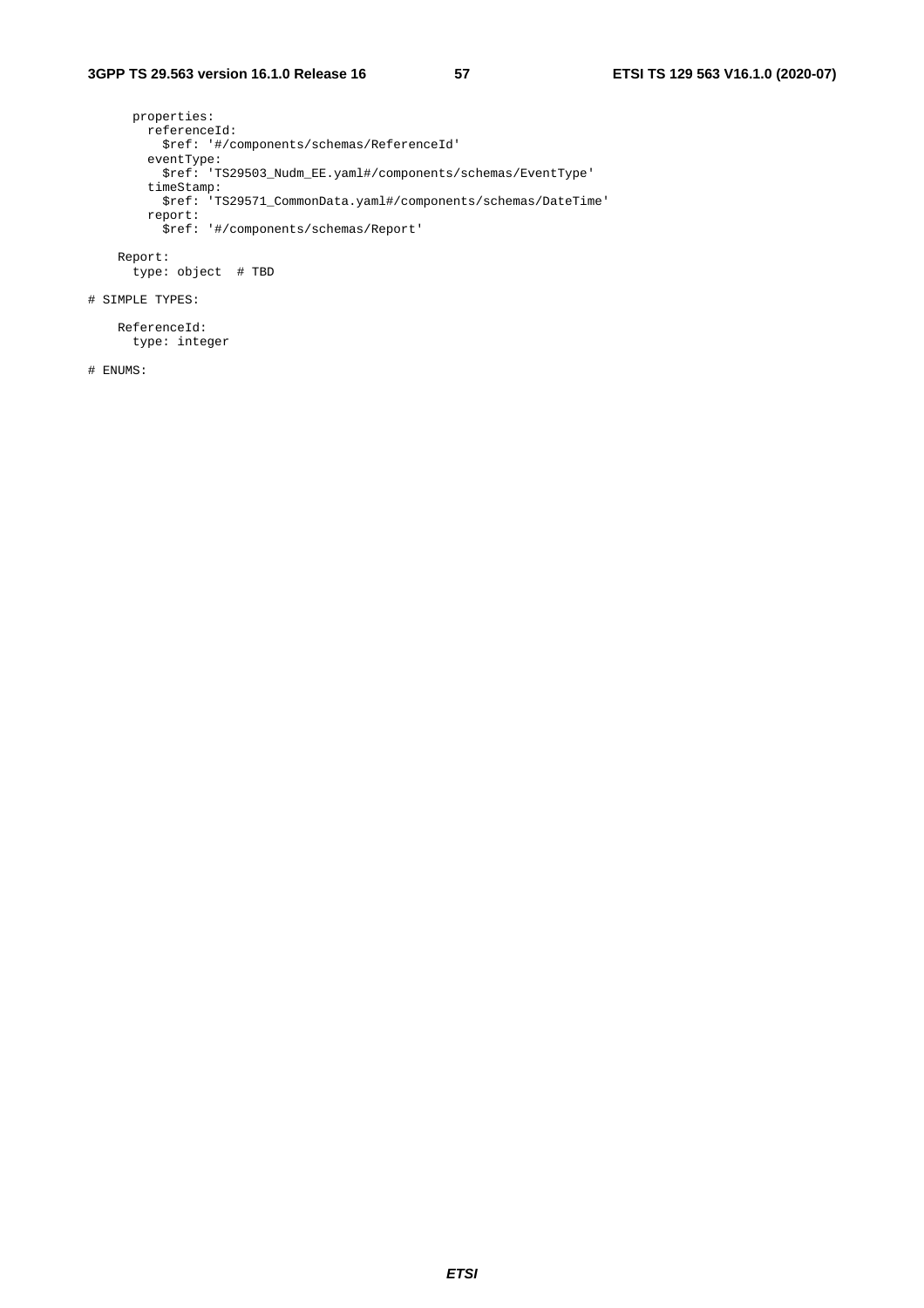properties: referenceId: \$ref: '#/components/schemas/ReferenceId' eventType: \$ref: 'TS29503\_Nudm\_EE.yaml#/components/schemas/EventType' timeStamp: \$ref: 'TS29571\_CommonData.yaml#/components/schemas/DateTime' report: \$ref: '#/components/schemas/Report'

 Report: type: object # TBD

# SIMPLE TYPES:

 ReferenceId: type: integer

# ENUMS: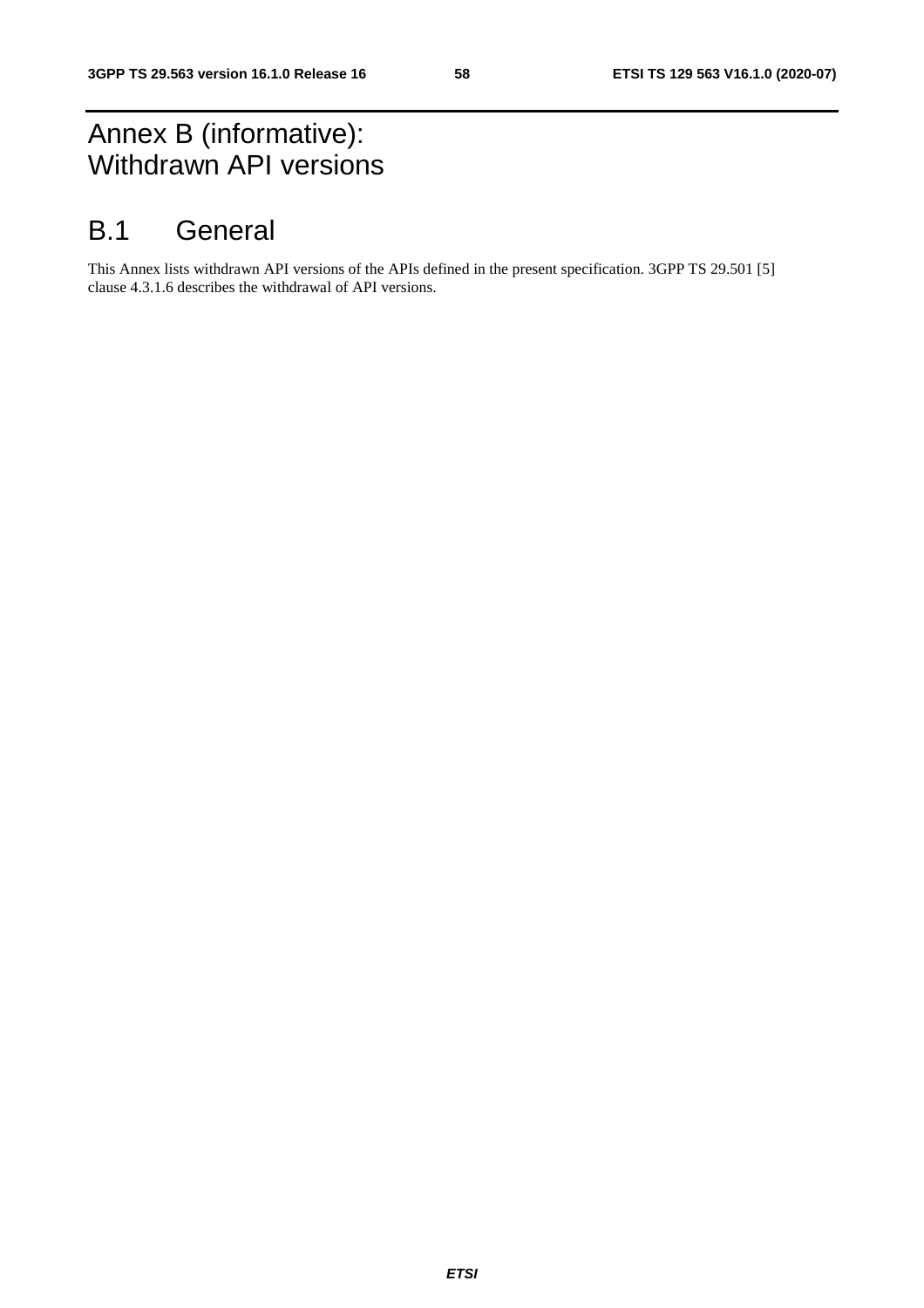## Annex B (informative): Withdrawn API versions

## B.1 General

This Annex lists withdrawn API versions of the APIs defined in the present specification. 3GPP TS 29.501 [5] clause 4.3.1.6 describes the withdrawal of API versions.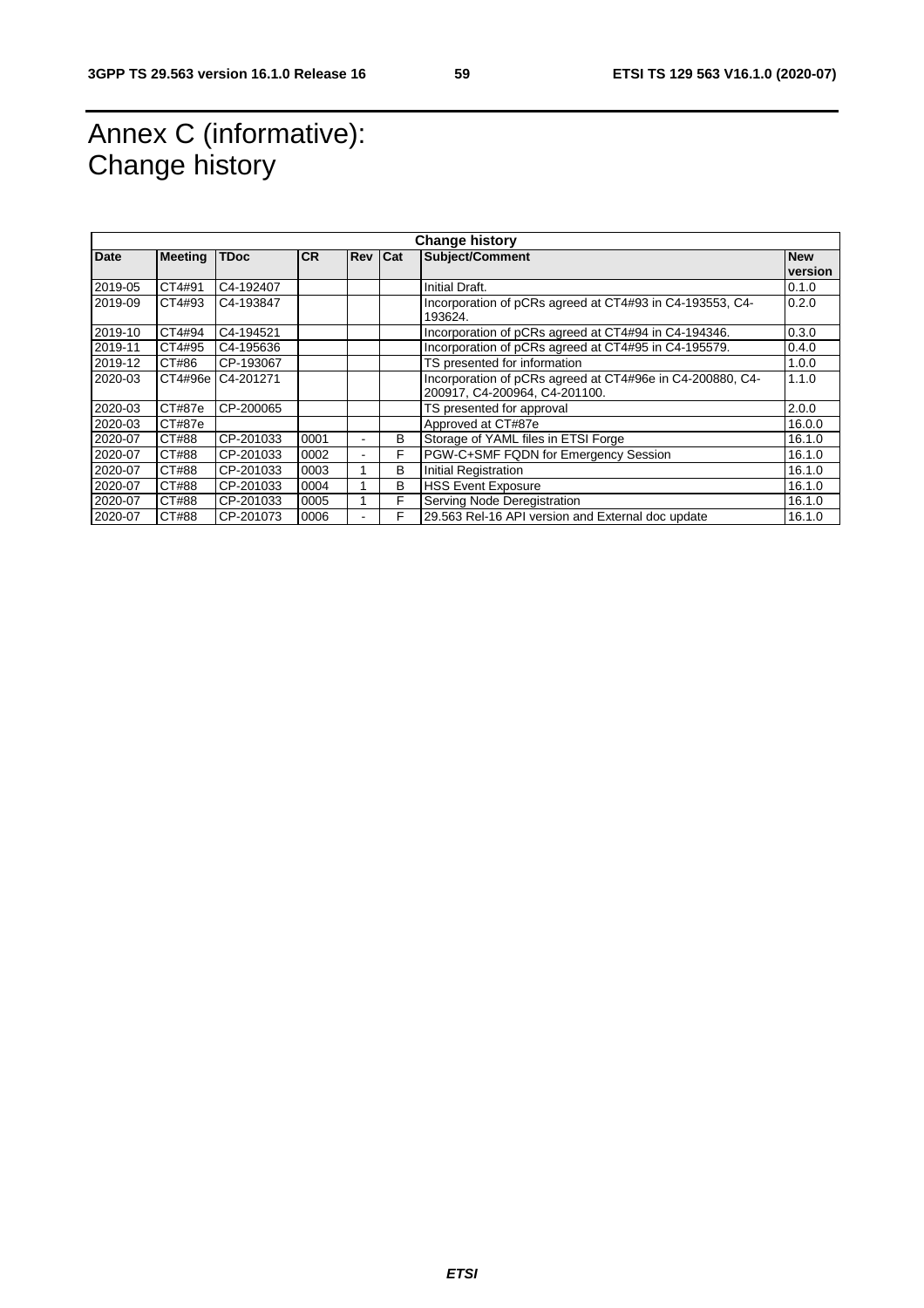## Annex C (informative): Change history

|             | <b>Change history</b> |             |           |                |   |                                                           |            |  |
|-------------|-----------------------|-------------|-----------|----------------|---|-----------------------------------------------------------|------------|--|
| <b>Date</b> | <b>Meeting</b>        | <b>TDoc</b> | <b>CR</b> | <b>Rev Cat</b> |   | <b>Subject/Comment</b>                                    | <b>New</b> |  |
|             |                       |             |           |                |   |                                                           | version    |  |
| 2019-05     | CT4#91                | C4-192407   |           |                |   | Initial Draft.                                            | 0.1.0      |  |
| 2019-09     | CT4#93                | C4-193847   |           |                |   | Incorporation of pCRs agreed at CT4#93 in C4-193553, C4-  | 0.2.0      |  |
|             |                       |             |           |                |   | 193624.                                                   |            |  |
| 2019-10     | CT4#94                | C4-194521   |           |                |   | Incorporation of pCRs agreed at CT4#94 in C4-194346.      | 0.3.0      |  |
| 2019-11     | CT4#95                | C4-195636   |           |                |   | Incorporation of pCRs agreed at CT4#95 in C4-195579.      | 0.4.0      |  |
| 2019-12     | CT#86                 | CP-193067   |           |                |   | TS presented for information                              | 1.0.0      |  |
| 2020-03     | CT4#96e               | C4-201271   |           |                |   | Incorporation of pCRs agreed at CT4#96e in C4-200880, C4- | 1.1.0      |  |
|             |                       |             |           |                |   | 200917, C4-200964, C4-201100.                             |            |  |
| 2020-03     | CT#87e                | CP-200065   |           |                |   | TS presented for approval                                 | 2.0.0      |  |
| 2020-03     | CT#87e                |             |           |                |   | Approved at CT#87e                                        | 16.0.0     |  |
| 2020-07     | CT#88                 | CP-201033   | 0001      |                | в | Storage of YAML files in ETSI Forge                       | 16.1.0     |  |
| 2020-07     | CT#88                 | CP-201033   | 0002      |                | F | PGW-C+SMF FQDN for Emergency Session                      | 16.1.0     |  |
| 2020-07     | CT#88                 | CP-201033   | 0003      |                | в | <b>Initial Registration</b>                               | 16.1.0     |  |
| 2020-07     | CT#88                 | CP-201033   | 0004      |                | в | <b>HSS Event Exposure</b>                                 | 16.1.0     |  |
| 2020-07     | CT#88                 | CP-201033   | 0005      |                | F | Serving Node Deregistration                               | 16.1.0     |  |
| 2020-07     | CT#88                 | CP-201073   | 0006      |                | F | 29.563 Rel-16 API version and External doc update         | 16.1.0     |  |